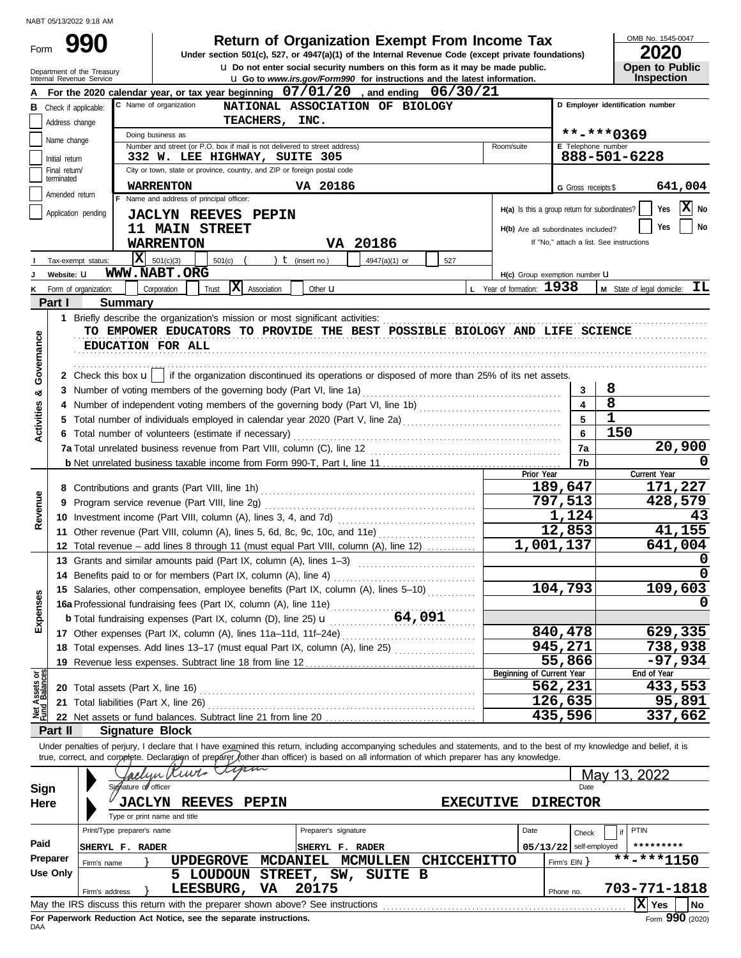Form

# **990 a** Return of Organization Exempt From Income Tax **1545-00 2020 2020**

**u** Do not enter social security numbers on this form as it may be made public. **Under section 501(c), 527, or 4947(a)(1) of the Internal Revenue Code (except private foundations)** OMB No. 1545-0047

|  | ____                  |
|--|-----------------------|
|  | <b>Open to Public</b> |
|  | Inspection            |

|                                | Department of the Treasury<br>Internal Revenue Service |                            |                                                                                                                                                                            |                      | U Do not enter social security numbers on this form as it may be made public.<br><b>u</b> Go to www.irs.gov/Form990 for instructions and the latest information. |                           |                           |                                                                                 |                | Open to Public<br><b>Inspection</b> |
|--------------------------------|--------------------------------------------------------|----------------------------|----------------------------------------------------------------------------------------------------------------------------------------------------------------------------|----------------------|------------------------------------------------------------------------------------------------------------------------------------------------------------------|---------------------------|---------------------------|---------------------------------------------------------------------------------|----------------|-------------------------------------|
|                                |                                                        |                            | For the 2020 calendar year, or tax year beginning $07/01/20$ , and ending $06/30/21$                                                                                       |                      |                                                                                                                                                                  |                           |                           |                                                                                 |                |                                     |
| в                              | Check if applicable:                                   |                            | C Name of organization                                                                                                                                                     |                      | NATIONAL ASSOCIATION OF BIOLOGY                                                                                                                                  |                           |                           | D Employer identification number                                                |                |                                     |
|                                | Address change                                         |                            |                                                                                                                                                                            | TEACHERS, INC.       |                                                                                                                                                                  |                           |                           |                                                                                 |                |                                     |
|                                | Name change                                            |                            | Doing business as                                                                                                                                                          |                      |                                                                                                                                                                  |                           |                           |                                                                                 | **-***0369     |                                     |
|                                |                                                        |                            | Number and street (or P.O. box if mail is not delivered to street address)                                                                                                 |                      |                                                                                                                                                                  | Room/suite                |                           | <b>E</b> Telephone number                                                       |                |                                     |
|                                | Initial return                                         |                            | 332 W. LEE HIGHWAY, SUITE 305                                                                                                                                              |                      |                                                                                                                                                                  |                           |                           |                                                                                 | 888-501-6228   |                                     |
|                                | Final return/<br>terminated                            |                            | City or town, state or province, country, and ZIP or foreign postal code                                                                                                   |                      |                                                                                                                                                                  |                           |                           |                                                                                 |                |                                     |
|                                | Amended return                                         |                            | <b>WARRENTON</b>                                                                                                                                                           | VA 20186             |                                                                                                                                                                  |                           |                           | G Gross receipts \$                                                             |                | 641,004                             |
|                                | Application pending                                    |                            | F Name and address of principal officer:                                                                                                                                   |                      |                                                                                                                                                                  |                           |                           | H(a) Is this a group return for subordinates?                                   |                | X No<br>Yes                         |
|                                |                                                        |                            | <b>JACLYN REEVES PEPIN</b>                                                                                                                                                 |                      |                                                                                                                                                                  |                           |                           |                                                                                 |                | No<br>Yes                           |
|                                |                                                        |                            | 11 MAIN STREET                                                                                                                                                             |                      |                                                                                                                                                                  |                           |                           | H(b) Are all subordinates included?<br>If "No," attach a list. See instructions |                |                                     |
|                                |                                                        |                            | <b>WARRENTON</b>                                                                                                                                                           |                      | VA 20186                                                                                                                                                         |                           |                           |                                                                                 |                |                                     |
|                                | Tax-exempt status:                                     |                            | $ \mathbf{X} $ 501(c)(3)<br>501(c)<br><b>WWW.NABT.ORG</b>                                                                                                                  | $t$ (insert no.)     | 4947(a)(1) or<br>527                                                                                                                                             |                           |                           |                                                                                 |                |                                     |
|                                | Website: U                                             |                            | X Association                                                                                                                                                              |                      |                                                                                                                                                                  | L Year of formation: 1938 |                           | H(c) Group exemption number LI                                                  |                | IL                                  |
|                                | Form of organization:<br>Part I                        | <b>Summary</b>             | Corporation<br>Trust                                                                                                                                                       | Other <b>u</b>       |                                                                                                                                                                  |                           |                           |                                                                                 |                | M State of legal domicile:          |
|                                |                                                        |                            |                                                                                                                                                                            |                      |                                                                                                                                                                  |                           |                           |                                                                                 |                |                                     |
|                                |                                                        |                            | 1 Briefly describe the organization's mission or most significant activities:<br>TO EMPOWER EDUCATORS TO PROVIDE THE BEST POSSIBLE BIOLOGY AND LIFE SCIENCE                |                      |                                                                                                                                                                  |                           |                           |                                                                                 |                |                                     |
| Governance                     |                                                        |                            | EDUCATION FOR ALL                                                                                                                                                          |                      |                                                                                                                                                                  |                           |                           |                                                                                 |                |                                     |
|                                |                                                        |                            |                                                                                                                                                                            |                      |                                                                                                                                                                  |                           |                           |                                                                                 |                |                                     |
|                                |                                                        |                            | 2 Check this box $\mathbf{u}$   if the organization discontinued its operations or disposed of more than 25% of its net assets.                                            |                      |                                                                                                                                                                  |                           |                           |                                                                                 |                |                                     |
|                                |                                                        |                            |                                                                                                                                                                            |                      |                                                                                                                                                                  |                           |                           | 3                                                                               | 8              |                                     |
| ಯ                              |                                                        |                            |                                                                                                                                                                            |                      |                                                                                                                                                                  |                           |                           |                                                                                 | $\overline{8}$ |                                     |
| Activities                     |                                                        |                            | 5 Total number of individuals employed in calendar year 2020 (Part V, line 2a) [[[[[[[[[[[[[[[[[[[[[[[[[[[[[[[                                                             |                      |                                                                                                                                                                  |                           |                           | 5                                                                               | $\mathbf{1}$   |                                     |
|                                |                                                        |                            | 6 Total number of volunteers (estimate if necessary)                                                                                                                       |                      |                                                                                                                                                                  |                           |                           | 6                                                                               | 150            |                                     |
|                                |                                                        |                            |                                                                                                                                                                            |                      |                                                                                                                                                                  |                           |                           | 7a                                                                              |                | 20,900                              |
|                                |                                                        |                            |                                                                                                                                                                            |                      |                                                                                                                                                                  |                           |                           | 7b                                                                              |                |                                     |
|                                |                                                        |                            |                                                                                                                                                                            |                      |                                                                                                                                                                  |                           | Prior Year                |                                                                                 |                | Current Year                        |
|                                |                                                        |                            | 8 Contributions and grants (Part VIII, line 1h)                                                                                                                            |                      |                                                                                                                                                                  |                           |                           | 189,647                                                                         |                | 171,227                             |
| Revenue                        |                                                        |                            |                                                                                                                                                                            |                      |                                                                                                                                                                  |                           |                           | 797,513                                                                         |                | 428,579                             |
|                                |                                                        |                            |                                                                                                                                                                            |                      |                                                                                                                                                                  |                           |                           | 1,124                                                                           |                | 43                                  |
|                                |                                                        |                            | 11 Other revenue (Part VIII, column (A), lines 5, 6d, 8c, 9c, 10c, and 11e)                                                                                                |                      |                                                                                                                                                                  |                           |                           | 12,853                                                                          |                | 41,155                              |
|                                |                                                        |                            | 12 Total revenue - add lines 8 through 11 (must equal Part VIII, column (A), line 12)                                                                                      |                      |                                                                                                                                                                  |                           |                           | 1,001,137                                                                       |                | 641,004                             |
|                                |                                                        |                            | 13 Grants and similar amounts paid (Part IX, column (A), lines 1-3)                                                                                                        |                      |                                                                                                                                                                  |                           |                           |                                                                                 |                | O                                   |
|                                |                                                        |                            | 14 Benefits paid to or for members (Part IX, column (A), line 4)                                                                                                           |                      |                                                                                                                                                                  |                           |                           |                                                                                 |                |                                     |
| <b>Ses</b>                     |                                                        |                            | 15 Salaries, other compensation, employee benefits (Part IX, column (A), lines 5-10)                                                                                       |                      |                                                                                                                                                                  |                           |                           | 104,793                                                                         |                | 109,603                             |
|                                |                                                        |                            | 16a Professional fundraising fees (Part IX, column (A), line 11e)                                                                                                          |                      |                                                                                                                                                                  |                           |                           |                                                                                 |                | 0                                   |
| Exper                          |                                                        |                            |                                                                                                                                                                            |                      | 64,091                                                                                                                                                           |                           |                           |                                                                                 |                |                                     |
|                                |                                                        |                            | 17 Other expenses (Part IX, column (A), lines 11a-11d, 11f-24e)                                                                                                            |                      |                                                                                                                                                                  |                           |                           | 840,478                                                                         |                | 629,335                             |
|                                |                                                        |                            | 18 Total expenses. Add lines 13-17 (must equal Part IX, column (A), line 25) [                                                                                             |                      |                                                                                                                                                                  |                           |                           | 945,271                                                                         |                | <u>738,938</u>                      |
|                                |                                                        |                            |                                                                                                                                                                            |                      |                                                                                                                                                                  |                           |                           | 55,866                                                                          |                | $-97,934$                           |
|                                |                                                        |                            |                                                                                                                                                                            |                      |                                                                                                                                                                  |                           | Beginning of Current Year | 562,231                                                                         |                | End of Year<br>433,553              |
|                                |                                                        |                            | 21 Total liabilities (Part X, line 26)                                                                                                                                     |                      |                                                                                                                                                                  |                           |                           | 126,635                                                                         |                | 95,891                              |
| Net Assets or<br>Fund Balances |                                                        |                            |                                                                                                                                                                            |                      |                                                                                                                                                                  |                           |                           | 435,596                                                                         |                | 337,662                             |
|                                | Part II                                                | <b>Signature Block</b>     |                                                                                                                                                                            |                      |                                                                                                                                                                  |                           |                           |                                                                                 |                |                                     |
|                                |                                                        |                            | Under penalties of perjury, I declare that I have examined this return, including accompanying schedules and statements, and to the best of my knowledge and belief, it is |                      |                                                                                                                                                                  |                           |                           |                                                                                 |                |                                     |
|                                |                                                        |                            | true, correct, and complete. Declaration of preparer /other than officer) is based on all information of which preparer has any knowledge.                                 |                      |                                                                                                                                                                  |                           |                           |                                                                                 |                |                                     |
|                                |                                                        |                            | imm<br>lyn Kurt                                                                                                                                                            |                      |                                                                                                                                                                  |                           |                           |                                                                                 | May 13, 2022   |                                     |
| <b>Sign</b>                    |                                                        | Signature of officer       |                                                                                                                                                                            |                      |                                                                                                                                                                  |                           |                           | Date                                                                            |                |                                     |
| Here                           |                                                        | <b>JACLYN</b>              | <b>PEPIN</b><br><b>REEVES</b>                                                                                                                                              |                      |                                                                                                                                                                  | <b>EXECUTIVE</b>          |                           | <b>DIRECTOR</b>                                                                 |                |                                     |
|                                |                                                        |                            | Type or print name and title                                                                                                                                               |                      |                                                                                                                                                                  |                           |                           |                                                                                 |                |                                     |
|                                |                                                        | Print/Type preparer's name |                                                                                                                                                                            | Preparer's signature |                                                                                                                                                                  |                           | Date                      | Check                                                                           | if             | PTIN                                |
| Paid                           |                                                        | SHERYL F. RADER            |                                                                                                                                                                            | SHERYL F. RADER      |                                                                                                                                                                  |                           |                           | $05/13/22$ self-employed                                                        |                | *********                           |
|                                | Preparer                                               | Firm's name                | <b>UPDEGROVE</b>                                                                                                                                                           | <b>MCDANIEL</b>      | MCMULLEN                                                                                                                                                         | <b>CHICCEHITTO</b>        |                           | Firm's EIN                                                                      |                | $\frac{1}{11}$ **-**1150            |
|                                | <b>Use Only</b>                                        |                            | 5 LOUDOUN                                                                                                                                                                  | STREET, SW,          | SUITE B                                                                                                                                                          |                           |                           |                                                                                 |                |                                     |
|                                |                                                        | Firm's address             | LEESBURG,                                                                                                                                                                  | 20175<br>VA          |                                                                                                                                                                  |                           |                           | Phone no.                                                                       |                | 703-771-1818                        |
|                                |                                                        |                            |                                                                                                                                                                            |                      |                                                                                                                                                                  |                           |                           |                                                                                 |                | $ X $ Yes<br><b>No</b>              |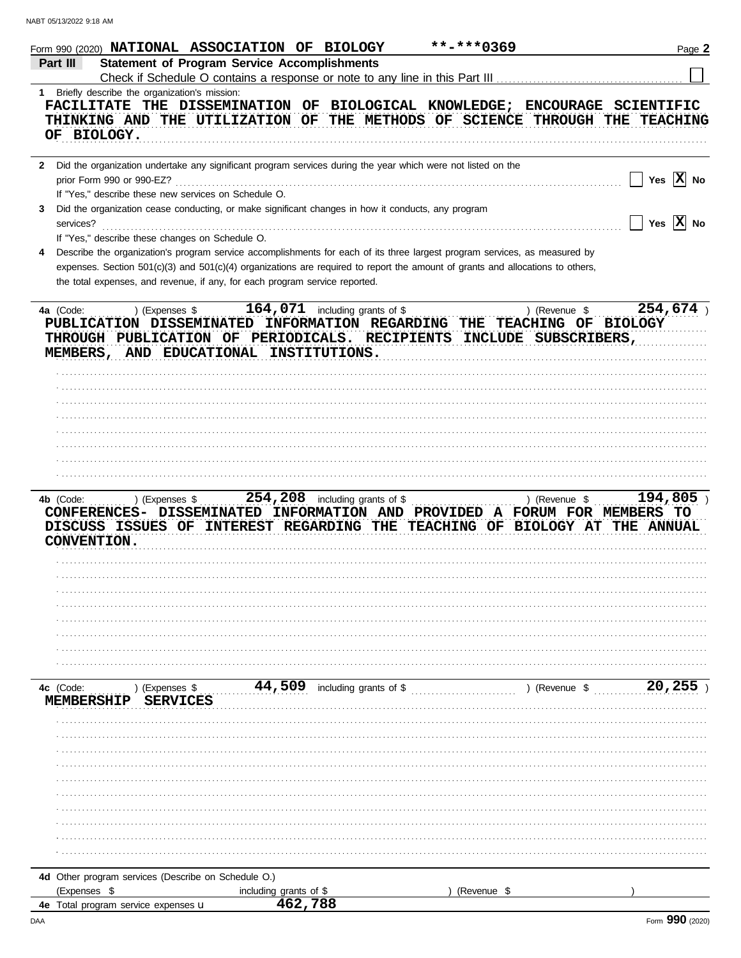|                          |                                                      | Form 990 (2020) NATIONAL ASSOCIATION OF BIOLOGY                             | **-***0369                                                                                                                     | Page 2                                                                                                                                                                              |
|--------------------------|------------------------------------------------------|-----------------------------------------------------------------------------|--------------------------------------------------------------------------------------------------------------------------------|-------------------------------------------------------------------------------------------------------------------------------------------------------------------------------------|
| Part III                 |                                                      | <b>Statement of Program Service Accomplishments</b>                         |                                                                                                                                |                                                                                                                                                                                     |
|                          |                                                      |                                                                             |                                                                                                                                |                                                                                                                                                                                     |
| 1.                       | Briefly describe the organization's mission:         |                                                                             |                                                                                                                                |                                                                                                                                                                                     |
|                          |                                                      |                                                                             |                                                                                                                                | FACILITATE THE DISSEMINATION OF BIOLOGICAL KNOWLEDGE; ENCOURAGE SCIENTIFIC                                                                                                          |
|                          |                                                      |                                                                             | THINKING AND THE UTILIZATION OF THE METHODS OF SCIENCE THROUGH THE                                                             | <b>TEACHING</b>                                                                                                                                                                     |
| OF BIOLOGY.              |                                                      |                                                                             |                                                                                                                                |                                                                                                                                                                                     |
|                          |                                                      |                                                                             |                                                                                                                                |                                                                                                                                                                                     |
| $\mathbf{2}$             |                                                      |                                                                             | Did the organization undertake any significant program services during the year which were not listed on the                   |                                                                                                                                                                                     |
|                          | prior Form 990 or 990-EZ?                            |                                                                             |                                                                                                                                | Yes $\overline{X}$ No                                                                                                                                                               |
|                          | If "Yes," describe these new services on Schedule O. |                                                                             |                                                                                                                                |                                                                                                                                                                                     |
| 3                        |                                                      |                                                                             | Did the organization cease conducting, or make significant changes in how it conducts, any program                             |                                                                                                                                                                                     |
| services?                |                                                      |                                                                             |                                                                                                                                | Yes $\overline{X}$ No                                                                                                                                                               |
|                          | If "Yes," describe these changes on Schedule O.      |                                                                             |                                                                                                                                |                                                                                                                                                                                     |
| 4                        |                                                      |                                                                             | Describe the organization's program service accomplishments for each of its three largest program services, as measured by     |                                                                                                                                                                                     |
|                          |                                                      |                                                                             | expenses. Section 501(c)(3) and 501(c)(4) organizations are required to report the amount of grants and allocations to others, |                                                                                                                                                                                     |
|                          |                                                      | the total expenses, and revenue, if any, for each program service reported. |                                                                                                                                |                                                                                                                                                                                     |
|                          |                                                      |                                                                             |                                                                                                                                |                                                                                                                                                                                     |
| 4a (Code:                | ) (Expenses \$                                       | $164,071$ including grants of \$                                            |                                                                                                                                | 254,674)<br>) (Revenue \$                                                                                                                                                           |
|                          |                                                      |                                                                             | PUBLICATION DISSEMINATED INFORMATION REGARDING THE TEACHING OF BIOLOGY                                                         |                                                                                                                                                                                     |
|                          |                                                      |                                                                             | THROUGH PUBLICATION OF PERIODICALS. RECIPIENTS INCLUDE SUBSCRIBERS,                                                            |                                                                                                                                                                                     |
|                          |                                                      | MEMBERS, AND EDUCATIONAL INSTITUTIONS.                                      |                                                                                                                                |                                                                                                                                                                                     |
|                          |                                                      |                                                                             |                                                                                                                                |                                                                                                                                                                                     |
|                          |                                                      |                                                                             |                                                                                                                                |                                                                                                                                                                                     |
|                          |                                                      |                                                                             |                                                                                                                                |                                                                                                                                                                                     |
|                          |                                                      |                                                                             |                                                                                                                                |                                                                                                                                                                                     |
|                          |                                                      |                                                                             |                                                                                                                                |                                                                                                                                                                                     |
|                          |                                                      |                                                                             |                                                                                                                                |                                                                                                                                                                                     |
|                          |                                                      |                                                                             |                                                                                                                                |                                                                                                                                                                                     |
|                          |                                                      |                                                                             |                                                                                                                                |                                                                                                                                                                                     |
| 4b (Code:<br>CONVENTION. | ) (Expenses \$                                       | $254, 208$ including grants of \$                                           |                                                                                                                                | 194,805<br>) (Revenue \$<br>CONFERENCES- DISSEMINATED INFORMATION AND PROVIDED A FORUM FOR MEMBERS TO<br>DISCUSS ISSUES OF INTEREST REGARDING THE TEACHING OF BIOLOGY AT THE ANNUAL |
|                          |                                                      |                                                                             |                                                                                                                                |                                                                                                                                                                                     |
|                          |                                                      |                                                                             |                                                                                                                                |                                                                                                                                                                                     |
|                          |                                                      |                                                                             |                                                                                                                                |                                                                                                                                                                                     |
|                          |                                                      |                                                                             |                                                                                                                                |                                                                                                                                                                                     |
|                          |                                                      |                                                                             |                                                                                                                                |                                                                                                                                                                                     |
|                          |                                                      |                                                                             |                                                                                                                                |                                                                                                                                                                                     |
|                          |                                                      |                                                                             |                                                                                                                                |                                                                                                                                                                                     |
|                          |                                                      |                                                                             |                                                                                                                                |                                                                                                                                                                                     |
| 4c (Code:                | ) (Expenses \$                                       | $44,509$ including grants of \$                                             |                                                                                                                                | 20,255<br>) (Revenue \$                                                                                                                                                             |
| <b>MEMBERSHIP</b>        | <b>SERVICES</b>                                      |                                                                             |                                                                                                                                |                                                                                                                                                                                     |
|                          |                                                      |                                                                             |                                                                                                                                |                                                                                                                                                                                     |
|                          |                                                      |                                                                             |                                                                                                                                |                                                                                                                                                                                     |
|                          |                                                      |                                                                             |                                                                                                                                |                                                                                                                                                                                     |
|                          |                                                      |                                                                             |                                                                                                                                |                                                                                                                                                                                     |
|                          |                                                      |                                                                             |                                                                                                                                |                                                                                                                                                                                     |
|                          |                                                      |                                                                             |                                                                                                                                |                                                                                                                                                                                     |
|                          |                                                      |                                                                             |                                                                                                                                |                                                                                                                                                                                     |
|                          |                                                      |                                                                             |                                                                                                                                |                                                                                                                                                                                     |
|                          |                                                      |                                                                             |                                                                                                                                |                                                                                                                                                                                     |
|                          |                                                      |                                                                             |                                                                                                                                |                                                                                                                                                                                     |
|                          |                                                      |                                                                             |                                                                                                                                |                                                                                                                                                                                     |
|                          | 4d Other program services (Describe on Schedule O.)  |                                                                             |                                                                                                                                |                                                                                                                                                                                     |
| (Expenses \$             |                                                      | including grants of \$                                                      | (Revenue \$                                                                                                                    |                                                                                                                                                                                     |
|                          | <b>4e</b> Total program service expenses <b>u</b>    | 462,788                                                                     |                                                                                                                                |                                                                                                                                                                                     |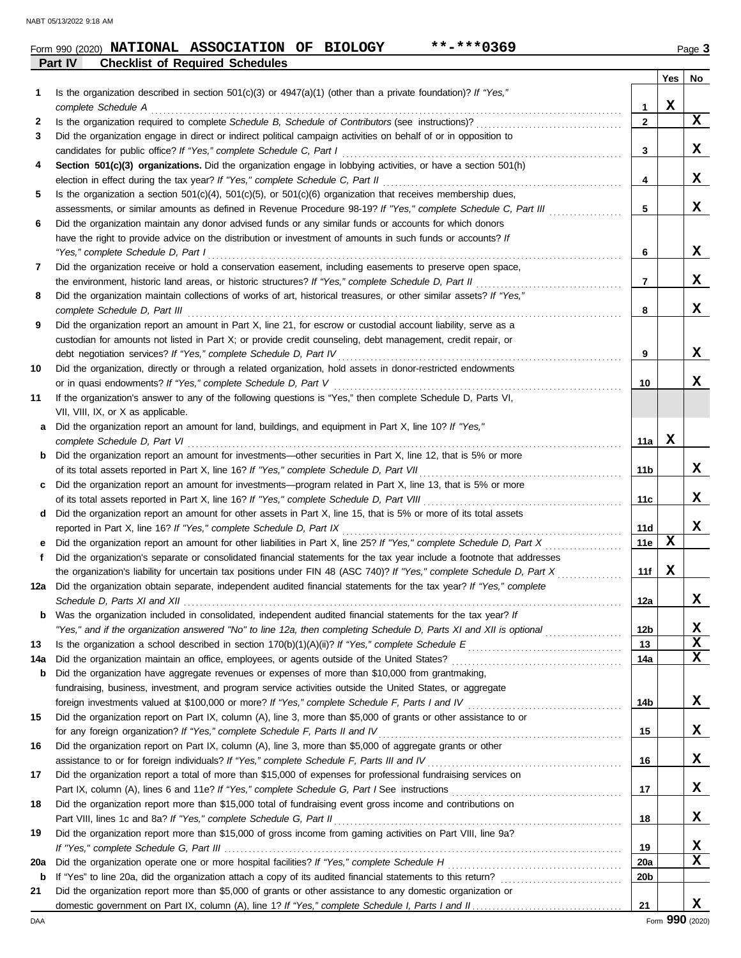| Form 990 (2020) | NATIONAL ASSOCIATION OF BIOLOGY        |  | **-***0369 |  | Page 3 |
|-----------------|----------------------------------------|--|------------|--|--------|
| Part IV         | <b>Checklist of Required Schedules</b> |  |            |  |        |

|     |                                                                                                                                                                                   |                 | Yes         | No          |
|-----|-----------------------------------------------------------------------------------------------------------------------------------------------------------------------------------|-----------------|-------------|-------------|
| 1   | Is the organization described in section $501(c)(3)$ or $4947(a)(1)$ (other than a private foundation)? If "Yes,"                                                                 |                 |             |             |
|     |                                                                                                                                                                                   | 1               | $\mathbf x$ |             |
| 2   |                                                                                                                                                                                   | $\overline{2}$  |             | X           |
| 3   | Did the organization engage in direct or indirect political campaign activities on behalf of or in opposition to                                                                  |                 |             |             |
|     | candidates for public office? If "Yes," complete Schedule C, Part I                                                                                                               | 3               |             | x           |
| 4   | Section 501(c)(3) organizations. Did the organization engage in lobbying activities, or have a section 501(h)                                                                     |                 |             |             |
|     |                                                                                                                                                                                   | 4               |             | X           |
| 5   | Is the organization a section $501(c)(4)$ , $501(c)(5)$ , or $501(c)(6)$ organization that receives membership dues,                                                              |                 |             |             |
|     | assessments, or similar amounts as defined in Revenue Procedure 98-19? If "Yes," complete Schedule C, Part III                                                                    | 5               |             | X           |
| 6   | Did the organization maintain any donor advised funds or any similar funds or accounts for which donors                                                                           |                 |             |             |
|     | have the right to provide advice on the distribution or investment of amounts in such funds or accounts? If                                                                       |                 |             |             |
|     | "Yes," complete Schedule D, Part I                                                                                                                                                | 6               |             | x           |
| 7   | Did the organization receive or hold a conservation easement, including easements to preserve open space,                                                                         |                 |             |             |
|     | the environment, historic land areas, or historic structures? If "Yes," complete Schedule D, Part II                                                                              | 7               |             | X           |
| 8   | Did the organization maintain collections of works of art, historical treasures, or other similar assets? If "Yes,"                                                               |                 |             | X           |
|     |                                                                                                                                                                                   | 8               |             |             |
| 9   | Did the organization report an amount in Part X, line 21, for escrow or custodial account liability, serve as a                                                                   |                 |             |             |
|     | custodian for amounts not listed in Part X; or provide credit counseling, debt management, credit repair, or                                                                      | 9               |             | x           |
| 10  | Did the organization, directly or through a related organization, hold assets in donor-restricted endowments                                                                      |                 |             |             |
|     | or in quasi endowments? If "Yes," complete Schedule D, Part V                                                                                                                     | 10              |             | X           |
| 11  | If the organization's answer to any of the following questions is "Yes," then complete Schedule D, Parts VI,                                                                      |                 |             |             |
|     | VII, VIII, IX, or X as applicable.                                                                                                                                                |                 |             |             |
|     | a Did the organization report an amount for land, buildings, and equipment in Part X, line 10? If "Yes,"                                                                          |                 |             |             |
|     |                                                                                                                                                                                   | 11a             | X           |             |
|     | <b>b</b> Did the organization report an amount for investments—other securities in Part X, line 12, that is 5% or more                                                            |                 |             |             |
|     |                                                                                                                                                                                   | 11 b            |             | X           |
| c   | Did the organization report an amount for investments—program related in Part X, line 13, that is 5% or more                                                                      |                 |             |             |
|     |                                                                                                                                                                                   | 11c             |             | x           |
|     | d Did the organization report an amount for other assets in Part X, line 15, that is 5% or more of its total assets                                                               |                 |             |             |
|     | reported in Part X, line 16? If "Yes," complete Schedule D, Part IX                                                                                                               | 11d             |             | X           |
| е   | Did the organization report an amount for other liabilities in Part X, line 25? If "Yes," complete Schedule D, Part X                                                             | 11e             | X           |             |
| f   | Did the organization's separate or consolidated financial statements for the tax year include a footnote that addresses                                                           |                 |             |             |
|     | the organization's liability for uncertain tax positions under FIN 48 (ASC 740)? If "Yes," complete Schedule D, Part X                                                            | 11f             | X           |             |
|     | 12a Did the organization obtain separate, independent audited financial statements for the tax year? If "Yes," complete                                                           |                 |             |             |
|     |                                                                                                                                                                                   | 12a             |             | X           |
| b   | Was the organization included in consolidated, independent audited financial statements for the tax year? If                                                                      |                 |             |             |
|     | "Yes," and if the organization answered "No" to line 12a, then completing Schedule D, Parts XI and XII is optional                                                                | 12 <sub>b</sub> |             | х           |
| 13  |                                                                                                                                                                                   | 13              |             | $\mathbf x$ |
| 14a |                                                                                                                                                                                   | 14a             |             | $\mathbf x$ |
| b   | Did the organization have aggregate revenues or expenses of more than \$10,000 from grantmaking,                                                                                  |                 |             |             |
|     | fundraising, business, investment, and program service activities outside the United States, or aggregate                                                                         |                 |             |             |
|     | foreign investments valued at \$100,000 or more? If "Yes," complete Schedule F, Parts I and IV [[[[[[[[[[[[[[[                                                                    | 14b             |             | X           |
| 15  | Did the organization report on Part IX, column (A), line 3, more than \$5,000 of grants or other assistance to or                                                                 |                 |             |             |
|     | for any foreign organization? If "Yes," complete Schedule F, Parts II and IV                                                                                                      | 15              |             | X           |
| 16  | Did the organization report on Part IX, column (A), line 3, more than \$5,000 of aggregate grants or other                                                                        |                 |             |             |
|     | assistance to or for foreign individuals? If "Yes," complete Schedule F, Parts III and IV [[[[[[[[[[[[[[[[[[[                                                                     | 16              |             | X           |
| 17  | Did the organization report a total of more than \$15,000 of expenses for professional fundraising services on                                                                    |                 |             | X           |
|     |                                                                                                                                                                                   | 17              |             |             |
| 18  | Did the organization report more than \$15,000 total of fundraising event gross income and contributions on<br>Part VIII, lines 1c and 8a? If "Yes," complete Schedule G, Part II | 18              |             | X           |
| 19  |                                                                                                                                                                                   |                 |             |             |
|     | Did the organization report more than \$15,000 of gross income from gaming activities on Part VIII, line 9a?                                                                      | 19              |             | X           |
| 20a |                                                                                                                                                                                   | 20a             |             | $\mathbf x$ |
| b   |                                                                                                                                                                                   | 20b             |             |             |
| 21  | Did the organization report more than \$5,000 of grants or other assistance to any domestic organization or                                                                       |                 |             |             |
|     |                                                                                                                                                                                   | 21              |             | X           |
|     |                                                                                                                                                                                   |                 |             |             |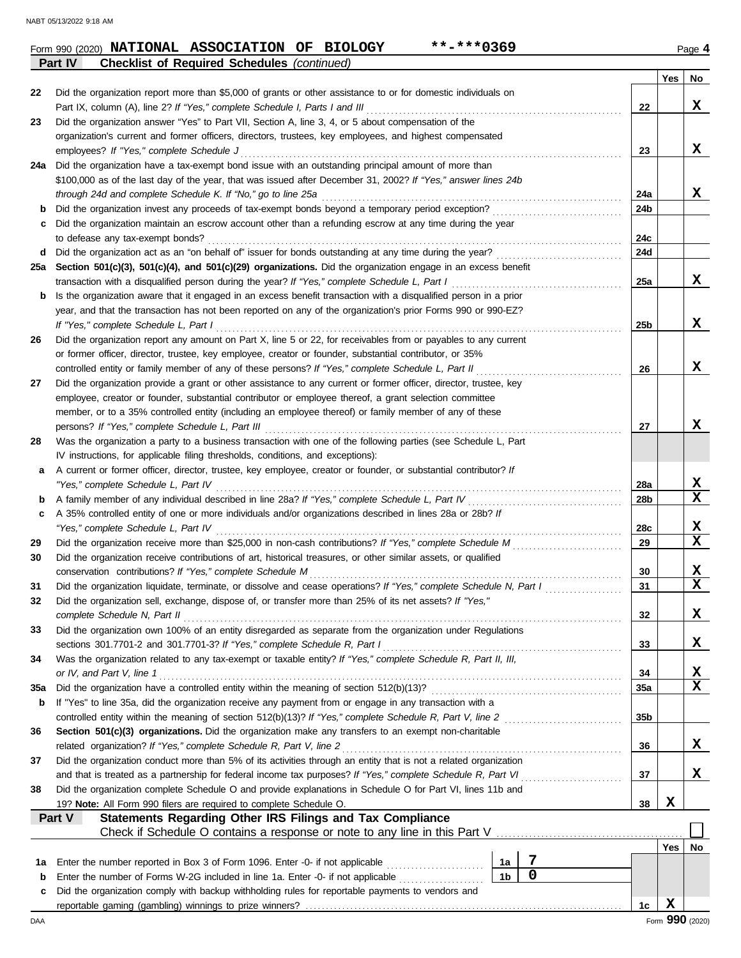**Part IV Checklist of Required Schedules** *(continued)*

|        |                                                                                                                                                                                                     |                |             |                 | Yes | No                      |
|--------|-----------------------------------------------------------------------------------------------------------------------------------------------------------------------------------------------------|----------------|-------------|-----------------|-----|-------------------------|
| 22     | Did the organization report more than \$5,000 of grants or other assistance to or for domestic individuals on                                                                                       |                |             |                 |     |                         |
|        | Part IX, column (A), line 2? If "Yes," complete Schedule I, Parts I and III                                                                                                                         |                |             | 22              |     | X                       |
| 23     | Did the organization answer "Yes" to Part VII, Section A, line 3, 4, or 5 about compensation of the                                                                                                 |                |             |                 |     |                         |
|        | organization's current and former officers, directors, trustees, key employees, and highest compensated                                                                                             |                |             |                 |     |                         |
|        | employees? If "Yes," complete Schedule J                                                                                                                                                            |                |             | 23              |     | X                       |
| 24a    | Did the organization have a tax-exempt bond issue with an outstanding principal amount of more than                                                                                                 |                |             |                 |     |                         |
|        | \$100,000 as of the last day of the year, that was issued after December 31, 2002? If "Yes," answer lines 24b                                                                                       |                |             |                 |     |                         |
|        | through 24d and complete Schedule K. If "No," go to line 25a                                                                                                                                        |                |             | 24a<br>24b      |     | X                       |
| b<br>c | Did the organization maintain an escrow account other than a refunding escrow at any time during the year                                                                                           |                |             |                 |     |                         |
|        | to defease any tax-exempt bonds?                                                                                                                                                                    |                |             | 24c             |     |                         |
| d      |                                                                                                                                                                                                     |                |             | 24d             |     |                         |
| 25a    | Section 501(c)(3), 501(c)(4), and 501(c)(29) organizations. Did the organization engage in an excess benefit                                                                                        |                |             |                 |     |                         |
|        | transaction with a disqualified person during the year? If "Yes," complete Schedule L, Part I                                                                                                       |                |             | 25a             |     | X                       |
| b      | Is the organization aware that it engaged in an excess benefit transaction with a disqualified person in a prior                                                                                    |                |             |                 |     |                         |
|        | year, and that the transaction has not been reported on any of the organization's prior Forms 990 or 990-EZ?                                                                                        |                |             |                 |     |                         |
|        | If "Yes," complete Schedule L, Part I                                                                                                                                                               |                |             | 25 <sub>b</sub> |     | X                       |
| 26     | Did the organization report any amount on Part X, line 5 or 22, for receivables from or payables to any current                                                                                     |                |             |                 |     |                         |
|        | or former officer, director, trustee, key employee, creator or founder, substantial contributor, or 35%                                                                                             |                |             |                 |     |                         |
|        | controlled entity or family member of any of these persons? If "Yes," complete Schedule L, Part II                                                                                                  |                |             | 26              |     | x                       |
| 27     | Did the organization provide a grant or other assistance to any current or former officer, director, trustee, key                                                                                   |                |             |                 |     |                         |
|        | employee, creator or founder, substantial contributor or employee thereof, a grant selection committee                                                                                              |                |             |                 |     |                         |
|        | member, or to a 35% controlled entity (including an employee thereof) or family member of any of these                                                                                              |                |             |                 |     |                         |
|        | persons? If "Yes," complete Schedule L, Part III                                                                                                                                                    |                |             | 27              |     | x                       |
| 28     | Was the organization a party to a business transaction with one of the following parties (see Schedule L, Part                                                                                      |                |             |                 |     |                         |
|        | IV instructions, for applicable filing thresholds, conditions, and exceptions):<br>A current or former officer, director, trustee, key employee, creator or founder, or substantial contributor? If |                |             |                 |     |                         |
| a      | "Yes," complete Schedule L, Part IV                                                                                                                                                                 |                |             | 28a             |     | x                       |
| b      | A family member of any individual described in line 28a? If "Yes," complete Schedule L, Part IV                                                                                                     |                |             | 28b             |     | $\mathbf x$             |
| c      | A 35% controlled entity of one or more individuals and/or organizations described in lines 28a or 28b? If                                                                                           |                |             |                 |     |                         |
|        | "Yes," complete Schedule L, Part IV                                                                                                                                                                 |                |             | 28c             |     | X                       |
| 29     |                                                                                                                                                                                                     |                |             | 29              |     | $\mathbf x$             |
| 30     | Did the organization receive contributions of art, historical treasures, or other similar assets, or qualified                                                                                      |                |             |                 |     |                         |
|        | conservation contributions? If "Yes," complete Schedule M                                                                                                                                           |                |             | 30              |     | X                       |
| 31     | Did the organization liquidate, terminate, or dissolve and cease operations? If "Yes," complete Schedule N, Part I                                                                                  |                |             | 31              |     | $\overline{\mathbf{x}}$ |
| 32     | Did the organization sell, exchange, dispose of, or transfer more than 25% of its net assets? If "Yes,"                                                                                             |                |             |                 |     |                         |
|        | complete Schedule N, Part II                                                                                                                                                                        |                |             | 32              |     | х                       |
| 33     | Did the organization own 100% of an entity disregarded as separate from the organization under Regulations                                                                                          |                |             |                 |     |                         |
|        | sections 301.7701-2 and 301.7701-3? If "Yes," complete Schedule R, Part I                                                                                                                           |                |             | 33              |     | x                       |
| 34     | Was the organization related to any tax-exempt or taxable entity? If "Yes," complete Schedule R, Part II, III,                                                                                      |                |             |                 |     |                         |
| 35a    | or IV, and Part V, line 1                                                                                                                                                                           |                |             | 34<br>35a       |     | X<br>$\mathbf x$        |
| b      | If "Yes" to line 35a, did the organization receive any payment from or engage in any transaction with a                                                                                             |                |             |                 |     |                         |
|        | controlled entity within the meaning of section 512(b)(13)? If "Yes," complete Schedule R, Part V, line 2                                                                                           |                |             | 35b             |     |                         |
| 36     | Section 501(c)(3) organizations. Did the organization make any transfers to an exempt non-charitable                                                                                                |                |             |                 |     |                         |
|        | related organization? If "Yes," complete Schedule R, Part V, line 2                                                                                                                                 |                |             | 36              |     | X,                      |
| 37     | Did the organization conduct more than 5% of its activities through an entity that is not a related organization                                                                                    |                |             |                 |     |                         |
|        | and that is treated as a partnership for federal income tax purposes? If "Yes," complete Schedule R, Part VI                                                                                        |                |             | 37              |     | X                       |
| 38     | Did the organization complete Schedule O and provide explanations in Schedule O for Part VI, lines 11b and                                                                                          |                |             |                 |     |                         |
|        | 19? Note: All Form 990 filers are required to complete Schedule O.                                                                                                                                  |                |             | 38              | X   |                         |
|        | Statements Regarding Other IRS Filings and Tax Compliance<br>Part V                                                                                                                                 |                |             |                 |     |                         |
|        |                                                                                                                                                                                                     |                |             |                 |     |                         |
|        |                                                                                                                                                                                                     |                |             |                 | Yes | No                      |
| 1а     | Enter the number reported in Box 3 of Form 1096. Enter -0- if not applicable                                                                                                                        | 1a             | 7           |                 |     |                         |
| b      | Enter the number of Forms W-2G included in line 1a. Enter -0- if not applicable                                                                                                                     | 1 <sub>b</sub> | $\mathbf 0$ |                 |     |                         |
| c      | Did the organization comply with backup withholding rules for reportable payments to vendors and                                                                                                    |                |             |                 |     |                         |
|        |                                                                                                                                                                                                     |                |             | 1c              | X   | Form 990 (2020)         |
| DAA    |                                                                                                                                                                                                     |                |             |                 |     |                         |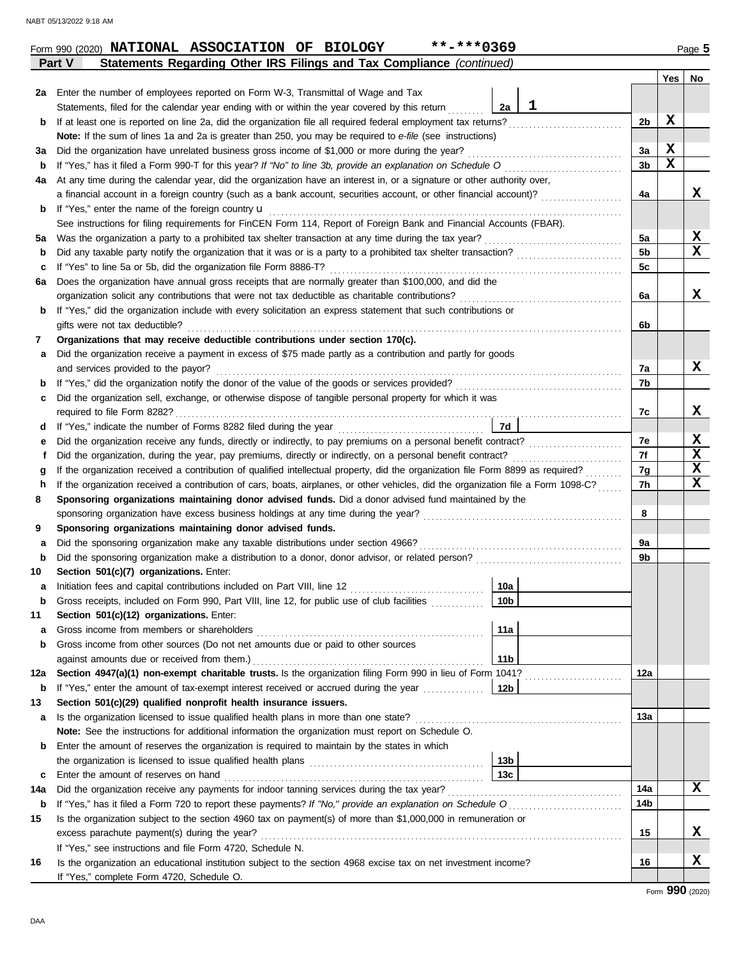| 2a  | Enter the number of employees reported on Form W-3, Transmittal of Wage and Tax                                                    |                 |   |                |             |                 |
|-----|------------------------------------------------------------------------------------------------------------------------------------|-----------------|---|----------------|-------------|-----------------|
|     | Statements, filed for the calendar year ending with or within the year covered by this return                                      | 2a              | 1 |                |             |                 |
| b   | If at least one is reported on line 2a, did the organization file all required federal employment tax returns?                     |                 |   | 2b             | х           |                 |
|     | Note: If the sum of lines 1a and 2a is greater than 250, you may be required to e-file (see instructions)                          |                 |   |                |             |                 |
| За  | Did the organization have unrelated business gross income of \$1,000 or more during the year?                                      |                 |   | За             | X           |                 |
| b   | If "Yes," has it filed a Form 990-T for this year? If "No" to line 3b, provide an explanation on Schedule O                        |                 |   | 3b             | $\mathbf x$ |                 |
| 4a  | At any time during the calendar year, did the organization have an interest in, or a signature or other authority over,            |                 |   |                |             |                 |
|     | a financial account in a foreign country (such as a bank account, securities account, or other financial account)?                 |                 |   | 4a             |             | x               |
| b   | If "Yes," enter the name of the foreign country <b>u</b>                                                                           |                 |   |                |             |                 |
|     | See instructions for filing requirements for FinCEN Form 114, Report of Foreign Bank and Financial Accounts (FBAR).                |                 |   |                |             |                 |
| 5а  | Was the organization a party to a prohibited tax shelter transaction at any time during the tax year?                              |                 |   | 5a             |             | X               |
| b   | Did any taxable party notify the organization that it was or is a party to a prohibited tax shelter transaction?                   |                 |   | 5 <sub>b</sub> |             | X               |
| c   | If "Yes" to line 5a or 5b, did the organization file Form 8886-T?                                                                  |                 |   | 5c             |             |                 |
| 6а  | Does the organization have annual gross receipts that are normally greater than \$100,000, and did the                             |                 |   |                |             |                 |
|     | organization solicit any contributions that were not tax deductible as charitable contributions?                                   |                 |   | 6a             |             | X               |
| b   | If "Yes," did the organization include with every solicitation an express statement that such contributions or                     |                 |   |                |             |                 |
|     | gifts were not tax deductible?                                                                                                     |                 |   | 6b             |             |                 |
| 7   | Organizations that may receive deductible contributions under section 170(c).                                                      |                 |   |                |             |                 |
| а   | Did the organization receive a payment in excess of \$75 made partly as a contribution and partly for goods                        |                 |   |                |             |                 |
|     | and services provided to the payor?                                                                                                |                 |   | 7a             |             | x               |
| b   |                                                                                                                                    |                 |   | 7b             |             |                 |
| с   | Did the organization sell, exchange, or otherwise dispose of tangible personal property for which it was                           |                 |   |                |             |                 |
|     | required to file Form 8282?                                                                                                        |                 |   | 7c             |             | X.              |
| d   |                                                                                                                                    | 7d              |   |                |             |                 |
| е   | Did the organization receive any funds, directly or indirectly, to pay premiums on a personal benefit contract?                    |                 |   | 7e             |             | X               |
|     | Did the organization, during the year, pay premiums, directly or indirectly, on a personal benefit contract?                       |                 |   | 7f             |             | $\mathbf x$     |
| g   | If the organization received a contribution of qualified intellectual property, did the organization file Form 8899 as required?   |                 |   | 7g             |             | $\mathbf x$     |
| h   | If the organization received a contribution of cars, boats, airplanes, or other vehicles, did the organization file a Form 1098-C? |                 |   | 7h             |             | X               |
| 8   | Sponsoring organizations maintaining donor advised funds. Did a donor advised fund maintained by the                               |                 |   |                |             |                 |
|     | sponsoring organization have excess business holdings at any time during the year?                                                 |                 |   | 8              |             |                 |
| 9   | Sponsoring organizations maintaining donor advised funds.                                                                          |                 |   |                |             |                 |
| а   | Did the sponsoring organization make any taxable distributions under section 4966?                                                 |                 |   | 9a             |             |                 |
| b   | Did the sponsoring organization make a distribution to a donor, donor advisor, or related person?                                  |                 |   | 9b             |             |                 |
| 10  | Section 501(c)(7) organizations. Enter:                                                                                            |                 |   |                |             |                 |
| а   | Initiation fees and capital contributions included on Part VIII, line 12                                                           | 10a             |   |                |             |                 |
| b   | Gross receipts, included on Form 990, Part VIII, line 12, for public use of club facilities                                        | 10 <sub>b</sub> |   |                |             |                 |
| 11  | Section 501(c)(12) organizations. Enter:                                                                                           |                 |   |                |             |                 |
| а   | Gross income from members or shareholders                                                                                          | 11a             |   |                |             |                 |
| b   | Gross income from other sources (Do not net amounts due or paid to other sources                                                   |                 |   |                |             |                 |
|     | against amounts due or received from them.)                                                                                        | 11 <sub>b</sub> |   |                |             |                 |
| 12a | Section 4947(a)(1) non-exempt charitable trusts. Is the organization filing Form 990 in lieu of Form 1041?                         |                 |   | 12a            |             |                 |
| b   | If "Yes," enter the amount of tax-exempt interest received or accrued during the year                                              | 12b             |   |                |             |                 |
| 13  | Section 501(c)(29) qualified nonprofit health insurance issuers.                                                                   |                 |   |                |             |                 |
| а   | Is the organization licensed to issue qualified health plans in more than one state?                                               |                 |   | 13а            |             |                 |
|     | Note: See the instructions for additional information the organization must report on Schedule O.                                  |                 |   |                |             |                 |
| b   | Enter the amount of reserves the organization is required to maintain by the states in which                                       |                 |   |                |             |                 |
|     |                                                                                                                                    | 13b             |   |                |             |                 |
| c   | Enter the amount of reserves on hand                                                                                               | 13 <sub>c</sub> |   |                |             |                 |
| 14a | Did the organization receive any payments for indoor tanning services during the tax year?                                         |                 |   | 14a            |             | X               |
| b   | If "Yes," has it filed a Form 720 to report these payments? If "No," provide an explanation on Schedule O                          |                 |   | 14b            |             |                 |
| 15  | Is the organization subject to the section 4960 tax on payment(s) of more than \$1,000,000 in remuneration or                      |                 |   |                |             |                 |
|     | excess parachute payment(s) during the year?                                                                                       |                 |   | 15             |             | x               |
|     | If "Yes," see instructions and file Form 4720, Schedule N.                                                                         |                 |   |                |             |                 |
| 16  | Is the organization an educational institution subject to the section 4968 excise tax on net investment income?                    |                 |   | 16             |             | x               |
|     | If "Yes," complete Form 4720, Schedule O.                                                                                          |                 |   |                |             |                 |
|     |                                                                                                                                    |                 |   |                |             | Form 990 (2020) |

**Part V Statements Regarding Other IRS Filings and Tax Compliance** *(continued)*

#### DAA

**Yes No**

L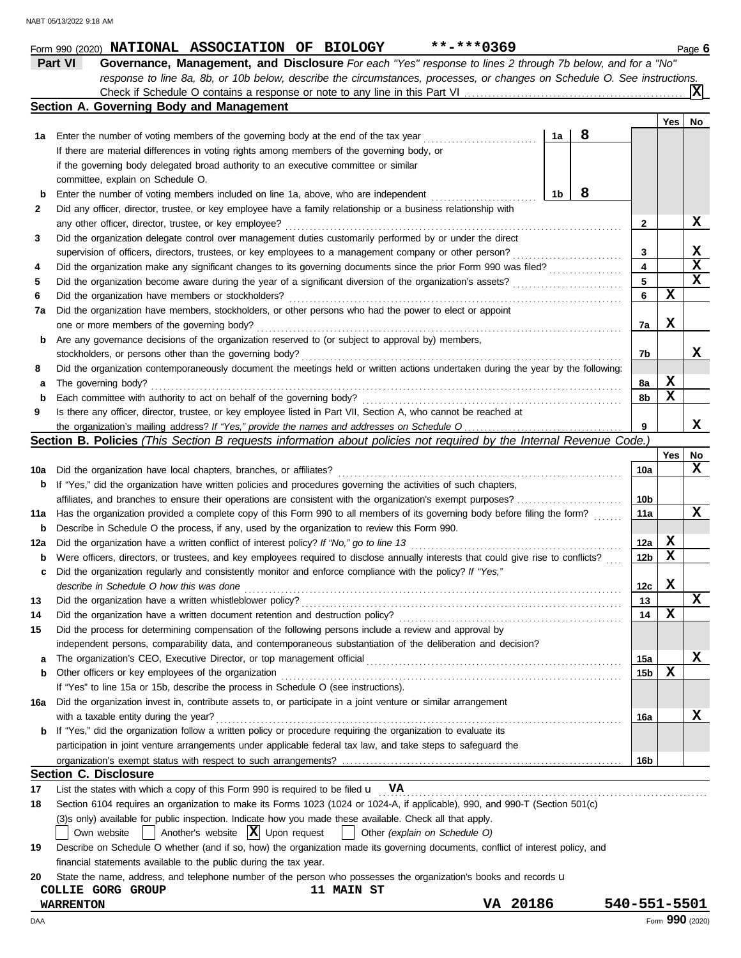|  | Form 990 (2020) NATIONAL ASSOCIATION OF BIOLOGY |  | **-***0369 | Page to |
|--|-------------------------------------------------|--|------------|---------|
|  |                                                 |  |            |         |

**Part VI Governance, Management, and Disclosure** *For each "Yes" response to lines 2 through 7b below, and for a "No" response to line 8a, 8b, or 10b below, describe the circumstances, processes, or changes on Schedule O. See instructions.* Check if Schedule O contains a response or note to any line in this Part VI **X**

|             | Section A. Governing Body and Management                                                                                            |    |   |                 |            |             |
|-------------|-------------------------------------------------------------------------------------------------------------------------------------|----|---|-----------------|------------|-------------|
|             |                                                                                                                                     |    |   |                 | <b>Yes</b> | No          |
| 1а          | Enter the number of voting members of the governing body at the end of the tax year                                                 | 1a | 8 |                 |            |             |
|             | If there are material differences in voting rights among members of the governing body, or                                          |    |   |                 |            |             |
|             | if the governing body delegated broad authority to an executive committee or similar                                                |    |   |                 |            |             |
|             | committee, explain on Schedule O.                                                                                                   |    |   |                 |            |             |
| $\mathbf b$ | Enter the number of voting members included on line 1a, above, who are independent                                                  | 1b | 8 |                 |            |             |
| 2           | Did any officer, director, trustee, or key employee have a family relationship or a business relationship with                      |    |   |                 |            |             |
|             | any other officer, director, trustee, or key employee?                                                                              |    |   | 2               |            | X           |
| З           | Did the organization delegate control over management duties customarily performed by or under the direct                           |    |   |                 |            |             |
|             | supervision of officers, directors, trustees, or key employees to a management company or other person?                             |    |   | 3               |            | X           |
| 4           | Did the organization make any significant changes to its governing documents since the prior Form 990 was filed?                    |    |   | 4               |            | $\mathbf x$ |
| 5           | Did the organization become aware during the year of a significant diversion of the organization's assets?                          |    |   | 5               |            | $\mathbf x$ |
| 6           | Did the organization have members or stockholders?                                                                                  |    |   | 6               | X          |             |
| 7a          | Did the organization have members, stockholders, or other persons who had the power to elect or appoint                             |    |   |                 |            |             |
|             | one or more members of the governing body?                                                                                          |    |   | 7a              | х          |             |
| b           | Are any governance decisions of the organization reserved to (or subject to approval by) members,                                   |    |   |                 |            |             |
|             | stockholders, or persons other than the governing body?                                                                             |    |   | 7b              |            | х           |
| 8           | Did the organization contemporaneously document the meetings held or written actions undertaken during the year by the following:   |    |   |                 |            |             |
| а           | The governing body?                                                                                                                 |    |   | 8a              | X          |             |
| $\mathbf b$ | Each committee with authority to act on behalf of the governing body?                                                               |    |   | 8b              | x          |             |
| 9           | Is there any officer, director, trustee, or key employee listed in Part VII, Section A, who cannot be reached at                    |    |   |                 |            |             |
|             |                                                                                                                                     |    |   | 9               |            | х           |
|             | <b>Section B. Policies</b> (This Section B requests information about policies not required by the Internal Revenue Code.)          |    |   |                 |            |             |
|             |                                                                                                                                     |    |   |                 | <b>Yes</b> | No          |
| 10a         | Did the organization have local chapters, branches, or affiliates?                                                                  |    |   | 10a             |            | X           |
| b           | If "Yes," did the organization have written policies and procedures governing the activities of such chapters,                      |    |   |                 |            |             |
|             |                                                                                                                                     |    |   | 10b             |            |             |
| 11a         | Has the organization provided a complete copy of this Form 990 to all members of its governing body before filing the form?         |    |   | 11a             |            | x           |
| b           | Describe in Schedule O the process, if any, used by the organization to review this Form 990.                                       |    |   |                 |            |             |
| 12a         | Did the organization have a written conflict of interest policy? If "No," go to line 13                                             |    |   | 12a             | X          |             |
| b           | Were officers, directors, or trustees, and key employees required to disclose annually interests that could give rise to conflicts? |    |   | 12 <sub>b</sub> | x          |             |
| c           | Did the organization regularly and consistently monitor and enforce compliance with the policy? If "Yes,"                           |    |   |                 |            |             |
|             | describe in Schedule O how this was done                                                                                            |    |   | 12c             | х          |             |
| 13          | Did the organization have a written whistleblower policy?                                                                           |    |   | 13              |            | X           |
| 14          |                                                                                                                                     |    |   | 14              | X          |             |
| 15          | Did the process for determining compensation of the following persons include a review and approval by                              |    |   |                 |            |             |
|             | independent persons, comparability data, and contemporaneous substantiation of the deliberation and decision?                       |    |   |                 |            |             |
| a           | The organization's CEO, Executive Director, or top management official                                                              |    |   | 15a             |            | X           |
| b           | Other officers or key employees of the organization                                                                                 |    |   | 15b             | X          |             |
|             | If "Yes" to line 15a or 15b, describe the process in Schedule O (see instructions).                                                 |    |   |                 |            |             |
| 16a         | Did the organization invest in, contribute assets to, or participate in a joint venture or similar arrangement                      |    |   |                 |            |             |
|             | with a taxable entity during the year?                                                                                              |    |   | 16a             |            | X           |
| b           | If "Yes," did the organization follow a written policy or procedure requiring the organization to evaluate its                      |    |   |                 |            |             |
|             | participation in joint venture arrangements under applicable federal tax law, and take steps to safeguard the                       |    |   |                 |            |             |
|             |                                                                                                                                     |    |   | 16b             |            |             |
|             | <b>Section C. Disclosure</b>                                                                                                        |    |   |                 |            |             |
| 17          | List the states with which a copy of this Form 990 is required to be filed $\mathbf{u}$ VA                                          |    |   |                 |            |             |
| 18          | Section 6104 requires an organization to make its Forms 1023 (1024 or 1024-A, if applicable), 990, and 990-T (Section 501(c)        |    |   |                 |            |             |
|             | (3)s only) available for public inspection. Indicate how you made these available. Check all that apply.                            |    |   |                 |            |             |
|             | Another's website $ \mathbf{X} $ Upon request<br>Other (explain on Schedule O)<br>Own website                                       |    |   |                 |            |             |
| 19          | Describe on Schedule O whether (and if so, how) the organization made its governing documents, conflict of interest policy, and     |    |   |                 |            |             |
|             | financial statements available to the public during the tax year.                                                                   |    |   |                 |            |             |
| 20          | State the name, address, and telephone number of the person who possesses the organization's books and records u                    |    |   |                 |            |             |

# **COLLIE GORG GROUP 11 MAIN ST**

DAA Form **990** (2020)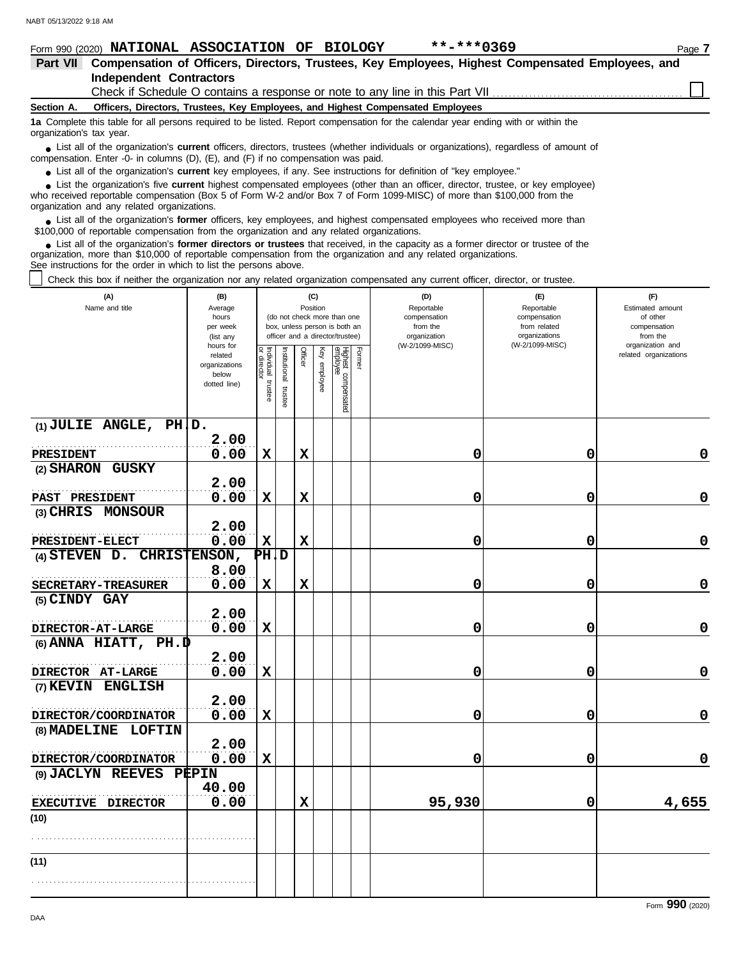|                          |                                                                    |     | Form 990 (2020) NATIONAL ASSOCIATION OF BIOLOGY                                           | $***$ -***0369                                                                                                                                                                                                                                            |                                    | Page 7                                                                                                                                                                                                                               |
|--------------------------|--------------------------------------------------------------------|-----|-------------------------------------------------------------------------------------------|-----------------------------------------------------------------------------------------------------------------------------------------------------------------------------------------------------------------------------------------------------------|------------------------------------|--------------------------------------------------------------------------------------------------------------------------------------------------------------------------------------------------------------------------------------|
| <b>Part VII</b>          |                                                                    |     |                                                                                           | Compensation of Officers, Directors, Trustees, Key Employees, Highest Compensated Employees, and                                                                                                                                                          |                                    |                                                                                                                                                                                                                                      |
|                          | <b>Independent Contractors</b>                                     |     |                                                                                           |                                                                                                                                                                                                                                                           |                                    |                                                                                                                                                                                                                                      |
|                          |                                                                    |     |                                                                                           |                                                                                                                                                                                                                                                           |                                    |                                                                                                                                                                                                                                      |
| Section A.               |                                                                    |     |                                                                                           | Officers, Directors, Trustees, Key Employees, and Highest Compensated Employees                                                                                                                                                                           |                                    |                                                                                                                                                                                                                                      |
| organization's tax year. |                                                                    |     |                                                                                           | 1a Complete this table for all persons required to be listed. Report compensation for the calendar year ending with or within the                                                                                                                         |                                    |                                                                                                                                                                                                                                      |
|                          |                                                                    |     | compensation. Enter -0- in columns $(D)$ , $(E)$ , and $(F)$ if no compensation was paid. | List all of the organization's <b>current</b> officers, directors, trustees (whether individuals or organizations), regardless of amount of                                                                                                               |                                    |                                                                                                                                                                                                                                      |
|                          |                                                                    |     |                                                                                           | • List all of the organization's current key employees, if any. See instructions for definition of "key employee."                                                                                                                                        |                                    |                                                                                                                                                                                                                                      |
|                          | organization and any related organizations.                        |     |                                                                                           | List the organization's five current highest compensated employees (other than an officer, director, trustee, or key employee)<br>who received reportable compensation (Box 5 of Form W-2 and/or Box 7 of Form 1099-MISC) of more than \$100,000 from the |                                    |                                                                                                                                                                                                                                      |
|                          |                                                                    |     | \$100,000 of reportable compensation from the organization and any related organizations. | • List all of the organization's former officers, key employees, and highest compensated employees who received more than                                                                                                                                 |                                    |                                                                                                                                                                                                                                      |
|                          | See instructions for the order in which to list the persons above. |     |                                                                                           | • List all of the organization's former directors or trustees that received, in the capacity as a former director or trustee of the<br>organization, more than \$10,000 of reportable compensation from the organization and any related organizations.   |                                    |                                                                                                                                                                                                                                      |
|                          |                                                                    |     |                                                                                           | Check this box if neither the organization nor any related organization compensated any current officer, director, or trustee.                                                                                                                            |                                    |                                                                                                                                                                                                                                      |
|                          | (A)<br>Million and Called and Address and Address                  | (B) | (C)                                                                                       | (D)<br>Designation of the local state of                                                                                                                                                                                                                  | (E)<br>Designation of the light of | (F)<br>Explorer of a state of the state of the state of the state of the state of the state of the state of the state of the state of the state of the state of the state of the state of the state of the state of the state of the |

| (A)<br>Name and title       | (B)<br>Average<br>hours<br>per week<br>(list any<br>hours for |                                   |                      |             | (C)<br>Position | (do not check more than one<br>box, unless person is both an<br>officer and a director/trustee) |        | (D)<br>Reportable<br>compensation<br>from the<br>organization<br>(W-2/1099-MISC) | (E)<br>Reportable<br>compensation<br>from related<br>organizations<br>(W-2/1099-MISC) | (F)<br>Estimated amount<br>of other<br>compensation<br>from the<br>organization and |
|-----------------------------|---------------------------------------------------------------|-----------------------------------|----------------------|-------------|-----------------|-------------------------------------------------------------------------------------------------|--------|----------------------------------------------------------------------------------|---------------------------------------------------------------------------------------|-------------------------------------------------------------------------------------|
|                             | related<br>organizations<br>below<br>dotted line)             | Individual trustee<br>or director | nstitutional trustee | Officer     | Ķey<br>employee | Highest compensated<br>employee                                                                 | Former |                                                                                  |                                                                                       | related organizations                                                               |
| $(1)$ JULIE ANGLE, PH, D.   | 2.00                                                          |                                   |                      |             |                 |                                                                                                 |        |                                                                                  |                                                                                       |                                                                                     |
| PRESIDENT                   | 0.00                                                          | $\mathbf x$                       |                      | $\mathbf x$ |                 |                                                                                                 |        | 0                                                                                | 0                                                                                     | 0                                                                                   |
| (2) SHARON GUSKY            | 2.00                                                          |                                   |                      |             |                 |                                                                                                 |        |                                                                                  |                                                                                       |                                                                                     |
| <b>PAST PRESIDENT</b>       | 0.00                                                          | $\mathbf x$                       |                      | $\mathbf x$ |                 |                                                                                                 |        | 0                                                                                | 0                                                                                     | 0                                                                                   |
| (3) CHRIS MONSOUR           | 2.00                                                          |                                   |                      |             |                 |                                                                                                 |        |                                                                                  |                                                                                       |                                                                                     |
| <b>PRESIDENT-ELECT</b>      | 0.00                                                          | $\mathbf x$                       |                      | $\mathbf x$ |                 |                                                                                                 |        | 0                                                                                | 0                                                                                     | 0                                                                                   |
| $(4)$ STEVEN D.             | CHRISTENSON,                                                  | PHID                              |                      |             |                 |                                                                                                 |        |                                                                                  |                                                                                       |                                                                                     |
|                             | 8.00                                                          |                                   |                      |             |                 |                                                                                                 |        |                                                                                  |                                                                                       |                                                                                     |
| SECRETARY-TREASURER         | 0.00                                                          | $\mathbf x$                       |                      | $\mathbf x$ |                 |                                                                                                 |        | 0                                                                                | 0                                                                                     | 0                                                                                   |
| (5) CINDY GAY               |                                                               |                                   |                      |             |                 |                                                                                                 |        |                                                                                  |                                                                                       |                                                                                     |
|                             | 2.00                                                          |                                   |                      |             |                 |                                                                                                 |        |                                                                                  |                                                                                       |                                                                                     |
| DIRECTOR-AT-LARGE           | 0.00                                                          | $\mathbf x$                       |                      |             |                 |                                                                                                 |        | 0                                                                                | 0                                                                                     | 0                                                                                   |
| (6) ANNA HIATT, $PH.D$      |                                                               |                                   |                      |             |                 |                                                                                                 |        |                                                                                  |                                                                                       |                                                                                     |
|                             | 2.00                                                          |                                   |                      |             |                 |                                                                                                 |        |                                                                                  |                                                                                       |                                                                                     |
| DIRECTOR AT-LARGE           | 0.00                                                          | $\mathbf x$                       |                      |             |                 |                                                                                                 |        | 0                                                                                | 0                                                                                     | 0                                                                                   |
| (7) KEVIN<br><b>ENGLISH</b> |                                                               |                                   |                      |             |                 |                                                                                                 |        |                                                                                  |                                                                                       |                                                                                     |
|                             | 2.00                                                          |                                   |                      |             |                 |                                                                                                 |        |                                                                                  |                                                                                       |                                                                                     |
| DIRECTOR/COORDINATOR        | 0.00                                                          | X                                 |                      |             |                 |                                                                                                 |        | 0                                                                                | 0                                                                                     | 0                                                                                   |
| (8) MADELINE LOFTIN         |                                                               |                                   |                      |             |                 |                                                                                                 |        |                                                                                  |                                                                                       |                                                                                     |
|                             | 2.00                                                          |                                   |                      |             |                 |                                                                                                 |        |                                                                                  |                                                                                       |                                                                                     |
| DIRECTOR/COORDINATOR        | 0.00                                                          | $\mathbf x$                       |                      |             |                 |                                                                                                 |        | 0                                                                                | 0                                                                                     | 0                                                                                   |
| (9) JACLYN REEVES PEPIN     | 40.00                                                         |                                   |                      |             |                 |                                                                                                 |        |                                                                                  |                                                                                       |                                                                                     |
| EXECUTIVE DIRECTOR          | 0.00                                                          |                                   |                      | $\mathbf x$ |                 |                                                                                                 |        | 95,930                                                                           | 0                                                                                     | 4,655                                                                               |
| (10)                        |                                                               |                                   |                      |             |                 |                                                                                                 |        |                                                                                  |                                                                                       |                                                                                     |
| (11)                        |                                                               |                                   |                      |             |                 |                                                                                                 |        |                                                                                  |                                                                                       |                                                                                     |
|                             |                                                               |                                   |                      |             |                 |                                                                                                 |        |                                                                                  |                                                                                       |                                                                                     |

Form **990** (2020)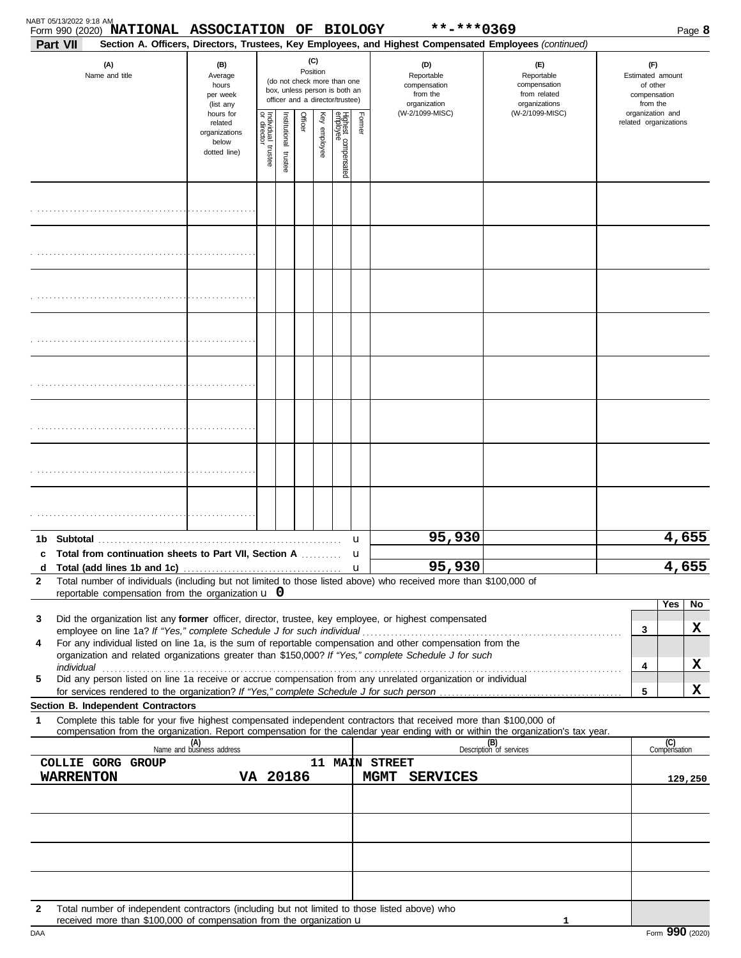| (C)<br>(D)<br>(F)<br>(A)<br>(B)<br>(E)<br>Position<br>Name and title<br>Reportable<br>Reportable<br>Estimated amount<br>Average<br>(do not check more than one<br>compensation<br>hours<br>compensation<br>of other<br>box, unless person is both an<br>from the<br>from related<br>per week<br>compensation<br>officer and a director/trustee)<br>organizations<br>organization<br>from the<br>(list any<br>(W-2/1099-MISC)<br>(W-2/1099-MISC)<br>organization and<br>hours for<br>Individual<br>Officer<br>Highest compensated<br>employee<br>Former<br>Institutional trustee<br>Key employee<br>related organizations<br>related<br>organizations<br>below<br>trustee<br>dotted line)<br>95,930<br>u<br>Total from continuation sheets to Part VII, Section A<br>u<br>95,930<br>u<br>Total number of individuals (including but not limited to those listed above) who received more than \$100,000 of<br>2<br>reportable compensation from the organization $\mathbf u$ 0<br>Yes<br>Did the organization list any former officer, director, trustee, key employee, or highest compensated<br>3<br>3<br>For any individual listed on line 1a, is the sum of reportable compensation and other compensation from the<br>4<br>organization and related organizations greater than \$150,000? If "Yes," complete Schedule J for such<br>4<br>individual<br>Did any person listed on line 1a receive or accrue compensation from any unrelated organization or individual<br>5<br>5<br>Section B. Independent Contractors<br>Complete this table for your five highest compensated independent contractors that received more than \$100,000 of<br>1<br>compensation from the organization. Report compensation for the calendar year ending with or within the organization's tax year.<br>(B)<br>Description of services<br>(C)<br>Compensation<br>(A)<br>Name and business address<br>11 MAIN STREET<br><b>COLLIE GORG GROUP</b><br>VA 20186<br>WARRENTON<br>MGMT SERVICES<br>129,250<br>Total number of independent contractors (including but not limited to those listed above) who<br>$\mathbf{2}$ | Part VII | Form 990 (2020) NATIONAL ASSOCIATION OF BIOLOGY |  |  |  | **-***0369<br>Section A. Officers, Directors, Trustees, Key Employees, and Highest Compensated Employees (continued) |  | Page 8 |
|----------------------------------------------------------------------------------------------------------------------------------------------------------------------------------------------------------------------------------------------------------------------------------------------------------------------------------------------------------------------------------------------------------------------------------------------------------------------------------------------------------------------------------------------------------------------------------------------------------------------------------------------------------------------------------------------------------------------------------------------------------------------------------------------------------------------------------------------------------------------------------------------------------------------------------------------------------------------------------------------------------------------------------------------------------------------------------------------------------------------------------------------------------------------------------------------------------------------------------------------------------------------------------------------------------------------------------------------------------------------------------------------------------------------------------------------------------------------------------------------------------------------------------------------------------------------------------------------------------------------------------------------------------------------------------------------------------------------------------------------------------------------------------------------------------------------------------------------------------------------------------------------------------------------------------------------------------------------------------------------------------------------------------------------------------------------------------------------------------|----------|-------------------------------------------------|--|--|--|----------------------------------------------------------------------------------------------------------------------|--|--------|
|                                                                                                                                                                                                                                                                                                                                                                                                                                                                                                                                                                                                                                                                                                                                                                                                                                                                                                                                                                                                                                                                                                                                                                                                                                                                                                                                                                                                                                                                                                                                                                                                                                                                                                                                                                                                                                                                                                                                                                                                                                                                                                          |          |                                                 |  |  |  |                                                                                                                      |  |        |
|                                                                                                                                                                                                                                                                                                                                                                                                                                                                                                                                                                                                                                                                                                                                                                                                                                                                                                                                                                                                                                                                                                                                                                                                                                                                                                                                                                                                                                                                                                                                                                                                                                                                                                                                                                                                                                                                                                                                                                                                                                                                                                          |          |                                                 |  |  |  |                                                                                                                      |  |        |
|                                                                                                                                                                                                                                                                                                                                                                                                                                                                                                                                                                                                                                                                                                                                                                                                                                                                                                                                                                                                                                                                                                                                                                                                                                                                                                                                                                                                                                                                                                                                                                                                                                                                                                                                                                                                                                                                                                                                                                                                                                                                                                          |          |                                                 |  |  |  |                                                                                                                      |  |        |
|                                                                                                                                                                                                                                                                                                                                                                                                                                                                                                                                                                                                                                                                                                                                                                                                                                                                                                                                                                                                                                                                                                                                                                                                                                                                                                                                                                                                                                                                                                                                                                                                                                                                                                                                                                                                                                                                                                                                                                                                                                                                                                          |          |                                                 |  |  |  |                                                                                                                      |  |        |
|                                                                                                                                                                                                                                                                                                                                                                                                                                                                                                                                                                                                                                                                                                                                                                                                                                                                                                                                                                                                                                                                                                                                                                                                                                                                                                                                                                                                                                                                                                                                                                                                                                                                                                                                                                                                                                                                                                                                                                                                                                                                                                          |          |                                                 |  |  |  |                                                                                                                      |  |        |
|                                                                                                                                                                                                                                                                                                                                                                                                                                                                                                                                                                                                                                                                                                                                                                                                                                                                                                                                                                                                                                                                                                                                                                                                                                                                                                                                                                                                                                                                                                                                                                                                                                                                                                                                                                                                                                                                                                                                                                                                                                                                                                          |          |                                                 |  |  |  |                                                                                                                      |  |        |
|                                                                                                                                                                                                                                                                                                                                                                                                                                                                                                                                                                                                                                                                                                                                                                                                                                                                                                                                                                                                                                                                                                                                                                                                                                                                                                                                                                                                                                                                                                                                                                                                                                                                                                                                                                                                                                                                                                                                                                                                                                                                                                          |          |                                                 |  |  |  |                                                                                                                      |  |        |
|                                                                                                                                                                                                                                                                                                                                                                                                                                                                                                                                                                                                                                                                                                                                                                                                                                                                                                                                                                                                                                                                                                                                                                                                                                                                                                                                                                                                                                                                                                                                                                                                                                                                                                                                                                                                                                                                                                                                                                                                                                                                                                          |          |                                                 |  |  |  |                                                                                                                      |  |        |
|                                                                                                                                                                                                                                                                                                                                                                                                                                                                                                                                                                                                                                                                                                                                                                                                                                                                                                                                                                                                                                                                                                                                                                                                                                                                                                                                                                                                                                                                                                                                                                                                                                                                                                                                                                                                                                                                                                                                                                                                                                                                                                          |          |                                                 |  |  |  |                                                                                                                      |  |        |
|                                                                                                                                                                                                                                                                                                                                                                                                                                                                                                                                                                                                                                                                                                                                                                                                                                                                                                                                                                                                                                                                                                                                                                                                                                                                                                                                                                                                                                                                                                                                                                                                                                                                                                                                                                                                                                                                                                                                                                                                                                                                                                          |          |                                                 |  |  |  |                                                                                                                      |  |        |
|                                                                                                                                                                                                                                                                                                                                                                                                                                                                                                                                                                                                                                                                                                                                                                                                                                                                                                                                                                                                                                                                                                                                                                                                                                                                                                                                                                                                                                                                                                                                                                                                                                                                                                                                                                                                                                                                                                                                                                                                                                                                                                          |          |                                                 |  |  |  |                                                                                                                      |  | 4,655  |
|                                                                                                                                                                                                                                                                                                                                                                                                                                                                                                                                                                                                                                                                                                                                                                                                                                                                                                                                                                                                                                                                                                                                                                                                                                                                                                                                                                                                                                                                                                                                                                                                                                                                                                                                                                                                                                                                                                                                                                                                                                                                                                          |          |                                                 |  |  |  |                                                                                                                      |  | 4,655  |
|                                                                                                                                                                                                                                                                                                                                                                                                                                                                                                                                                                                                                                                                                                                                                                                                                                                                                                                                                                                                                                                                                                                                                                                                                                                                                                                                                                                                                                                                                                                                                                                                                                                                                                                                                                                                                                                                                                                                                                                                                                                                                                          |          |                                                 |  |  |  |                                                                                                                      |  |        |
|                                                                                                                                                                                                                                                                                                                                                                                                                                                                                                                                                                                                                                                                                                                                                                                                                                                                                                                                                                                                                                                                                                                                                                                                                                                                                                                                                                                                                                                                                                                                                                                                                                                                                                                                                                                                                                                                                                                                                                                                                                                                                                          |          |                                                 |  |  |  |                                                                                                                      |  | No.    |
|                                                                                                                                                                                                                                                                                                                                                                                                                                                                                                                                                                                                                                                                                                                                                                                                                                                                                                                                                                                                                                                                                                                                                                                                                                                                                                                                                                                                                                                                                                                                                                                                                                                                                                                                                                                                                                                                                                                                                                                                                                                                                                          |          |                                                 |  |  |  |                                                                                                                      |  | X      |
|                                                                                                                                                                                                                                                                                                                                                                                                                                                                                                                                                                                                                                                                                                                                                                                                                                                                                                                                                                                                                                                                                                                                                                                                                                                                                                                                                                                                                                                                                                                                                                                                                                                                                                                                                                                                                                                                                                                                                                                                                                                                                                          |          |                                                 |  |  |  |                                                                                                                      |  |        |
|                                                                                                                                                                                                                                                                                                                                                                                                                                                                                                                                                                                                                                                                                                                                                                                                                                                                                                                                                                                                                                                                                                                                                                                                                                                                                                                                                                                                                                                                                                                                                                                                                                                                                                                                                                                                                                                                                                                                                                                                                                                                                                          |          |                                                 |  |  |  |                                                                                                                      |  | X      |
|                                                                                                                                                                                                                                                                                                                                                                                                                                                                                                                                                                                                                                                                                                                                                                                                                                                                                                                                                                                                                                                                                                                                                                                                                                                                                                                                                                                                                                                                                                                                                                                                                                                                                                                                                                                                                                                                                                                                                                                                                                                                                                          |          |                                                 |  |  |  |                                                                                                                      |  | X      |
|                                                                                                                                                                                                                                                                                                                                                                                                                                                                                                                                                                                                                                                                                                                                                                                                                                                                                                                                                                                                                                                                                                                                                                                                                                                                                                                                                                                                                                                                                                                                                                                                                                                                                                                                                                                                                                                                                                                                                                                                                                                                                                          |          |                                                 |  |  |  |                                                                                                                      |  |        |
|                                                                                                                                                                                                                                                                                                                                                                                                                                                                                                                                                                                                                                                                                                                                                                                                                                                                                                                                                                                                                                                                                                                                                                                                                                                                                                                                                                                                                                                                                                                                                                                                                                                                                                                                                                                                                                                                                                                                                                                                                                                                                                          |          |                                                 |  |  |  |                                                                                                                      |  |        |
|                                                                                                                                                                                                                                                                                                                                                                                                                                                                                                                                                                                                                                                                                                                                                                                                                                                                                                                                                                                                                                                                                                                                                                                                                                                                                                                                                                                                                                                                                                                                                                                                                                                                                                                                                                                                                                                                                                                                                                                                                                                                                                          |          |                                                 |  |  |  |                                                                                                                      |  |        |
|                                                                                                                                                                                                                                                                                                                                                                                                                                                                                                                                                                                                                                                                                                                                                                                                                                                                                                                                                                                                                                                                                                                                                                                                                                                                                                                                                                                                                                                                                                                                                                                                                                                                                                                                                                                                                                                                                                                                                                                                                                                                                                          |          |                                                 |  |  |  |                                                                                                                      |  |        |
|                                                                                                                                                                                                                                                                                                                                                                                                                                                                                                                                                                                                                                                                                                                                                                                                                                                                                                                                                                                                                                                                                                                                                                                                                                                                                                                                                                                                                                                                                                                                                                                                                                                                                                                                                                                                                                                                                                                                                                                                                                                                                                          |          |                                                 |  |  |  |                                                                                                                      |  |        |
|                                                                                                                                                                                                                                                                                                                                                                                                                                                                                                                                                                                                                                                                                                                                                                                                                                                                                                                                                                                                                                                                                                                                                                                                                                                                                                                                                                                                                                                                                                                                                                                                                                                                                                                                                                                                                                                                                                                                                                                                                                                                                                          |          |                                                 |  |  |  |                                                                                                                      |  |        |
|                                                                                                                                                                                                                                                                                                                                                                                                                                                                                                                                                                                                                                                                                                                                                                                                                                                                                                                                                                                                                                                                                                                                                                                                                                                                                                                                                                                                                                                                                                                                                                                                                                                                                                                                                                                                                                                                                                                                                                                                                                                                                                          |          |                                                 |  |  |  |                                                                                                                      |  |        |
|                                                                                                                                                                                                                                                                                                                                                                                                                                                                                                                                                                                                                                                                                                                                                                                                                                                                                                                                                                                                                                                                                                                                                                                                                                                                                                                                                                                                                                                                                                                                                                                                                                                                                                                                                                                                                                                                                                                                                                                                                                                                                                          |          |                                                 |  |  |  |                                                                                                                      |  |        |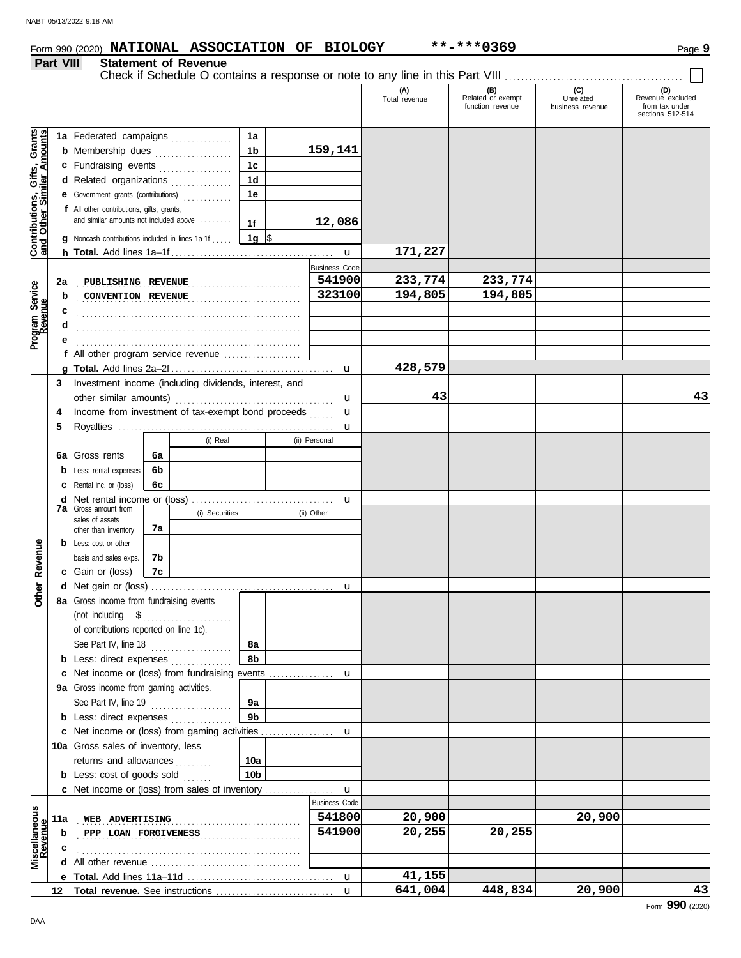## Form 990 (2020) Page **9 NATIONAL ASSOCIATION OF BIOLOGY \*\*-\*\*\*0369**

#### **Part VIII Statement of Revenue**

Check if Schedule O contains a response or note to any line in this Part VIII . . . . . . . . . . . . . . . . . . . . . . . . . . . . . . . . . . . . . . . . . . . .

|                                                                  |     |                                                                                                 |                      |  |                      | (A)<br>Total revenue | (B)<br>Related or exempt<br>function revenue | (C)<br>Unrelated<br>business revenue | (D)<br>Revenue excluded<br>from tax under |
|------------------------------------------------------------------|-----|-------------------------------------------------------------------------------------------------|----------------------|--|----------------------|----------------------|----------------------------------------------|--------------------------------------|-------------------------------------------|
|                                                                  |     |                                                                                                 |                      |  |                      |                      |                                              |                                      | sections 512-514                          |
| <b>Contributions, Gifts, Grants</b><br>and Other Similar Amounts |     | 1a Federated campaigns                                                                          | 1a                   |  |                      |                      |                                              |                                      |                                           |
|                                                                  |     | <b>b</b> Membership dues                                                                        | 1 <sub>b</sub>       |  | 159,141              |                      |                                              |                                      |                                           |
|                                                                  |     | c Fundraising events                                                                            | 1c                   |  |                      |                      |                                              |                                      |                                           |
|                                                                  |     | d Related organizations                                                                         | 1d                   |  |                      |                      |                                              |                                      |                                           |
|                                                                  |     |                                                                                                 | 1e                   |  |                      |                      |                                              |                                      |                                           |
|                                                                  |     | f All other contributions, gifts, grants,<br>and similar amounts not included above             |                      |  |                      |                      |                                              |                                      |                                           |
|                                                                  |     |                                                                                                 |                      |  | 12,086               |                      |                                              |                                      |                                           |
|                                                                  |     | Noncash contributions included in lines 1a-1f                                                   | 1g $\sqrt{5}$        |  |                      |                      |                                              |                                      |                                           |
|                                                                  |     |                                                                                                 |                      |  | $\mathbf u$          | 171,227              |                                              |                                      |                                           |
|                                                                  |     |                                                                                                 | <b>Business Code</b> |  |                      |                      |                                              |                                      |                                           |
|                                                                  | 2a  | PUBLISHING REVENUE                                                                              |                      |  | 541900               | 233,774              | 233,774                                      |                                      |                                           |
|                                                                  | b   | CONVENTION REVENUE                                                                              |                      |  | 323100               | 194,805              | 194,805                                      |                                      |                                           |
| Program Service<br>Revenue                                       |     |                                                                                                 |                      |  |                      |                      |                                              |                                      |                                           |
|                                                                  |     |                                                                                                 |                      |  |                      |                      |                                              |                                      |                                           |
|                                                                  |     |                                                                                                 |                      |  |                      |                      |                                              |                                      |                                           |
|                                                                  |     | f All other program service revenue                                                             |                      |  |                      |                      |                                              |                                      |                                           |
|                                                                  |     |                                                                                                 |                      |  | u                    | 428,579              |                                              |                                      |                                           |
|                                                                  | 3   | Investment income (including dividends, interest, and                                           |                      |  |                      |                      |                                              |                                      |                                           |
|                                                                  |     |                                                                                                 |                      |  | u                    | 43                   |                                              |                                      | 43                                        |
|                                                                  | 4   | Income from investment of tax-exempt bond proceeds                                              |                      |  | u                    |                      |                                              |                                      |                                           |
|                                                                  | 5   |                                                                                                 |                      |  | u                    |                      |                                              |                                      |                                           |
|                                                                  |     | (i) Real                                                                                        |                      |  | (ii) Personal        |                      |                                              |                                      |                                           |
|                                                                  | 6a  | Gross rents<br>6а                                                                               |                      |  |                      |                      |                                              |                                      |                                           |
|                                                                  | b   | 6b<br>Less: rental expenses                                                                     |                      |  |                      |                      |                                              |                                      |                                           |
|                                                                  | c   | 6c<br>Rental inc. or (loss)                                                                     |                      |  |                      |                      |                                              |                                      |                                           |
|                                                                  | d   | Net rental income or (loss)                                                                     |                      |  | u                    |                      |                                              |                                      |                                           |
|                                                                  |     | <b>7a</b> Gross amount from<br>(i) Securities                                                   |                      |  | (ii) Other           |                      |                                              |                                      |                                           |
|                                                                  |     | sales of assets<br>7a<br>other than inventory                                                   |                      |  |                      |                      |                                              |                                      |                                           |
|                                                                  |     | <b>b</b> Less: cost or other                                                                    |                      |  |                      |                      |                                              |                                      |                                           |
|                                                                  |     | basis and sales exps.<br>7b                                                                     |                      |  |                      |                      |                                              |                                      |                                           |
| Revenue                                                          |     | 7c<br><b>c</b> Gain or (loss)                                                                   |                      |  |                      |                      |                                              |                                      |                                           |
|                                                                  | d   |                                                                                                 |                      |  | u                    |                      |                                              |                                      |                                           |
| <b>Other</b>                                                     |     | 8a Gross income from fundraising events                                                         |                      |  |                      |                      |                                              |                                      |                                           |
|                                                                  |     | (not including $$$                                                                              |                      |  |                      |                      |                                              |                                      |                                           |
|                                                                  |     | of contributions reported on line 1c).                                                          |                      |  |                      |                      |                                              |                                      |                                           |
|                                                                  |     | See Part IV, line 18                                                                            | 8a                   |  |                      |                      |                                              |                                      |                                           |
|                                                                  |     | <b>b</b> Less: direct expenses                                                                  | 8b                   |  |                      |                      |                                              |                                      |                                           |
|                                                                  |     | c Net income or (loss) from fundraising events                                                  |                      |  | u                    |                      |                                              |                                      |                                           |
|                                                                  |     | 9a Gross income from gaming activities.                                                         |                      |  |                      |                      |                                              |                                      |                                           |
|                                                                  |     | See Part IV, line 19                                                                            | 9a                   |  |                      |                      |                                              |                                      |                                           |
|                                                                  |     | <b>b</b> Less: direct expenses                                                                  | 9 <sub>b</sub>       |  |                      |                      |                                              |                                      |                                           |
|                                                                  |     | c Net income or (loss) from gaming activities                                                   |                      |  | u                    |                      |                                              |                                      |                                           |
|                                                                  |     | 10a Gross sales of inventory, less                                                              |                      |  |                      |                      |                                              |                                      |                                           |
|                                                                  |     | returns and allowances<br>dia a a a a a                                                         | 10a                  |  |                      |                      |                                              |                                      |                                           |
|                                                                  |     | <b>b</b> Less: cost of goods sold                                                               | 10 <sub>b</sub>      |  |                      |                      |                                              |                                      |                                           |
|                                                                  |     | c Net income or (loss) from sales of inventory                                                  |                      |  | u                    |                      |                                              |                                      |                                           |
|                                                                  |     |                                                                                                 |                      |  | <b>Business Code</b> |                      |                                              |                                      |                                           |
| Miscellaneous<br>Revenue                                         | 11a | WEB ADVERTISING                                                                                 |                      |  | 541800               | 20,900               |                                              | 20,900                               |                                           |
|                                                                  | b   | PPP LOAN FORGIVENESS                                                                            |                      |  | 541900               | 20,255               | 20,255                                       |                                      |                                           |
|                                                                  |     |                                                                                                 |                      |  |                      |                      |                                              |                                      |                                           |
|                                                                  |     | All other revenue <i>contained</i> and <i>all</i> other revenues and <i>all</i> other revenues. |                      |  |                      |                      |                                              |                                      |                                           |
|                                                                  |     |                                                                                                 |                      |  | $\mathbf u$          | 41,155               |                                              |                                      |                                           |
|                                                                  | 12  |                                                                                                 |                      |  | $\mathbf{u}$         | 641,004              | 448,834                                      | 20,900                               | 43                                        |
|                                                                  |     |                                                                                                 |                      |  |                      |                      |                                              |                                      | $\sim$                                    |

DAA

 $\blacksquare$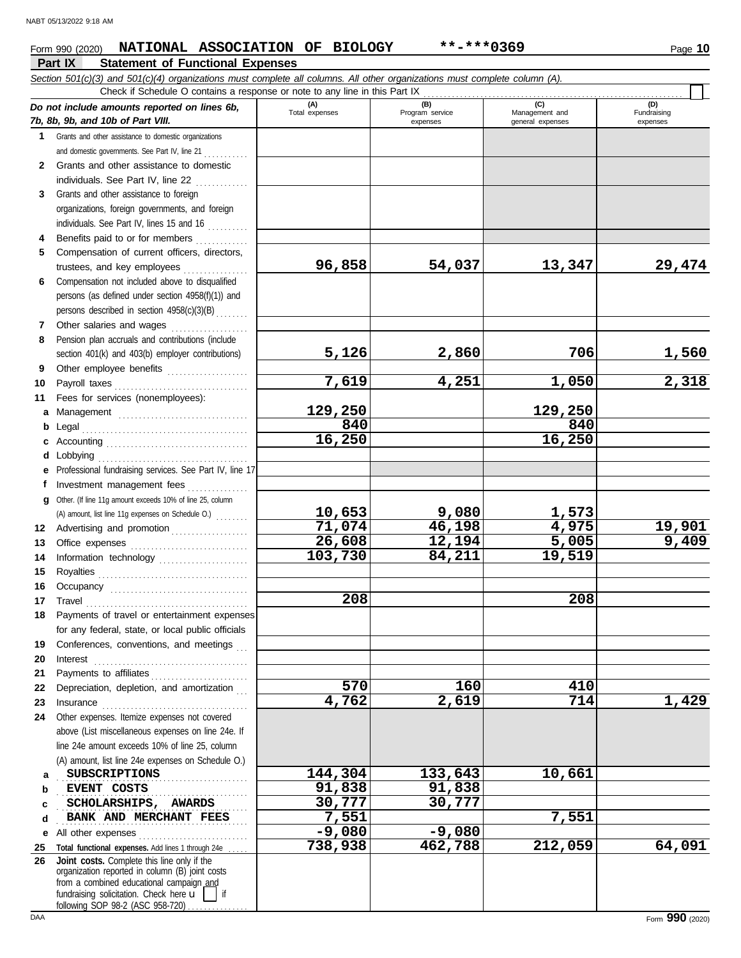#### **Part IX Statement of Functional Expenses** Form 990 (2020) Page **10 NATIONAL ASSOCIATION OF BIOLOGY \*\*-\*\*\*0369**

|          | Section 501(c)(3) and 501(c)(4) organizations must complete all columns. All other organizations must complete column (A).<br>Check if Schedule O contains a response or note to any line in this Part IX                                                                                                                                                                                                                                                                                                                                                                           |                       |                                    |                                    |                         |
|----------|-------------------------------------------------------------------------------------------------------------------------------------------------------------------------------------------------------------------------------------------------------------------------------------------------------------------------------------------------------------------------------------------------------------------------------------------------------------------------------------------------------------------------------------------------------------------------------------|-----------------------|------------------------------------|------------------------------------|-------------------------|
|          |                                                                                                                                                                                                                                                                                                                                                                                                                                                                                                                                                                                     |                       |                                    | (C)                                | (D)                     |
|          | Do not include amounts reported on lines 6b,<br>7b, 8b, 9b, and 10b of Part VIII.                                                                                                                                                                                                                                                                                                                                                                                                                                                                                                   | (A)<br>Total expenses | (B)<br>Program service<br>expenses | Management and<br>general expenses | Fundraising<br>expenses |
| 1        | Grants and other assistance to domestic organizations                                                                                                                                                                                                                                                                                                                                                                                                                                                                                                                               |                       |                                    |                                    |                         |
|          | and domestic governments. See Part IV, line 21                                                                                                                                                                                                                                                                                                                                                                                                                                                                                                                                      |                       |                                    |                                    |                         |
| 2        | Grants and other assistance to domestic                                                                                                                                                                                                                                                                                                                                                                                                                                                                                                                                             |                       |                                    |                                    |                         |
|          | individuals. See Part IV, line 22                                                                                                                                                                                                                                                                                                                                                                                                                                                                                                                                                   |                       |                                    |                                    |                         |
| 3        | Grants and other assistance to foreign                                                                                                                                                                                                                                                                                                                                                                                                                                                                                                                                              |                       |                                    |                                    |                         |
|          | organizations, foreign governments, and foreign                                                                                                                                                                                                                                                                                                                                                                                                                                                                                                                                     |                       |                                    |                                    |                         |
|          | individuals. See Part IV, lines 15 and 16                                                                                                                                                                                                                                                                                                                                                                                                                                                                                                                                           |                       |                                    |                                    |                         |
|          |                                                                                                                                                                                                                                                                                                                                                                                                                                                                                                                                                                                     |                       |                                    |                                    |                         |
| 4        | Benefits paid to or for members                                                                                                                                                                                                                                                                                                                                                                                                                                                                                                                                                     |                       |                                    |                                    |                         |
| 5        | Compensation of current officers, directors,                                                                                                                                                                                                                                                                                                                                                                                                                                                                                                                                        | 96,858                | 54,037                             | 13,347                             | 29,474                  |
|          | trustees, and key employees                                                                                                                                                                                                                                                                                                                                                                                                                                                                                                                                                         |                       |                                    |                                    |                         |
| 6        | Compensation not included above to disqualified                                                                                                                                                                                                                                                                                                                                                                                                                                                                                                                                     |                       |                                    |                                    |                         |
|          | persons (as defined under section 4958(f)(1)) and                                                                                                                                                                                                                                                                                                                                                                                                                                                                                                                                   |                       |                                    |                                    |                         |
|          | persons described in section 4958(c)(3)(B)                                                                                                                                                                                                                                                                                                                                                                                                                                                                                                                                          |                       |                                    |                                    |                         |
| 7        | Other salaries and wages                                                                                                                                                                                                                                                                                                                                                                                                                                                                                                                                                            |                       |                                    |                                    |                         |
| 8        | Pension plan accruals and contributions (include                                                                                                                                                                                                                                                                                                                                                                                                                                                                                                                                    |                       |                                    |                                    |                         |
|          | section 401(k) and 403(b) employer contributions)                                                                                                                                                                                                                                                                                                                                                                                                                                                                                                                                   | 5,126                 | 2,860                              | 706                                | <u>1,560</u>            |
| 9        | Other employee benefits                                                                                                                                                                                                                                                                                                                                                                                                                                                                                                                                                             |                       |                                    |                                    |                         |
| 10       |                                                                                                                                                                                                                                                                                                                                                                                                                                                                                                                                                                                     | 7,619                 | 4,251                              | 1,050                              | 2,318                   |
| 11       | Fees for services (nonemployees):                                                                                                                                                                                                                                                                                                                                                                                                                                                                                                                                                   |                       |                                    |                                    |                         |
| a        |                                                                                                                                                                                                                                                                                                                                                                                                                                                                                                                                                                                     | 129,250               |                                    | 129,250                            |                         |
| b        |                                                                                                                                                                                                                                                                                                                                                                                                                                                                                                                                                                                     | 840                   |                                    | 840                                |                         |
| c        |                                                                                                                                                                                                                                                                                                                                                                                                                                                                                                                                                                                     | 16,250                |                                    | 16,250                             |                         |
| d        | Lobbying                                                                                                                                                                                                                                                                                                                                                                                                                                                                                                                                                                            |                       |                                    |                                    |                         |
| e        | Professional fundraising services. See Part IV, line 17                                                                                                                                                                                                                                                                                                                                                                                                                                                                                                                             |                       |                                    |                                    |                         |
|          | Investment management fees                                                                                                                                                                                                                                                                                                                                                                                                                                                                                                                                                          |                       |                                    |                                    |                         |
| q        | Other. (If line 11g amount exceeds 10% of line 25, column                                                                                                                                                                                                                                                                                                                                                                                                                                                                                                                           |                       |                                    |                                    |                         |
|          | (A) amount, list line 11g expenses on Schedule O.)                                                                                                                                                                                                                                                                                                                                                                                                                                                                                                                                  | 10,653                | 9,080                              |                                    |                         |
| 12       | Advertising and promotion                                                                                                                                                                                                                                                                                                                                                                                                                                                                                                                                                           | 71,074                | 46,198                             | $\frac{1,573}{4,975}$              |                         |
| 13       |                                                                                                                                                                                                                                                                                                                                                                                                                                                                                                                                                                                     | 26,608                | 12,194                             | 5,005                              | $\frac{19,901}{9,409}$  |
| 14       | Information technology                                                                                                                                                                                                                                                                                                                                                                                                                                                                                                                                                              | 103,730               | 84,211                             | 19,519                             |                         |
| 15       |                                                                                                                                                                                                                                                                                                                                                                                                                                                                                                                                                                                     |                       |                                    |                                    |                         |
| 16       |                                                                                                                                                                                                                                                                                                                                                                                                                                                                                                                                                                                     |                       |                                    |                                    |                         |
| 17       |                                                                                                                                                                                                                                                                                                                                                                                                                                                                                                                                                                                     | 208                   |                                    | 208                                |                         |
| 18       | $\begin{minipage}[c]{0.9\linewidth} \begin{tabular}{l} \hline \textbf{Travel} \end{tabular} \end{minipage} \end{minipage} \begin{minipage}[c]{0.9\linewidth} \begin{tabular}{l} \hline \textbf{True} \end{tabular} \end{minipage} \end{minipage} \begin{minipage}[c]{0.9\linewidth} \begin{tabular}{l} \hline \textbf{True} \end{tabular} \end{minipage} \end{minipage} \begin{minipage}[c]{0.9\linewidth} \begin{tabular}{l} \hline \textbf{True} \end{tabular} \end{minipage} \end{minipage} \begin{minipage}[c]{0.9$<br>Payments of travel or entertainment expenses             |                       |                                    |                                    |                         |
|          | for any federal, state, or local public officials                                                                                                                                                                                                                                                                                                                                                                                                                                                                                                                                   |                       |                                    |                                    |                         |
|          | Conferences, conventions, and meetings                                                                                                                                                                                                                                                                                                                                                                                                                                                                                                                                              |                       |                                    |                                    |                         |
| 19       |                                                                                                                                                                                                                                                                                                                                                                                                                                                                                                                                                                                     |                       |                                    |                                    |                         |
| 20       | Interest                                                                                                                                                                                                                                                                                                                                                                                                                                                                                                                                                                            |                       |                                    |                                    |                         |
| 21<br>22 | Payments to affiliates<br>Depreciation, depletion, and amortization                                                                                                                                                                                                                                                                                                                                                                                                                                                                                                                 | 570                   | 160                                | 410                                |                         |
|          |                                                                                                                                                                                                                                                                                                                                                                                                                                                                                                                                                                                     | 4,762                 | $\overline{2,619}$                 | 714                                | 1,429                   |
| 23       | $In surface \begin{tabular}{@{}l@{}} \hline \multicolumn{3}{c}{\textbf{Insurance}} \\ \hline \multicolumn{3}{c}{\textbf{Insurance}} \\ \hline \multicolumn{3}{c}{\textbf{Insurance}} \\ \hline \multicolumn{3}{c}{\textbf{Insurance}} \\ \hline \multicolumn{3}{c}{\textbf{Insurance}} \\ \hline \multicolumn{3}{c}{\textbf{Insurance}} \\ \hline \multicolumn{3}{c}{\textbf{Insurance}} \\ \hline \multicolumn{3}{c}{\textbf{Insurance}} \\ \hline \multicolumn{3}{c}{\textbf{Insurance}} \\ \hline \multicolumn{3}{c}{\textbf{In$<br>Other expenses. Itemize expenses not covered |                       |                                    |                                    |                         |
| 24       |                                                                                                                                                                                                                                                                                                                                                                                                                                                                                                                                                                                     |                       |                                    |                                    |                         |
|          | above (List miscellaneous expenses on line 24e. If                                                                                                                                                                                                                                                                                                                                                                                                                                                                                                                                  |                       |                                    |                                    |                         |
|          | line 24e amount exceeds 10% of line 25, column                                                                                                                                                                                                                                                                                                                                                                                                                                                                                                                                      |                       |                                    |                                    |                         |
|          | (A) amount, list line 24e expenses on Schedule O.)                                                                                                                                                                                                                                                                                                                                                                                                                                                                                                                                  |                       |                                    |                                    |                         |
| a        | <b>SUBSCRIPTIONS</b>                                                                                                                                                                                                                                                                                                                                                                                                                                                                                                                                                                | 144,304               | 133,643                            | 10,661                             |                         |
| b        | EVENT COSTS                                                                                                                                                                                                                                                                                                                                                                                                                                                                                                                                                                         | 91,838                | 91,838                             |                                    |                         |
| c        | SCHOLARSHIPS, AWARDS                                                                                                                                                                                                                                                                                                                                                                                                                                                                                                                                                                | 30,777                | 30,777                             |                                    |                         |
| d        | BANK AND MERCHANT FEES                                                                                                                                                                                                                                                                                                                                                                                                                                                                                                                                                              | 7,551                 |                                    | 7,551                              |                         |
| е        | All other expenses                                                                                                                                                                                                                                                                                                                                                                                                                                                                                                                                                                  | $-9,080$              | $-9,080$                           |                                    |                         |
| 25       | Total functional expenses. Add lines 1 through 24e                                                                                                                                                                                                                                                                                                                                                                                                                                                                                                                                  | 738,938               | 462,788                            | 212,059                            | 64,091                  |
| 26       | Joint costs. Complete this line only if the<br>organization reported in column (B) joint costs                                                                                                                                                                                                                                                                                                                                                                                                                                                                                      |                       |                                    |                                    |                         |
|          | from a combined educational campaign and                                                                                                                                                                                                                                                                                                                                                                                                                                                                                                                                            |                       |                                    |                                    |                         |
|          | fundraising solicitation. Check here u<br>if                                                                                                                                                                                                                                                                                                                                                                                                                                                                                                                                        |                       |                                    |                                    |                         |

following SOP 98-2 (ASC 958-720) . . . . . . . . . . . . .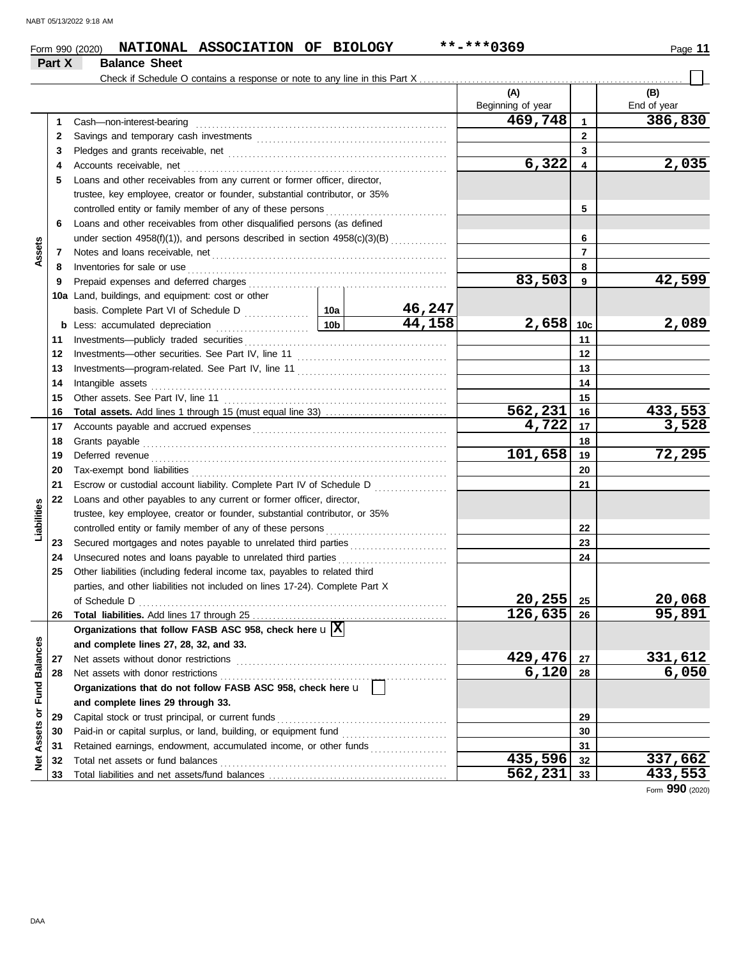#### Form 990 (2020) Page **11 NATIONAL ASSOCIATION OF BIOLOGY \*\*-\*\*\*0369 Part X Balance Sheet** Check if Schedule O contains a response or note to any line in this Part X. **(A) (B)** Beginning of year | | End of year **469,748 386,830** Cash—non-interest-bearing . . . . . . . . . . . . . . . . . . . . . . . . . . . . . . . . . . . . . . . . . . . . . . . . . . . . . . . . . . . . . . **1 1 2** 2 Savings and temporary cash investments **contain the container and the set of the set of the set of the set of the set of the set of the set of the set of the set of the set of the set of the set of the set of the set of 3 3** Pledges and grants receivable, net . . . . . . . . . . . . . . . . . . . . . . . . . . . . . . . . . . . . . . . . . . . . . . . . . . . . . . **6,322 2,035 4 4** Accounts receivable, net . . . . . . . . . . . . . . . . . . . . . . . . . . . . . . . . . . . . . . . . . . . . . . . . . . . . . . . . . . . . . . . . . **5** Loans and other receivables from any current or former officer, director, trustee, key employee, creator or founder, substantial contributor, or 35% controlled entity or family member of any of these persons **5 6** Loans and other receivables from other disqualified persons (as defined **6** under section  $4958(f)(1)$ , and persons described in section  $4958(c)(3)(B)$  ............. **Assets 7 7** Notes and loans receivable, net . . . . . . . . . . . . . . . . . . . . . . . . . . . . . . . . . . . . . . . . . . . . . . . . . . . . . . . . . . **8 8** Inventories for sale or use . . . . . . . . . . . . . . . . . . . . . . . . . . . . . . . . . . . . . . . . . . . . . . . . . . . . . . . . . . . . . . . . Prepaid expenses and deferred charges . . . . . . . . . . . . . . . . . . . . . . . . . . . . . . . . . . . . . . . . . . . . . . . . . **83,503 42,599 9 9 10a** Land, buildings, and equipment: cost or other **46,247** basis. Complete Part VI of Schedule D . . . . . . . . . . . . 10a **44,158 2,658 2,089 10c b** Less: accumulated depreciation . . . . . . . . . . . . . . . . . . . . . . . **10b** Investments—publicly traded securities . . . . . . . . . . . . . . . . . . . . . . . . . . . . . . . . . . . . . . . . . . . . . . . . . . **11 11 12 12** Investments—other securities. See Part IV, line 11 . . . . . . . . . . . . . . . . . . . . . . . . . . . . . . . . . . . . . **13 13** Investments—program-related. See Part IV, line 11 . . . . . . . . . . . . . . . . . . . . . . . . . . . . . . . . . . . . . 14 Intangible assets Intangible assets . . . . . . . . . . . . . . . . . . . . . . . . . . . . . . . . . . . . . . . . . . . . . . . . . . . . . . . . . . . . . . . . . . . . . . . . . **14 15 15** Other assets. See Part IV, line 11 . . . . . . . . . . . . . . . . . . . . . . . . . . . . . . . . . . . . . . . . . . . . . . . . . . . . . . . **562,231 16 433,553**<br>**4,722 17 3,528 Total assets.** Add lines 1 through 15 (must equal line 33) . . . . . . . . . . . . . . . . . . . . . . . . . . . . . . **16 16 4,722 3,528 17** Accounts payable and accrued expenses . . . . . . . . . . . . . . . . . . . . . . . . . . . . . . . . . . . . . . . . . . . . . . . . **17 18** Grants payable . . . . . . . . . . . . . . . . . . . . . . . . . . . . . . . . . . . . . . . . . . . . . . . . . . . . . . . . . . . . . . . . . . . . . . . . . . . **18 101,658 72,295 19 19** Deferred revenue . . . . . . . . . . . . . . . . . . . . . . . . . . . . . . . . . . . . . . . . . . . . . . . . . . . . . . . . . . . . . . . . . . . . . . . . . Tax-exempt bond liabilities . . . . . . . . . . . . . . . . . . . . . . . . . . . . . . . . . . . . . . . . . . . . . . . . . . . . . . . . . . . . . . . **20 20 21** Escrow or custodial account liability. Complete Part IV of Schedule D . . . . . . . . . . . . . . . . . . **21 22** Loans and other payables to any current or former officer, director, **Liabilities** trustee, key employee, creator or founder, substantial contributor, or 35% **22** controlled entity or family member of any of these persons Secured mortgages and notes payable to unrelated third parties ........................ **23 23 24** Unsecured notes and loans payable to unrelated third parties . . . . . . . . . . . . . . . . . . . . . . . . . . . **24 25** Other liabilities (including federal income tax, payables to related third parties, and other liabilities not included on lines 17-24). Complete Part X **20,255 20,068** of Schedule D . . . . . . . . . . . . . . . . . . . . . . . . . . . . . . . . . . . . . . . . . . . . . . . . . . . . . . . . . . . . . . . . . . . . . . . . . . . . **25 126,635 95,891 26** Total liabilities. Add lines 17 through 25 **26 Organizations that follow FASB ASC 958, check here** u **X** Net Assets or Fund Balances **Net Assets or Fund Balances and complete lines 27, 28, 32, and 33. 27** Net assets without donor restrictions . . . . . . . . . . . . . . . . . . . . . . . . . . . . . . . . . . . . . . . . . . . . . . . . . . . . **429,476 331,612 27**

Form **990** (2020)

**29**

**562,231 433,553**

**435,596 337,662**

**28**

**6,120 6,050**

**28**

Net assets with donor restrictions . . . . . . . . . . . . . . . . . . . . . . . . . . . . . . . . . . . . . . . . . . . . . . . . . . . . . . . .

**Organizations that do not follow FASB ASC 958, check here** u

Capital stock or trust principal, or current funds . . . . . . . . . . . . . . . . . . . . . . . . . . . . . . . . . . . . . . . . . . Paid-in or capital surplus, or land, building, or equipment fund ........................... Retained earnings, endowment, accumulated income, or other funds . . . . . . . . . . . . . . . . . . . Total net assets or fund balances . . . . . . . . . . . . . . . . . . . . . . . . . . . . . . . . . . . . . . . . . . . . . . . . . . . . . . . .

**and complete lines 29 through 33.**

Total liabilities and net assets/fund balances .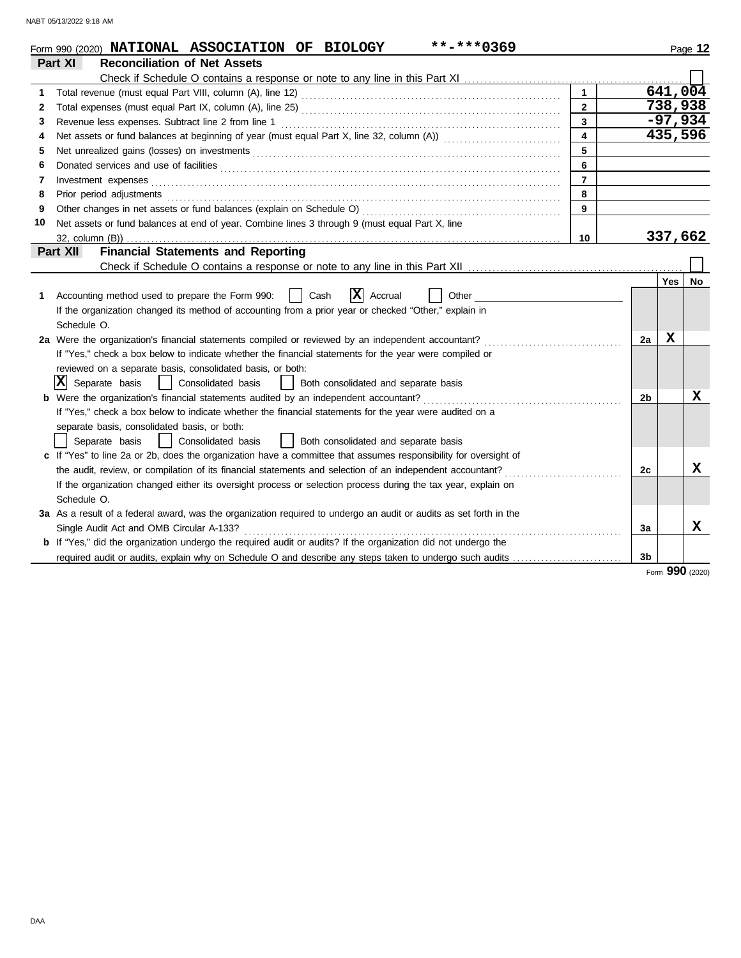|    | **-***0369<br>Form 990 (2020) NATIONAL ASSOCIATION OF BIOLOGY                                                                                                                                                                  |                  |  |                |     | Page 12            |  |  |
|----|--------------------------------------------------------------------------------------------------------------------------------------------------------------------------------------------------------------------------------|------------------|--|----------------|-----|--------------------|--|--|
|    | <b>Reconciliation of Net Assets</b><br>Part XI                                                                                                                                                                                 |                  |  |                |     |                    |  |  |
|    |                                                                                                                                                                                                                                |                  |  |                |     |                    |  |  |
| 1  |                                                                                                                                                                                                                                | $\overline{1}$   |  |                |     | 641,004<br>738,938 |  |  |
| 2  | $\mathbf{2}$                                                                                                                                                                                                                   |                  |  |                |     |                    |  |  |
| 3  | $\overline{3}$<br>Revenue less expenses. Subtract line 2 from line 1                                                                                                                                                           |                  |  |                |     |                    |  |  |
| 4  |                                                                                                                                                                                                                                | $\blacktriangle$ |  |                |     | 435,596            |  |  |
| 5  | Net unrealized gains (losses) on investments [11] match and the contract of the state of the state of the state of the state of the state of the state of the state of the state of the state of the state of the state of the | 5                |  |                |     |                    |  |  |
| 6  |                                                                                                                                                                                                                                | 6                |  |                |     |                    |  |  |
| 7  |                                                                                                                                                                                                                                | $\overline{7}$   |  |                |     |                    |  |  |
| 8  | Prior period adjustments entertainments and adjustments and account of the contract of the contract of the contract of the contract of the contract of the contract of the contract of the contract of the contract of the con | 8                |  |                |     |                    |  |  |
| 9  |                                                                                                                                                                                                                                | 9                |  |                |     |                    |  |  |
| 10 | Net assets or fund balances at end of year. Combine lines 3 through 9 (must equal Part X, line                                                                                                                                 |                  |  |                |     |                    |  |  |
|    |                                                                                                                                                                                                                                | 10               |  |                |     | 337,662            |  |  |
|    | Part XII<br><b>Financial Statements and Reporting</b>                                                                                                                                                                          |                  |  |                |     |                    |  |  |
|    |                                                                                                                                                                                                                                |                  |  |                |     |                    |  |  |
|    |                                                                                                                                                                                                                                |                  |  |                | Yes | No                 |  |  |
| 1  | x <br>Accounting method used to prepare the Form 990:<br>Cash<br>Accrual<br>Other<br>$\perp$                                                                                                                                   |                  |  |                |     |                    |  |  |
|    | If the organization changed its method of accounting from a prior year or checked "Other," explain in                                                                                                                          |                  |  |                |     |                    |  |  |
|    | Schedule O.                                                                                                                                                                                                                    |                  |  |                |     |                    |  |  |
|    | 2a Were the organization's financial statements compiled or reviewed by an independent accountant?                                                                                                                             |                  |  | 2a             | X   |                    |  |  |
|    | If "Yes," check a box below to indicate whether the financial statements for the year were compiled or                                                                                                                         |                  |  |                |     |                    |  |  |
|    | reviewed on a separate basis, consolidated basis, or both:                                                                                                                                                                     |                  |  |                |     |                    |  |  |
|    | $ \mathbf{X} $ Separate basis<br>  Consolidated basis<br>  Both consolidated and separate basis                                                                                                                                |                  |  |                |     |                    |  |  |
|    | <b>b</b> Were the organization's financial statements audited by an independent accountant?                                                                                                                                    |                  |  | 2 <sub>b</sub> |     | x                  |  |  |
|    | If "Yes," check a box below to indicate whether the financial statements for the year were audited on a                                                                                                                        |                  |  |                |     |                    |  |  |
|    | separate basis, consolidated basis, or both:                                                                                                                                                                                   |                  |  |                |     |                    |  |  |
|    | Separate basis<br>  Consolidated basis<br>Both consolidated and separate basis                                                                                                                                                 |                  |  |                |     |                    |  |  |
|    | c If "Yes" to line 2a or 2b, does the organization have a committee that assumes responsibility for oversight of                                                                                                               |                  |  |                |     |                    |  |  |
|    |                                                                                                                                                                                                                                |                  |  | 2c             |     | x                  |  |  |
|    | If the organization changed either its oversight process or selection process during the tax year, explain on                                                                                                                  |                  |  |                |     |                    |  |  |
|    | Schedule O.                                                                                                                                                                                                                    |                  |  |                |     |                    |  |  |
|    | 3a As a result of a federal award, was the organization required to undergo an audit or audits as set forth in the                                                                                                             |                  |  |                |     |                    |  |  |
|    | Single Audit Act and OMB Circular A-133?                                                                                                                                                                                       |                  |  | Зa             |     | x                  |  |  |
|    | b If "Yes," did the organization undergo the required audit or audits? If the organization did not undergo the                                                                                                                 |                  |  |                |     |                    |  |  |
|    | required audit or audits, explain why on Schedule O and describe any steps taken to undergo such audits                                                                                                                        |                  |  | 3 <sub>b</sub> |     |                    |  |  |

Form **990** (2020)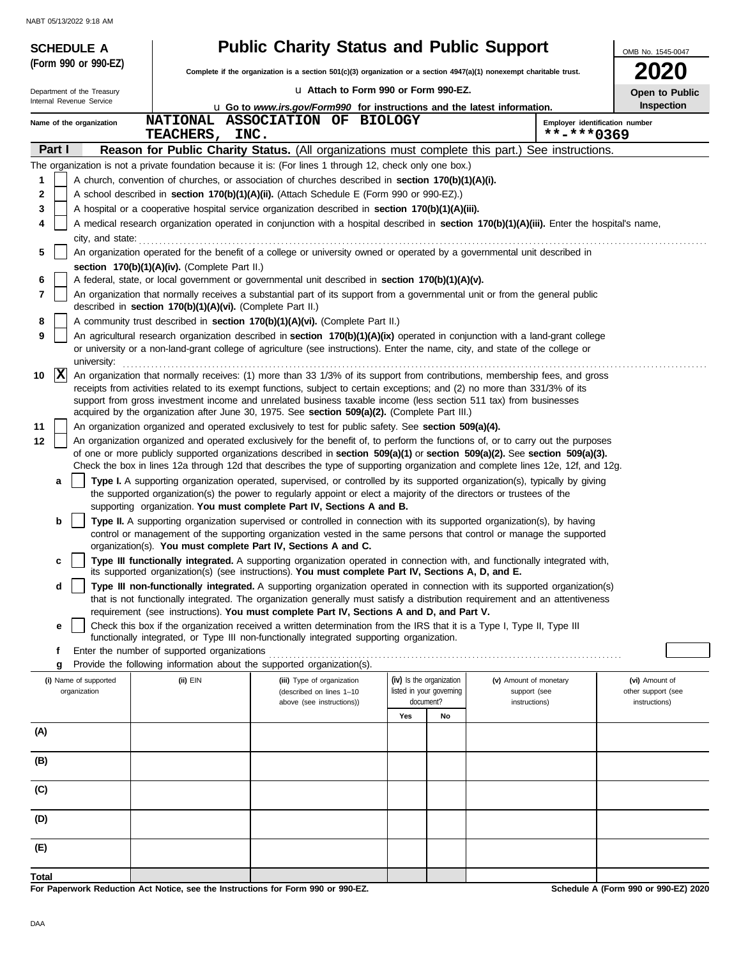|                      | <b>SCHEDULE A</b>                     |                                                            | <b>Public Charity Status and Public Support</b>                                                                                                                                                                                                                 |                                       |                                                      |                                        | OMB No. 1545-0047                    |  |
|----------------------|---------------------------------------|------------------------------------------------------------|-----------------------------------------------------------------------------------------------------------------------------------------------------------------------------------------------------------------------------------------------------------------|---------------------------------------|------------------------------------------------------|----------------------------------------|--------------------------------------|--|
|                      | (Form 990 or 990-EZ)                  |                                                            | Complete if the organization is a section 501(c)(3) organization or a section 4947(a)(1) nonexempt charitable trust.                                                                                                                                            | <b>2020</b>                           |                                                      |                                        |                                      |  |
|                      | Department of the Treasury            |                                                            |                                                                                                                                                                                                                                                                 | La Attach to Form 990 or Form 990-EZ. |                                                      |                                        |                                      |  |
|                      | Internal Revenue Service              |                                                            | <b>u</b> Go to www.irs.gov/Form990 for instructions and the latest information.                                                                                                                                                                                 |                                       |                                                      |                                        | Open to Public<br><b>Inspection</b>  |  |
|                      | Name of the organization              |                                                            | NATIONAL ASSOCIATION OF BIOLOGY                                                                                                                                                                                                                                 |                                       |                                                      | **-***0369                             | Employer identification number       |  |
| Part I               |                                       | <b>TEACHERS ,</b>                                          | INC.<br>Reason for Public Charity Status. (All organizations must complete this part.) See instructions.                                                                                                                                                        |                                       |                                                      |                                        |                                      |  |
|                      |                                       |                                                            | The organization is not a private foundation because it is: (For lines 1 through 12, check only one box.)                                                                                                                                                       |                                       |                                                      |                                        |                                      |  |
| 1                    |                                       |                                                            | A church, convention of churches, or association of churches described in section 170(b)(1)(A)(i).                                                                                                                                                              |                                       |                                                      |                                        |                                      |  |
| 2                    |                                       |                                                            | A school described in section 170(b)(1)(A)(ii). (Attach Schedule E (Form 990 or 990-EZ).)                                                                                                                                                                       |                                       |                                                      |                                        |                                      |  |
| 3                    |                                       |                                                            | A hospital or a cooperative hospital service organization described in section 170(b)(1)(A)(iii).                                                                                                                                                               |                                       |                                                      |                                        |                                      |  |
| 4                    |                                       |                                                            | A medical research organization operated in conjunction with a hospital described in section 170(b)(1)(A)(iii). Enter the hospital's name,                                                                                                                      |                                       |                                                      |                                        |                                      |  |
| 5                    | city, and state:                      |                                                            | An organization operated for the benefit of a college or university owned or operated by a governmental unit described in                                                                                                                                       |                                       |                                                      |                                        |                                      |  |
|                      |                                       | section 170(b)(1)(A)(iv). (Complete Part II.)              |                                                                                                                                                                                                                                                                 |                                       |                                                      |                                        |                                      |  |
| 6<br>7               |                                       |                                                            | A federal, state, or local government or governmental unit described in section 170(b)(1)(A)(v).<br>An organization that normally receives a substantial part of its support from a governmental unit or from the general public                                |                                       |                                                      |                                        |                                      |  |
|                      |                                       | described in section 170(b)(1)(A)(vi). (Complete Part II.) |                                                                                                                                                                                                                                                                 |                                       |                                                      |                                        |                                      |  |
| 8<br>9               |                                       |                                                            | A community trust described in section 170(b)(1)(A)(vi). (Complete Part II.)<br>An agricultural research organization described in section 170(b)(1)(A)(ix) operated in conjunction with a land-grant college                                                   |                                       |                                                      |                                        |                                      |  |
|                      | university:                           |                                                            | or university or a non-land-grant college of agriculture (see instructions). Enter the name, city, and state of the college or                                                                                                                                  |                                       |                                                      |                                        |                                      |  |
| $\mathbf{ x }$<br>10 |                                       |                                                            | An organization that normally receives: (1) more than 33 1/3% of its support from contributions, membership fees, and gross                                                                                                                                     |                                       |                                                      |                                        |                                      |  |
|                      |                                       |                                                            | receipts from activities related to its exempt functions, subject to certain exceptions; and (2) no more than 331/3% of its<br>support from gross investment income and unrelated business taxable income (less section 511 tax) from businesses                |                                       |                                                      |                                        |                                      |  |
|                      |                                       |                                                            | acquired by the organization after June 30, 1975. See section 509(a)(2). (Complete Part III.)                                                                                                                                                                   |                                       |                                                      |                                        |                                      |  |
| 11                   |                                       |                                                            | An organization organized and operated exclusively to test for public safety. See section 509(a)(4).                                                                                                                                                            |                                       |                                                      |                                        |                                      |  |
| 12                   |                                       |                                                            | An organization organized and operated exclusively for the benefit of, to perform the functions of, or to carry out the purposes<br>of one or more publicly supported organizations described in section 509(a)(1) or section 509(a)(2). See section 509(a)(3). |                                       |                                                      |                                        |                                      |  |
|                      |                                       |                                                            | Check the box in lines 12a through 12d that describes the type of supporting organization and complete lines 12e, 12f, and 12g.                                                                                                                                 |                                       |                                                      |                                        |                                      |  |
| a                    |                                       |                                                            | Type I. A supporting organization operated, supervised, or controlled by its supported organization(s), typically by giving                                                                                                                                     |                                       |                                                      |                                        |                                      |  |
|                      |                                       |                                                            | the supported organization(s) the power to regularly appoint or elect a majority of the directors or trustees of the<br>supporting organization. You must complete Part IV, Sections A and B.                                                                   |                                       |                                                      |                                        |                                      |  |
| b                    |                                       |                                                            | Type II. A supporting organization supervised or controlled in connection with its supported organization(s), by having                                                                                                                                         |                                       |                                                      |                                        |                                      |  |
|                      |                                       |                                                            | control or management of the supporting organization vested in the same persons that control or manage the supported                                                                                                                                            |                                       |                                                      |                                        |                                      |  |
|                      |                                       |                                                            | organization(s). You must complete Part IV, Sections A and C.                                                                                                                                                                                                   |                                       |                                                      |                                        |                                      |  |
| c                    |                                       |                                                            | Type III functionally integrated. A supporting organization operated in connection with, and functionally integrated with,<br>its supported organization(s) (see instructions). You must complete Part IV, Sections A, D, and E.                                |                                       |                                                      |                                        |                                      |  |
| d                    |                                       |                                                            | Type III non-functionally integrated. A supporting organization operated in connection with its supported organization(s)<br>that is not functionally integrated. The organization generally must satisfy a distribution requirement and an attentiveness       |                                       |                                                      |                                        |                                      |  |
|                      |                                       |                                                            | requirement (see instructions). You must complete Part IV, Sections A and D, and Part V.                                                                                                                                                                        |                                       |                                                      |                                        |                                      |  |
| е                    |                                       |                                                            | Check this box if the organization received a written determination from the IRS that it is a Type I, Type II, Type III<br>functionally integrated, or Type III non-functionally integrated supporting organization.                                            |                                       |                                                      |                                        |                                      |  |
| f                    |                                       | Enter the number of supported organizations                |                                                                                                                                                                                                                                                                 |                                       |                                                      |                                        |                                      |  |
| g                    |                                       |                                                            | Provide the following information about the supported organization(s).                                                                                                                                                                                          |                                       |                                                      |                                        |                                      |  |
|                      | (i) Name of supported<br>organization | $(ii)$ EIN                                                 | (iii) Type of organization<br>(described on lines 1-10                                                                                                                                                                                                          |                                       | (iv) Is the organization<br>listed in your governing | (v) Amount of monetary<br>support (see | (vi) Amount of<br>other support (see |  |
|                      |                                       |                                                            | above (see instructions))                                                                                                                                                                                                                                       |                                       | document?                                            | instructions)                          | instructions)                        |  |
|                      |                                       |                                                            |                                                                                                                                                                                                                                                                 | Yes                                   | No                                                   |                                        |                                      |  |
| (A)                  |                                       |                                                            |                                                                                                                                                                                                                                                                 |                                       |                                                      |                                        |                                      |  |
| (B)                  |                                       |                                                            |                                                                                                                                                                                                                                                                 |                                       |                                                      |                                        |                                      |  |
| (C)                  |                                       |                                                            |                                                                                                                                                                                                                                                                 |                                       |                                                      |                                        |                                      |  |
| (D)                  |                                       |                                                            |                                                                                                                                                                                                                                                                 |                                       |                                                      |                                        |                                      |  |
| (E)                  |                                       |                                                            |                                                                                                                                                                                                                                                                 |                                       |                                                      |                                        |                                      |  |
|                      |                                       |                                                            |                                                                                                                                                                                                                                                                 |                                       |                                                      |                                        |                                      |  |
| Total                |                                       |                                                            | For Paperwork Reduction Act Notice, see the Instructions for Form 990 or 990-EZ.                                                                                                                                                                                |                                       |                                                      |                                        | Schedule A (Form 990 or 990-EZ) 2020 |  |

**Paperwork Reduction Act Notice, see**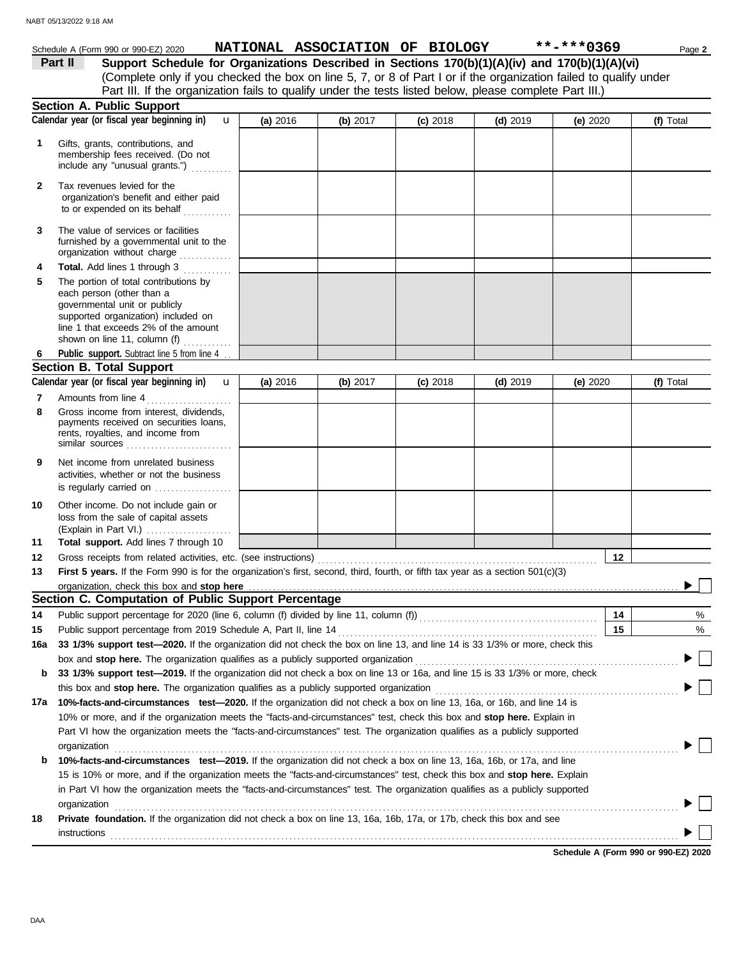|              | Schedule A (Form 990 or 990-EZ) 2020                                                                                                                                                                                                                                                                                                                    |          |          | NATIONAL ASSOCIATION OF BIOLOGY |            | **-***0369 | Page 2    |
|--------------|---------------------------------------------------------------------------------------------------------------------------------------------------------------------------------------------------------------------------------------------------------------------------------------------------------------------------------------------------------|----------|----------|---------------------------------|------------|------------|-----------|
|              | Support Schedule for Organizations Described in Sections 170(b)(1)(A)(iv) and 170(b)(1)(A)(vi)<br>Part II                                                                                                                                                                                                                                               |          |          |                                 |            |            |           |
|              | (Complete only if you checked the box on line 5, 7, or 8 of Part I or if the organization failed to qualify under                                                                                                                                                                                                                                       |          |          |                                 |            |            |           |
|              | Part III. If the organization fails to qualify under the tests listed below, please complete Part III.)                                                                                                                                                                                                                                                 |          |          |                                 |            |            |           |
|              | <b>Section A. Public Support</b>                                                                                                                                                                                                                                                                                                                        |          |          |                                 |            |            |           |
|              | Calendar year (or fiscal year beginning in)<br>$\mathbf{u}$                                                                                                                                                                                                                                                                                             | (a) 2016 | (b) 2017 | $(c)$ 2018                      | $(d)$ 2019 | (e) $2020$ | (f) Total |
| 1            | Gifts, grants, contributions, and<br>membership fees received. (Do not<br>include any "unusual grants.")                                                                                                                                                                                                                                                |          |          |                                 |            |            |           |
| $\mathbf{2}$ | Tax revenues levied for the<br>organization's benefit and either paid<br>to or expended on its behalf                                                                                                                                                                                                                                                   |          |          |                                 |            |            |           |
| 3            | The value of services or facilities<br>furnished by a governmental unit to the<br>organization without charge                                                                                                                                                                                                                                           |          |          |                                 |            |            |           |
| 4            | Total. Add lines 1 through 3                                                                                                                                                                                                                                                                                                                            |          |          |                                 |            |            |           |
| 5            | The portion of total contributions by<br>each person (other than a<br>governmental unit or publicly<br>supported organization) included on<br>line 1 that exceeds 2% of the amount<br>shown on line 11, column (f) $\ldots$                                                                                                                             |          |          |                                 |            |            |           |
| 6            | Public support. Subtract line 5 from line 4.                                                                                                                                                                                                                                                                                                            |          |          |                                 |            |            |           |
|              | <b>Section B. Total Support</b>                                                                                                                                                                                                                                                                                                                         |          |          |                                 |            |            |           |
|              | Calendar year (or fiscal year beginning in) <b>u</b>                                                                                                                                                                                                                                                                                                    | (a) 2016 | (b) 2017 | $(c)$ 2018                      | $(d)$ 2019 | (e) $2020$ | (f) Total |
| 7            | Amounts from line 4                                                                                                                                                                                                                                                                                                                                     |          |          |                                 |            |            |           |
| 8            | Gross income from interest, dividends,<br>payments received on securities loans,<br>rents, royalties, and income from<br>similar sources                                                                                                                                                                                                                |          |          |                                 |            |            |           |
| 9            | Net income from unrelated business<br>activities, whether or not the business<br>is regularly carried on                                                                                                                                                                                                                                                |          |          |                                 |            |            |           |
| 10           | Other income. Do not include gain or<br>loss from the sale of capital assets<br>(Explain in Part VI.)                                                                                                                                                                                                                                                   |          |          |                                 |            |            |           |
| 11           | Total support. Add lines 7 through 10                                                                                                                                                                                                                                                                                                                   |          |          |                                 |            |            |           |
| 12           |                                                                                                                                                                                                                                                                                                                                                         |          |          |                                 |            | 12         |           |
| 13           | First 5 years. If the Form 990 is for the organization's first, second, third, fourth, or fifth tax year as a section 501(c)(3)                                                                                                                                                                                                                         |          |          |                                 |            |            |           |
|              | organization, check this box and stop here contained and according to the state of the state of the state of the state of the state of the state of the state of the state of the state of the state of the state of the state                                                                                                                          |          |          |                                 |            |            |           |
|              | Section C. Computation of Public Support Percentage                                                                                                                                                                                                                                                                                                     |          |          |                                 |            |            |           |
| 14           |                                                                                                                                                                                                                                                                                                                                                         |          |          |                                 |            | 14         | %         |
| 15           | Public support percentage from 2019 Schedule A, Part II, line 14                                                                                                                                                                                                                                                                                        |          |          |                                 |            | 15         | %         |
| 16a          | 33 1/3% support test-2020. If the organization did not check the box on line 13, and line 14 is 33 1/3% or more, check this                                                                                                                                                                                                                             |          |          |                                 |            |            |           |
|              | box and stop here. The organization qualifies as a publicly supported organization                                                                                                                                                                                                                                                                      |          |          |                                 |            |            |           |
| b            | 33 1/3% support test-2019. If the organization did not check a box on line 13 or 16a, and line 15 is 33 1/3% or more, check                                                                                                                                                                                                                             |          |          |                                 |            |            |           |
| 17a          | this box and stop here. The organization qualifies as a publicly supported organization [11] content content content of the content of the content of the content of the content of the content of the content of the content<br>10%-facts-and-circumstances test-2020. If the organization did not check a box on line 13, 16a, or 16b, and line 14 is |          |          |                                 |            |            |           |
|              | 10% or more, and if the organization meets the "facts-and-circumstances" test, check this box and stop here. Explain in<br>Part VI how the organization meets the "facts-and-circumstances" test. The organization qualifies as a publicly supported                                                                                                    |          |          |                                 |            |            |           |
| b            | organization<br>10%-facts-and-circumstances test-2019. If the organization did not check a box on line 13, 16a, 16b, or 17a, and line                                                                                                                                                                                                                   |          |          |                                 |            |            |           |
|              | 15 is 10% or more, and if the organization meets the "facts-and-circumstances" test, check this box and stop here. Explain                                                                                                                                                                                                                              |          |          |                                 |            |            |           |
|              | in Part VI how the organization meets the "facts-and-circumstances" test. The organization qualifies as a publicly supported                                                                                                                                                                                                                            |          |          |                                 |            |            |           |
| 18           | organization<br>Private foundation. If the organization did not check a box on line 13, 16a, 16b, 17a, or 17b, check this box and see                                                                                                                                                                                                                   |          |          |                                 |            |            |           |

instructions . . . . . . . . . . . . . . . . . . . . . . . . . . . . . . . . . . . . . . . . . . . . . . . . . . . . . . . . . . . . . . . . . . . . . . . . . . . . . . . . . . . . . . . . . . . . . . . . . . . . . . . . . . . . . . . . . . . . . . . . . . . . . . . . . . . . . . . . . . . .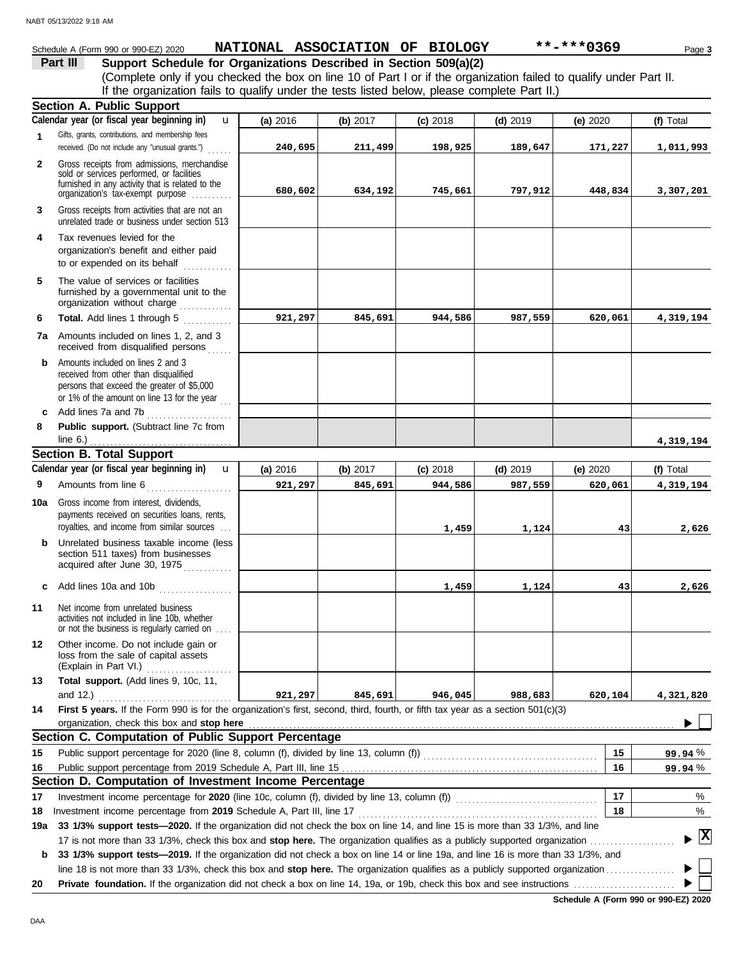#### Schedule A (Form 990 or 990-EZ) 2020 Page **3 NATIONAL ASSOCIATION OF BIOLOGY \*\*-\*\*\*0369**

**Part III Support Schedule for Organizations Described in Section 509(a)(2)** (Complete only if you checked the box on line 10 of Part I or if the organization failed to qualify under Part II. If the organization fails to qualify under the tests listed below, please complete Part II.)

|              | <b>Section A. Public Support</b>                                                                                                                                                  |          |          |            |            |          |              |
|--------------|-----------------------------------------------------------------------------------------------------------------------------------------------------------------------------------|----------|----------|------------|------------|----------|--------------|
|              | Calendar year (or fiscal year beginning in)<br>u                                                                                                                                  | (a) 2016 | (b) 2017 | $(c)$ 2018 | $(d)$ 2019 | (e) 2020 | (f) Total    |
| 1            | Gifts, grants, contributions, and membership fees<br>received. (Do not include any "unusual grants.")                                                                             | 240,695  | 211,499  | 198,925    | 189,647    | 171,227  | 1,011,993    |
| $\mathbf{2}$ | Gross receipts from admissions, merchandise<br>sold or services performed, or facilities<br>furnished in any activity that is related to the<br>organization's tax-exempt purpose | 680,602  | 634,192  | 745,661    | 797,912    | 448,834  | 3,307,201    |
| 3            | Gross receipts from activities that are not an<br>unrelated trade or business under section 513                                                                                   |          |          |            |            |          |              |
| 4            | Tax revenues levied for the<br>organization's benefit and either paid<br>to or expended on its behalf<br><u>.</u><br>1910. – Paul Barbara III predstava                           |          |          |            |            |          |              |
| 5            | The value of services or facilities<br>furnished by a governmental unit to the<br>organization without charge                                                                     |          |          |            |            |          |              |
| 6            | Total. Add lines 1 through 5                                                                                                                                                      | 921,297  | 845,691  | 944,586    | 987,559    | 620,061  | 4,319,194    |
| 7a           | Amounts included on lines 1, 2, and 3<br>received from disqualified persons                                                                                                       |          |          |            |            |          |              |
| b            | Amounts included on lines 2 and 3<br>received from other than disqualified<br>persons that exceed the greater of \$5,000<br>or 1% of the amount on line 13 for the year           |          |          |            |            |          |              |
| c            | Add lines 7a and 7b                                                                                                                                                               |          |          |            |            |          |              |
| 8            | Public support. (Subtract line 7c from<br>line $6.$ )                                                                                                                             |          |          |            |            |          | 4,319,194    |
|              | <b>Section B. Total Support</b>                                                                                                                                                   |          |          |            |            |          |              |
|              | Calendar year (or fiscal year beginning in)<br>$\mathbf{u}$                                                                                                                       | (a) 2016 | (b) 2017 | $(c)$ 2018 | $(d)$ 2019 | (e) 2020 | (f) Total    |
| 9            | Amounts from line 6                                                                                                                                                               | 921,297  | 845,691  | 944,586    | 987,559    | 620,061  | 4,319,194    |
| 10a          | Gross income from interest, dividends,<br>payments received on securities loans, rents,<br>royalties, and income from similar sources                                             |          |          | 1,459      | 1,124      | 43       | 2,626        |
| b            | Unrelated business taxable income (less<br>section 511 taxes) from businesses<br>acquired after June 30, 1975                                                                     |          |          |            |            |          |              |
| C            | Add lines 10a and 10b                                                                                                                                                             |          |          | 1,459      | 1,124      | 43       | 2,626        |
| 11           | Net income from unrelated business<br>activities not included in line 10b, whether<br>or not the business is regularly carried on                                                 |          |          |            |            |          |              |
| 12           | Other income. Do not include gain or<br>loss from the sale of capital assets<br>(Explain in Part VI.)                                                                             |          |          |            |            |          |              |
| 13           | Total support. (Add lines 9, 10c, 11,                                                                                                                                             |          |          |            |            |          |              |
|              | and $12.$ )<br>.                                                                                                                                                                  | 921,297  | 845,691  | 946,045    | 988,683    | 620,104  | 4,321,820    |
| 14           | First 5 years. If the Form 990 is for the organization's first, second, third, fourth, or fifth tax year as a section 501(c)(3)                                                   |          |          |            |            |          |              |
|              | organization, check this box and stop here                                                                                                                                        |          |          |            |            |          |              |
|              | Section C. Computation of Public Support Percentage                                                                                                                               |          |          |            |            |          |              |
| 15           | Public support percentage for 2020 (line 8, column (f), divided by line 13, column (f)) [[[[[[[[[[[[[[[[[[[[[                                                                     |          |          |            |            | 15       | 99.94 %      |
| 16           |                                                                                                                                                                                   |          |          |            |            | 16       | 99.94%       |
|              | Section D. Computation of Investment Income Percentage                                                                                                                            |          |          |            |            |          |              |
| 17           |                                                                                                                                                                                   |          |          |            |            | 17       | %            |
| 18           | Investment income percentage from 2019 Schedule A, Part III, line 17                                                                                                              |          |          |            |            | 18       | %            |
| 19a          | 33 1/3% support tests-2020. If the organization did not check the box on line 14, and line 15 is more than 33 1/3%, and line                                                      |          |          |            |            |          |              |
|              | 17 is not more than 33 1/3%, check this box and stop here. The organization qualifies as a publicly supported organization                                                        |          |          |            |            |          | $\mathbf{x}$ |
| b            | 33 1/3% support tests-2019. If the organization did not check a box on line 14 or line 19a, and line 16 is more than 33 1/3%, and                                                 |          |          |            |            |          |              |
|              |                                                                                                                                                                                   |          |          |            |            |          |              |
| 20           |                                                                                                                                                                                   |          |          |            |            |          |              |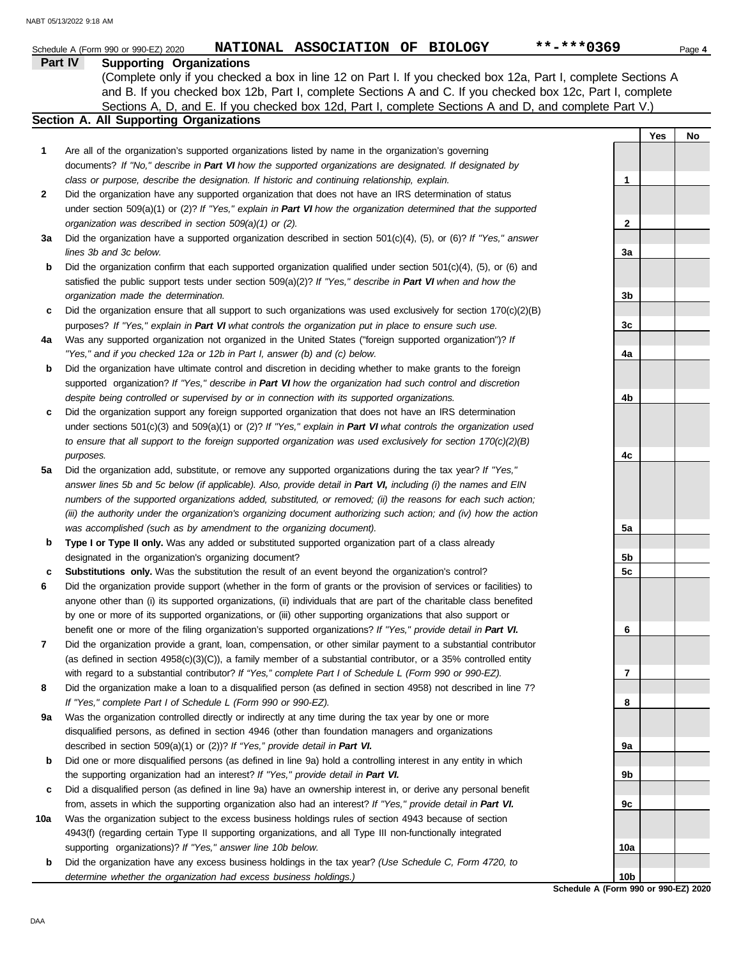|                | NATIONAL ASSOCIATION OF BIOLOGY<br>Schedule A (Form 990 or 990-EZ) 2020                                                                                                                                               | **-***0369                          |     | Page 4 |
|----------------|-----------------------------------------------------------------------------------------------------------------------------------------------------------------------------------------------------------------------|-------------------------------------|-----|--------|
| <b>Part IV</b> | <b>Supporting Organizations</b>                                                                                                                                                                                       |                                     |     |        |
|                | (Complete only if you checked a box in line 12 on Part I. If you checked box 12a, Part I, complete Sections A                                                                                                         |                                     |     |        |
|                | and B. If you checked box 12b, Part I, complete Sections A and C. If you checked box 12c, Part I, complete                                                                                                            |                                     |     |        |
|                | Sections A, D, and E. If you checked box 12d, Part I, complete Sections A and D, and complete Part V.)                                                                                                                |                                     |     |        |
|                | Section A. All Supporting Organizations                                                                                                                                                                               |                                     |     |        |
|                |                                                                                                                                                                                                                       |                                     | Yes | No     |
| 1              | Are all of the organization's supported organizations listed by name in the organization's governing                                                                                                                  |                                     |     |        |
|                | documents? If "No," describe in Part VI how the supported organizations are designated. If designated by                                                                                                              |                                     |     |        |
|                | class or purpose, describe the designation. If historic and continuing relationship, explain.                                                                                                                         | 1                                   |     |        |
| 2              | Did the organization have any supported organization that does not have an IRS determination of status                                                                                                                |                                     |     |        |
|                | under section 509(a)(1) or (2)? If "Yes," explain in Part VI how the organization determined that the supported                                                                                                       |                                     |     |        |
|                | organization was described in section 509(a)(1) or (2).                                                                                                                                                               | $\mathbf{2}$                        |     |        |
| За             | Did the organization have a supported organization described in section $501(c)(4)$ , (5), or (6)? If "Yes," answer                                                                                                   |                                     |     |        |
|                | lines 3b and 3c below.                                                                                                                                                                                                | 3a                                  |     |        |
| b              | Did the organization confirm that each supported organization qualified under section $501(c)(4)$ , $(5)$ , or $(6)$ and                                                                                              |                                     |     |        |
|                | satisfied the public support tests under section 509(a)(2)? If "Yes," describe in Part VI when and how the                                                                                                            |                                     |     |        |
|                | organization made the determination.                                                                                                                                                                                  | 3b                                  |     |        |
| c              | Did the organization ensure that all support to such organizations was used exclusively for section $170(c)(2)(B)$                                                                                                    |                                     |     |        |
|                | purposes? If "Yes," explain in Part VI what controls the organization put in place to ensure such use.                                                                                                                | 3c                                  |     |        |
| 4a             | Was any supported organization not organized in the United States ("foreign supported organization")? If                                                                                                              |                                     |     |        |
|                | "Yes," and if you checked 12a or 12b in Part I, answer (b) and (c) below.                                                                                                                                             | 4a                                  |     |        |
| b              | Did the organization have ultimate control and discretion in deciding whether to make grants to the foreign                                                                                                           |                                     |     |        |
|                | supported organization? If "Yes," describe in Part VI how the organization had such control and discretion                                                                                                            |                                     |     |        |
|                | despite being controlled or supervised by or in connection with its supported organizations.                                                                                                                          | 4b                                  |     |        |
| c              | Did the organization support any foreign supported organization that does not have an IRS determination                                                                                                               |                                     |     |        |
|                | under sections $501(c)(3)$ and $509(a)(1)$ or (2)? If "Yes," explain in Part VI what controls the organization used                                                                                                   |                                     |     |        |
|                | to ensure that all support to the foreign supported organization was used exclusively for section $170(c)(2)(B)$                                                                                                      |                                     |     |        |
|                | purposes.                                                                                                                                                                                                             | 4c                                  |     |        |
| 5a             | Did the organization add, substitute, or remove any supported organizations during the tax year? If "Yes,"                                                                                                            |                                     |     |        |
|                | answer lines 5b and 5c below (if applicable). Also, provide detail in Part VI, including (i) the names and EIN                                                                                                        |                                     |     |        |
|                | numbers of the supported organizations added, substituted, or removed; (ii) the reasons for each such action;                                                                                                         |                                     |     |        |
|                | (iii) the authority under the organization's organizing document authorizing such action; and (iv) how the action                                                                                                     |                                     |     |        |
|                | was accomplished (such as by amendment to the organizing document).                                                                                                                                                   | 5a                                  |     |        |
| b              | Type I or Type II only. Was any added or substituted supported organization part of a class already                                                                                                                   |                                     |     |        |
|                | designated in the organization's organizing document?                                                                                                                                                                 | 5b                                  |     |        |
|                | Substitutions only. Was the substitution the result of an event beyond the organization's control?                                                                                                                    | 5c                                  |     |        |
| 6              | Did the organization provide support (whether in the form of grants or the provision of services or facilities) to                                                                                                    |                                     |     |        |
|                | anyone other than (i) its supported organizations, (ii) individuals that are part of the charitable class benefited                                                                                                   |                                     |     |        |
|                | by one or more of its supported organizations, or (iii) other supporting organizations that also support or                                                                                                           |                                     |     |        |
|                | benefit one or more of the filing organization's supported organizations? If "Yes," provide detail in Part VI.                                                                                                        | 6                                   |     |        |
| 7              | Did the organization provide a grant, loan, compensation, or other similar payment to a substantial contributor                                                                                                       |                                     |     |        |
|                | (as defined in section $4958(c)(3)(C)$ ), a family member of a substantial contributor, or a 35% controlled entity                                                                                                    |                                     |     |        |
|                | with regard to a substantial contributor? If "Yes," complete Part I of Schedule L (Form 990 or 990-EZ).                                                                                                               | 7                                   |     |        |
| 8              | Did the organization make a loan to a disqualified person (as defined in section 4958) not described in line 7?                                                                                                       |                                     |     |        |
|                | If "Yes," complete Part I of Schedule L (Form 990 or 990-EZ).                                                                                                                                                         | 8                                   |     |        |
| 9a             | Was the organization controlled directly or indirectly at any time during the tax year by one or more                                                                                                                 |                                     |     |        |
|                | disqualified persons, as defined in section 4946 (other than foundation managers and organizations                                                                                                                    |                                     |     |        |
|                | described in section 509(a)(1) or (2))? If "Yes," provide detail in Part VI.                                                                                                                                          | 9а                                  |     |        |
| b              | Did one or more disqualified persons (as defined in line 9a) hold a controlling interest in any entity in which                                                                                                       |                                     |     |        |
|                | the supporting organization had an interest? If "Yes," provide detail in Part VI.                                                                                                                                     | 9b                                  |     |        |
| c              | Did a disqualified person (as defined in line 9a) have an ownership interest in, or derive any personal benefit                                                                                                       |                                     |     |        |
| 10a            | from, assets in which the supporting organization also had an interest? If "Yes," provide detail in Part VI.<br>Was the organization subject to the excess business holdings rules of section 4943 because of section | 9c                                  |     |        |
|                |                                                                                                                                                                                                                       |                                     |     |        |
|                | 4943(f) (regarding certain Type II supporting organizations, and all Type III non-functionally integrated<br>supporting organizations)? If "Yes," answer line 10b below.                                              | 10a                                 |     |        |
| b              | Did the organization have any excess business holdings in the tax year? (Use Schedule C, Form 4720, to                                                                                                                |                                     |     |        |
|                | determine whether the organization had excess business holdings.)                                                                                                                                                     | 10b                                 |     |        |
|                |                                                                                                                                                                                                                       | Schodule A (Form 000 or 000-F7) 202 |     |        |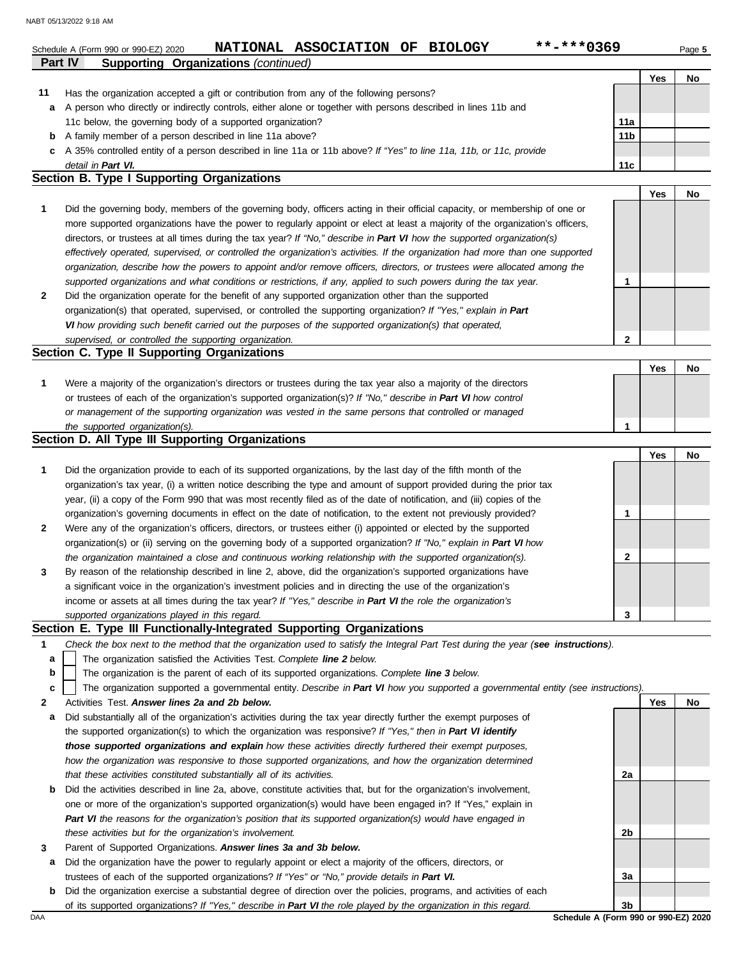| Part IV | **-***0369<br>NATIONAL ASSOCIATION OF BIOLOGY<br>Schedule A (Form 990 or 990-EZ) 2020                                                                                                                                  |                 |     | Page 5 |
|---------|------------------------------------------------------------------------------------------------------------------------------------------------------------------------------------------------------------------------|-----------------|-----|--------|
|         | <b>Supporting Organizations (continued)</b>                                                                                                                                                                            |                 | Yes | No     |
| 11      | Has the organization accepted a gift or contribution from any of the following persons?                                                                                                                                |                 |     |        |
| a       | A person who directly or indirectly controls, either alone or together with persons described in lines 11b and                                                                                                         |                 |     |        |
|         | 11c below, the governing body of a supported organization?                                                                                                                                                             | 11a             |     |        |
| b       | A family member of a person described in line 11a above?                                                                                                                                                               | 11 <sub>b</sub> |     |        |
| c       | A 35% controlled entity of a person described in line 11a or 11b above? If "Yes" to line 11a, 11b, or 11c, provide                                                                                                     |                 |     |        |
|         | detail in Part VI.                                                                                                                                                                                                     | 11c             |     |        |
|         | Section B. Type I Supporting Organizations                                                                                                                                                                             |                 |     |        |
|         |                                                                                                                                                                                                                        |                 | Yes | No     |
| 1       | Did the governing body, members of the governing body, officers acting in their official capacity, or membership of one or                                                                                             |                 |     |        |
|         | more supported organizations have the power to regularly appoint or elect at least a majority of the organization's officers,                                                                                          |                 |     |        |
|         | directors, or trustees at all times during the tax year? If "No," describe in Part VI how the supported organization(s)                                                                                                |                 |     |        |
|         | effectively operated, supervised, or controlled the organization's activities. If the organization had more than one supported                                                                                         |                 |     |        |
|         | organization, describe how the powers to appoint and/or remove officers, directors, or trustees were allocated among the                                                                                               |                 |     |        |
|         | supported organizations and what conditions or restrictions, if any, applied to such powers during the tax year.                                                                                                       | 1               |     |        |
| 2       | Did the organization operate for the benefit of any supported organization other than the supported                                                                                                                    |                 |     |        |
|         | organization(s) that operated, supervised, or controlled the supporting organization? If "Yes," explain in Part                                                                                                        |                 |     |        |
|         | VI how providing such benefit carried out the purposes of the supported organization(s) that operated,                                                                                                                 |                 |     |        |
|         | supervised, or controlled the supporting organization.                                                                                                                                                                 | $\mathbf{2}$    |     |        |
|         | Section C. Type II Supporting Organizations                                                                                                                                                                            |                 |     |        |
|         |                                                                                                                                                                                                                        |                 | Yes | No     |
| 1       | Were a majority of the organization's directors or trustees during the tax year also a majority of the directors                                                                                                       |                 |     |        |
|         | or trustees of each of the organization's supported organization(s)? If "No," describe in Part VI how control                                                                                                          |                 |     |        |
|         | or management of the supporting organization was vested in the same persons that controlled or managed                                                                                                                 |                 |     |        |
|         | the supported organization(s).                                                                                                                                                                                         | 1               |     |        |
|         | Section D. All Type III Supporting Organizations                                                                                                                                                                       |                 |     |        |
|         |                                                                                                                                                                                                                        |                 | Yes | No     |
| 1       | Did the organization provide to each of its supported organizations, by the last day of the fifth month of the                                                                                                         |                 |     |        |
|         | organization's tax year, (i) a written notice describing the type and amount of support provided during the prior tax                                                                                                  |                 |     |        |
|         | year, (ii) a copy of the Form 990 that was most recently filed as of the date of notification, and (iii) copies of the                                                                                                 |                 |     |        |
|         | organization's governing documents in effect on the date of notification, to the extent not previously provided?                                                                                                       | 1               |     |        |
| 2       | Were any of the organization's officers, directors, or trustees either (i) appointed or elected by the supported                                                                                                       |                 |     |        |
|         | organization(s) or (ii) serving on the governing body of a supported organization? If "No," explain in Part VI how                                                                                                     |                 |     |        |
|         | the organization maintained a close and continuous working relationship with the supported organization(s).                                                                                                            | 2               |     |        |
| 3       | By reason of the relationship described in line 2, above, did the organization's supported organizations have                                                                                                          |                 |     |        |
|         | a significant voice in the organization's investment policies and in directing the use of the organization's                                                                                                           |                 |     |        |
|         | income or assets at all times during the tax year? If "Yes," describe in Part VI the role the organization's                                                                                                           |                 |     |        |
|         | supported organizations played in this regard.                                                                                                                                                                         | 3               |     |        |
|         | Section E. Type III Functionally-Integrated Supporting Organizations                                                                                                                                                   |                 |     |        |
| 1       | Check the box next to the method that the organization used to satisfy the Integral Part Test during the year (see instructions).                                                                                      |                 |     |        |
| а       | The organization satisfied the Activities Test. Complete line 2 below.                                                                                                                                                 |                 |     |        |
| b       | The organization is the parent of each of its supported organizations. Complete line 3 below.                                                                                                                          |                 |     |        |
| c       | The organization supported a governmental entity. Describe in Part VI how you supported a governmental entity (see instructions).                                                                                      |                 |     |        |
| 2       | Activities Test. Answer lines 2a and 2b below.                                                                                                                                                                         |                 | Yes | No     |
| а       | Did substantially all of the organization's activities during the tax year directly further the exempt purposes of                                                                                                     |                 |     |        |
|         |                                                                                                                                                                                                                        |                 |     |        |
|         | the supported organization(s) to which the organization was responsive? If "Yes," then in Part VI identify<br>those supported organizations and explain how these activities directly furthered their exempt purposes, |                 |     |        |

| <b>b</b> Did the activities described in line 2a, above, constitute activities that, but for the organization's involvement, |
|------------------------------------------------------------------------------------------------------------------------------|
| one or more of the organization's supported organization(s) would have been engaged in? If "Yes," explain in                 |
| Part VI the reasons for the organization's position that its supported organization(s) would have engaged in                 |
| these activities but for the organization's involvement.                                                                     |

**3** Parent of Supported Organizations. *Answer lines 3a and 3b below.*

*that these activities constituted substantially all of its activities.*

- **a** Did the organization have the power to regularly appoint or elect a majority of the officers, directors, or trustees of each of the supported organizations? *If "Yes" or "No," provide details in Part VI.*
- **b** Did the organization exercise a substantial degree of direction over the policies, programs, and activities of each of its supported organizations? *If "Yes," describe in Part VI the role played by the organization in this regard.*

DAA **Schedule A (Form 990 or 990-EZ) 2020 3b**

**2a**

**2b**

**3a**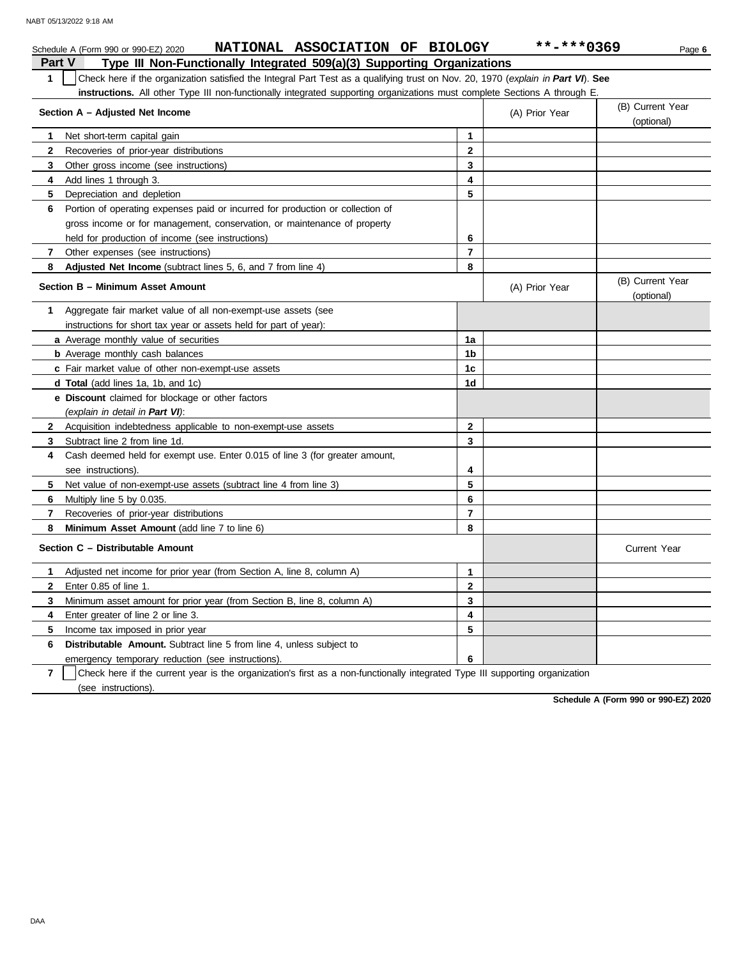|                | NATIONAL ASSOCIATION OF BIOLOGY<br>Schedule A (Form 990 or 990-EZ) 2020                                                          |                         | **-***0369     | Page 6                         |
|----------------|----------------------------------------------------------------------------------------------------------------------------------|-------------------------|----------------|--------------------------------|
| <b>Part V</b>  | Type III Non-Functionally Integrated 509(a)(3) Supporting Organizations                                                          |                         |                |                                |
| $\mathbf{1}$   | Check here if the organization satisfied the Integral Part Test as a qualifying trust on Nov. 20, 1970 (explain in Part VI). See |                         |                |                                |
|                | instructions. All other Type III non-functionally integrated supporting organizations must complete Sections A through E.        |                         |                |                                |
|                | Section A - Adjusted Net Income                                                                                                  |                         | (A) Prior Year | (B) Current Year<br>(optional) |
| 1              | Net short-term capital gain                                                                                                      | $\mathbf{1}$            |                |                                |
| $\mathbf{2}$   | Recoveries of prior-year distributions                                                                                           | $\mathbf{2}$            |                |                                |
| 3              | Other gross income (see instructions)                                                                                            | 3                       |                |                                |
| 4              | Add lines 1 through 3.                                                                                                           | $\overline{\mathbf{4}}$ |                |                                |
| 5              | Depreciation and depletion                                                                                                       | 5                       |                |                                |
| 6              | Portion of operating expenses paid or incurred for production or collection of                                                   |                         |                |                                |
|                | gross income or for management, conservation, or maintenance of property                                                         |                         |                |                                |
|                | held for production of income (see instructions)                                                                                 | 6                       |                |                                |
| $\overline{7}$ | Other expenses (see instructions)                                                                                                | $\overline{\mathbf{r}}$ |                |                                |
| 8              | <b>Adjusted Net Income</b> (subtract lines 5, 6, and 7 from line 4)                                                              | 8                       |                |                                |
|                | Section B - Minimum Asset Amount                                                                                                 |                         | (A) Prior Year | (B) Current Year<br>(optional) |
| 1              | Aggregate fair market value of all non-exempt-use assets (see                                                                    |                         |                |                                |
|                | instructions for short tax year or assets held for part of year):                                                                |                         |                |                                |
|                | <b>a</b> Average monthly value of securities                                                                                     | 1a                      |                |                                |
|                | <b>b</b> Average monthly cash balances                                                                                           | 1b                      |                |                                |
|                | c Fair market value of other non-exempt-use assets                                                                               | 1 <sub>c</sub>          |                |                                |
|                | d Total (add lines 1a, 1b, and 1c)                                                                                               | 1d                      |                |                                |
|                | e Discount claimed for blockage or other factors                                                                                 |                         |                |                                |
|                | (explain in detail in Part VI):                                                                                                  |                         |                |                                |
| $\mathbf{2}$   | Acquisition indebtedness applicable to non-exempt-use assets                                                                     | $\mathbf{2}$            |                |                                |
| 3              | Subtract line 2 from line 1d.                                                                                                    | 3                       |                |                                |
| 4              | Cash deemed held for exempt use. Enter 0.015 of line 3 (for greater amount,                                                      |                         |                |                                |
|                | see instructions)                                                                                                                | 4                       |                |                                |
| 5              | Net value of non-exempt-use assets (subtract line 4 from line 3)                                                                 | 5                       |                |                                |
| 6              | Multiply line 5 by 0.035.                                                                                                        | 6                       |                |                                |
| 7              | Recoveries of prior-year distributions                                                                                           | $\overline{7}$          |                |                                |
| 8              | Minimum Asset Amount (add line 7 to line 6)                                                                                      | 8                       |                |                                |
|                | Section C - Distributable Amount                                                                                                 |                         |                | <b>Current Year</b>            |
| 1              | Adjusted net income for prior year (from Section A, line 8, column A)                                                            | $\mathbf{1}$            |                |                                |
| $\mathbf{2}$   | Enter 0.85 of line 1.                                                                                                            | $\mathbf{2}$            |                |                                |
| 3              | Minimum asset amount for prior year (from Section B, line 8, column A)                                                           | 3                       |                |                                |
| 4              | Enter greater of line 2 or line 3.                                                                                               | 4                       |                |                                |
| 5              | Income tax imposed in prior year                                                                                                 | 5                       |                |                                |
| 6              | <b>Distributable Amount.</b> Subtract line 5 from line 4, unless subject to                                                      |                         |                |                                |
|                | emergency temporary reduction (see instructions).                                                                                | 6                       |                |                                |

**7** (see instructions). Check here if the current year is the organization's first as a non-functionally integrated Type III supporting organization

**Schedule A (Form 990 or 990-EZ) 2020**

DAA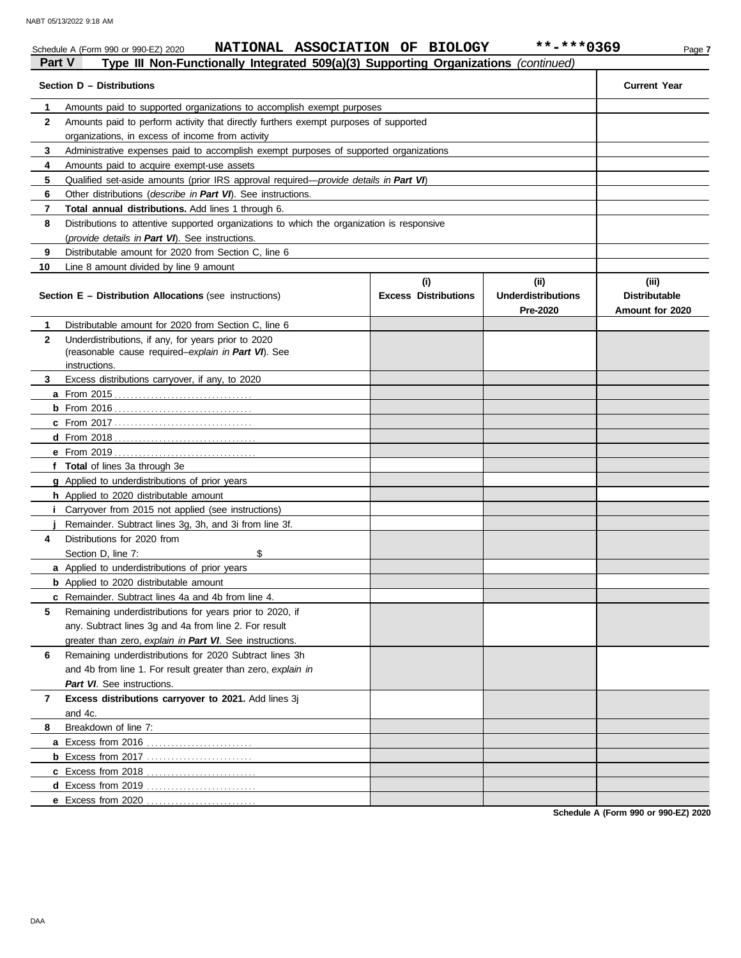|               | NATIONAL ASSOCIATION OF BIOLOGY<br>Schedule A (Form 990 or 990-EZ) 2020                                             |                                    | **-***0369                                    | Page 7                                           |
|---------------|---------------------------------------------------------------------------------------------------------------------|------------------------------------|-----------------------------------------------|--------------------------------------------------|
| <b>Part V</b> | Type III Non-Functionally Integrated 509(a)(3) Supporting Organizations (continued)                                 |                                    |                                               |                                                  |
|               | Section D - Distributions                                                                                           |                                    |                                               | <b>Current Year</b>                              |
| 1             | Amounts paid to supported organizations to accomplish exempt purposes                                               |                                    |                                               |                                                  |
| $\mathbf{2}$  | Amounts paid to perform activity that directly furthers exempt purposes of supported                                |                                    |                                               |                                                  |
|               | organizations, in excess of income from activity                                                                    |                                    |                                               |                                                  |
| 3             | Administrative expenses paid to accomplish exempt purposes of supported organizations                               |                                    |                                               |                                                  |
| 4             | Amounts paid to acquire exempt-use assets                                                                           |                                    |                                               |                                                  |
| 5             | Qualified set-aside amounts (prior IRS approval required—provide details in Part VI)                                |                                    |                                               |                                                  |
| 6             | Other distributions (describe in Part VI). See instructions.                                                        |                                    |                                               |                                                  |
| 7             | Total annual distributions. Add lines 1 through 6.                                                                  |                                    |                                               |                                                  |
| 8             | Distributions to attentive supported organizations to which the organization is responsive                          |                                    |                                               |                                                  |
|               | (provide details in Part VI). See instructions.                                                                     |                                    |                                               |                                                  |
| 9             | Distributable amount for 2020 from Section C, line 6                                                                |                                    |                                               |                                                  |
| 10            | Line 8 amount divided by line 9 amount                                                                              |                                    |                                               |                                                  |
|               | <b>Section E - Distribution Allocations (see instructions)</b>                                                      | (i)<br><b>Excess Distributions</b> | (ii)<br><b>Underdistributions</b><br>Pre-2020 | (iii)<br><b>Distributable</b><br>Amount for 2020 |
| 1             | Distributable amount for 2020 from Section C, line 6                                                                |                                    |                                               |                                                  |
| $\mathbf{2}$  | Underdistributions, if any, for years prior to 2020                                                                 |                                    |                                               |                                                  |
|               | (reasonable cause required-explain in Part VI). See                                                                 |                                    |                                               |                                                  |
|               | instructions.                                                                                                       |                                    |                                               |                                                  |
| 3             | Excess distributions carryover, if any, to 2020                                                                     |                                    |                                               |                                                  |
|               |                                                                                                                     |                                    |                                               |                                                  |
|               |                                                                                                                     |                                    |                                               |                                                  |
|               |                                                                                                                     |                                    |                                               |                                                  |
|               |                                                                                                                     |                                    |                                               |                                                  |
|               |                                                                                                                     |                                    |                                               |                                                  |
|               | f Total of lines 3a through 3e                                                                                      |                                    |                                               |                                                  |
|               | g Applied to underdistributions of prior years                                                                      |                                    |                                               |                                                  |
|               | h Applied to 2020 distributable amount                                                                              |                                    |                                               |                                                  |
|               | <i>i</i> Carryover from 2015 not applied (see instructions)                                                         |                                    |                                               |                                                  |
| 4             | Remainder. Subtract lines 3g, 3h, and 3i from line 3f.<br>Distributions for 2020 from                               |                                    |                                               |                                                  |
|               | Section D, line 7:<br>\$                                                                                            |                                    |                                               |                                                  |
|               |                                                                                                                     |                                    |                                               |                                                  |
|               | a Applied to underdistributions of prior years<br><b>b</b> Applied to 2020 distributable amount                     |                                    |                                               |                                                  |
|               | c Remainder. Subtract lines 4a and 4b from line 4.                                                                  |                                    |                                               |                                                  |
| 5             | Remaining underdistributions for years prior to 2020, if                                                            |                                    |                                               |                                                  |
|               |                                                                                                                     |                                    |                                               |                                                  |
|               | any. Subtract lines 3g and 4a from line 2. For result                                                               |                                    |                                               |                                                  |
| 6             | greater than zero, explain in Part VI. See instructions.<br>Remaining underdistributions for 2020 Subtract lines 3h |                                    |                                               |                                                  |
|               | and 4b from line 1. For result greater than zero, explain in                                                        |                                    |                                               |                                                  |
|               | Part VI. See instructions.                                                                                          |                                    |                                               |                                                  |
|               |                                                                                                                     |                                    |                                               |                                                  |
| 7             | Excess distributions carryover to 2021. Add lines 3j                                                                |                                    |                                               |                                                  |
| 8             | and 4c.<br>Breakdown of line 7:                                                                                     |                                    |                                               |                                                  |
|               |                                                                                                                     |                                    |                                               |                                                  |
|               | <b>b</b> Excess from 2017                                                                                           |                                    |                                               |                                                  |
|               |                                                                                                                     |                                    |                                               |                                                  |
|               |                                                                                                                     |                                    |                                               |                                                  |
|               |                                                                                                                     |                                    |                                               |                                                  |
|               | e Excess from 2020                                                                                                  |                                    |                                               |                                                  |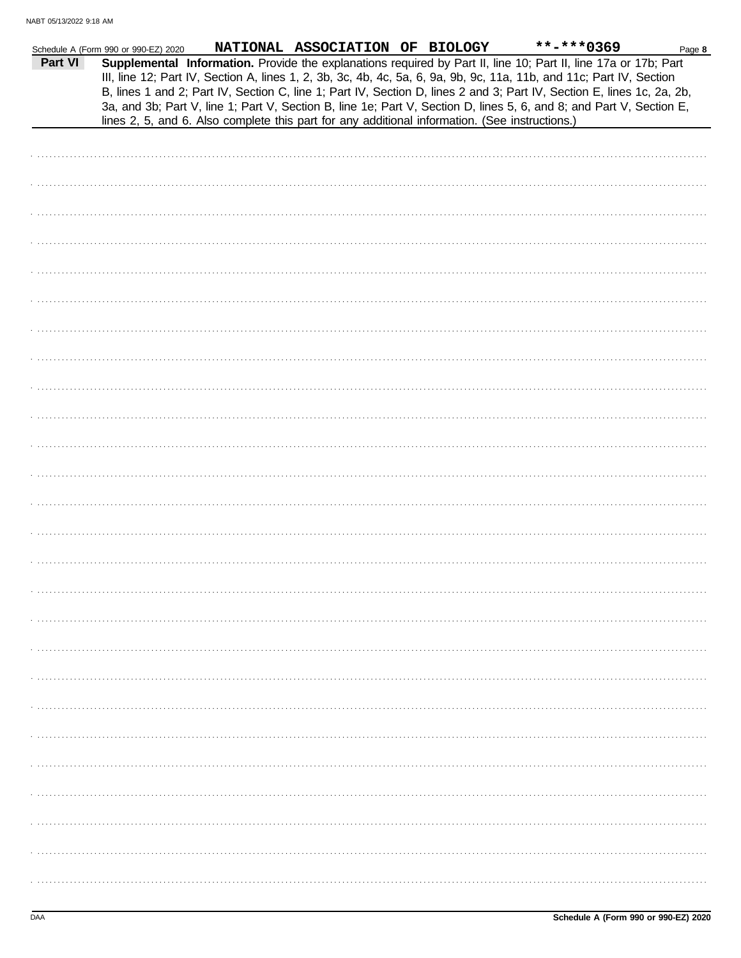|         | Schedule A (Form 990 or 990-EZ) 2020 |  | NATIONAL ASSOCIATION OF BIOLOGY                                                                | **-***0369                                                                                                                                                                                                                                                                                                                                                        | Page 8 |
|---------|--------------------------------------|--|------------------------------------------------------------------------------------------------|-------------------------------------------------------------------------------------------------------------------------------------------------------------------------------------------------------------------------------------------------------------------------------------------------------------------------------------------------------------------|--------|
| Part VI |                                      |  |                                                                                                | Supplemental Information. Provide the explanations required by Part II, line 10; Part II, line 17a or 17b; Part<br>III, line 12; Part IV, Section A, lines 1, 2, 3b, 3c, 4b, 4c, 5a, 6, 9a, 9b, 9c, 11a, 11b, and 11c; Part IV, Section<br>B, lines 1 and 2; Part IV, Section C, line 1; Part IV, Section D, lines 2 and 3; Part IV, Section E, lines 1c, 2a, 2b, |        |
|         |                                      |  | lines 2, 5, and 6. Also complete this part for any additional information. (See instructions.) | 3a, and 3b; Part V, line 1; Part V, Section B, line 1e; Part V, Section D, lines 5, 6, and 8; and Part V, Section E,                                                                                                                                                                                                                                              |        |
|         |                                      |  |                                                                                                |                                                                                                                                                                                                                                                                                                                                                                   |        |
|         |                                      |  |                                                                                                |                                                                                                                                                                                                                                                                                                                                                                   |        |
|         |                                      |  |                                                                                                |                                                                                                                                                                                                                                                                                                                                                                   |        |
|         |                                      |  |                                                                                                |                                                                                                                                                                                                                                                                                                                                                                   |        |
|         |                                      |  |                                                                                                |                                                                                                                                                                                                                                                                                                                                                                   |        |
|         |                                      |  |                                                                                                |                                                                                                                                                                                                                                                                                                                                                                   |        |
|         |                                      |  |                                                                                                |                                                                                                                                                                                                                                                                                                                                                                   |        |
|         |                                      |  |                                                                                                |                                                                                                                                                                                                                                                                                                                                                                   |        |
|         |                                      |  |                                                                                                |                                                                                                                                                                                                                                                                                                                                                                   |        |
|         |                                      |  |                                                                                                |                                                                                                                                                                                                                                                                                                                                                                   |        |
|         |                                      |  |                                                                                                |                                                                                                                                                                                                                                                                                                                                                                   |        |
|         |                                      |  |                                                                                                |                                                                                                                                                                                                                                                                                                                                                                   |        |
|         |                                      |  |                                                                                                |                                                                                                                                                                                                                                                                                                                                                                   |        |
|         |                                      |  |                                                                                                |                                                                                                                                                                                                                                                                                                                                                                   |        |
|         |                                      |  |                                                                                                |                                                                                                                                                                                                                                                                                                                                                                   |        |
|         |                                      |  |                                                                                                |                                                                                                                                                                                                                                                                                                                                                                   |        |
|         |                                      |  |                                                                                                |                                                                                                                                                                                                                                                                                                                                                                   |        |
|         |                                      |  |                                                                                                |                                                                                                                                                                                                                                                                                                                                                                   |        |
|         |                                      |  |                                                                                                |                                                                                                                                                                                                                                                                                                                                                                   |        |
|         |                                      |  |                                                                                                |                                                                                                                                                                                                                                                                                                                                                                   |        |
|         |                                      |  |                                                                                                |                                                                                                                                                                                                                                                                                                                                                                   |        |
|         |                                      |  |                                                                                                |                                                                                                                                                                                                                                                                                                                                                                   |        |
|         |                                      |  |                                                                                                |                                                                                                                                                                                                                                                                                                                                                                   |        |
|         |                                      |  |                                                                                                |                                                                                                                                                                                                                                                                                                                                                                   |        |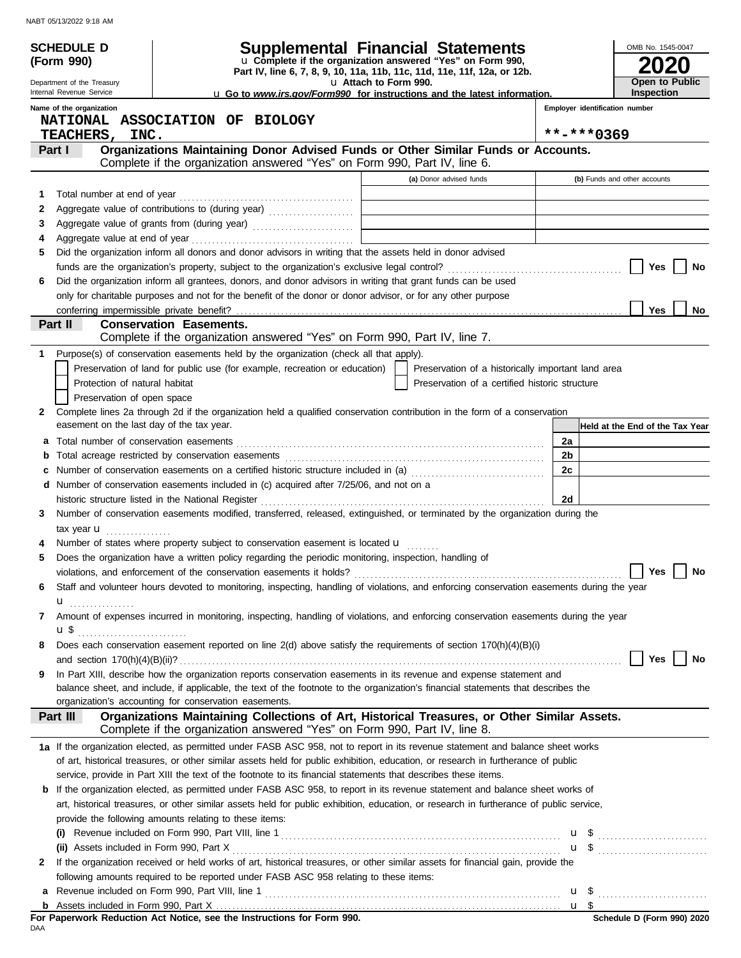| <b>SCHEDULE D</b>                             |                                                                                                                                                                                            | Supplemental Financial Statements                                                                  |                                |                                 | OMB No. 1545-0047    |    |
|-----------------------------------------------|--------------------------------------------------------------------------------------------------------------------------------------------------------------------------------------------|----------------------------------------------------------------------------------------------------|--------------------------------|---------------------------------|----------------------|----|
| (Form 990)                                    |                                                                                                                                                                                            | u Complete if the organization answered "Yes" on Form 990,                                         |                                |                                 |                      |    |
| Department of the Treasury                    |                                                                                                                                                                                            | Part IV, line 6, 7, 8, 9, 10, 11a, 11b, 11c, 11d, 11e, 11f, 12a, or 12b.<br>La Attach to Form 990. |                                |                                 | Open to Public       |    |
| Internal Revenue Service                      |                                                                                                                                                                                            | <b>u</b> Go to www.irs.gov/Form990 for instructions and the latest information.                    |                                |                                 | Inspection           |    |
| Name of the organization                      | NATIONAL ASSOCIATION OF BIOLOGY                                                                                                                                                            |                                                                                                    | Employer identification number |                                 |                      |    |
| <b>TEACHERS,</b><br>INC.                      |                                                                                                                                                                                            |                                                                                                    | **-***0369                     |                                 |                      |    |
| Part I                                        | Organizations Maintaining Donor Advised Funds or Other Similar Funds or Accounts.                                                                                                          |                                                                                                    |                                |                                 |                      |    |
|                                               | Complete if the organization answered "Yes" on Form 990, Part IV, line 6.                                                                                                                  |                                                                                                    |                                |                                 |                      |    |
| 1                                             |                                                                                                                                                                                            | (a) Donor advised funds                                                                            |                                | (b) Funds and other accounts    |                      |    |
| 2                                             |                                                                                                                                                                                            |                                                                                                    |                                |                                 |                      |    |
| 3                                             |                                                                                                                                                                                            |                                                                                                    |                                |                                 |                      |    |
|                                               |                                                                                                                                                                                            |                                                                                                    |                                |                                 |                      |    |
| 5                                             | Did the organization inform all donors and donor advisors in writing that the assets held in donor advised                                                                                 |                                                                                                    |                                |                                 |                      |    |
|                                               |                                                                                                                                                                                            |                                                                                                    |                                |                                 | Yes                  | No |
| 6                                             | Did the organization inform all grantees, donors, and donor advisors in writing that grant funds can be used                                                                               |                                                                                                    |                                |                                 |                      |    |
|                                               | only for charitable purposes and not for the benefit of the donor or donor advisor, or for any other purpose                                                                               |                                                                                                    |                                |                                 |                      |    |
| conferring impermissible private benefit?     |                                                                                                                                                                                            |                                                                                                    |                                |                                 | <b>Yes</b>           | No |
| Part II                                       | <b>Conservation Easements.</b><br>Complete if the organization answered "Yes" on Form 990, Part IV, line 7.                                                                                |                                                                                                    |                                |                                 |                      |    |
| 1                                             | Purpose(s) of conservation easements held by the organization (check all that apply).                                                                                                      |                                                                                                    |                                |                                 |                      |    |
|                                               | Preservation of land for public use (for example, recreation or education)                                                                                                                 | Preservation of a historically important land area                                                 |                                |                                 |                      |    |
| Protection of natural habitat                 |                                                                                                                                                                                            | Preservation of a certified historic structure                                                     |                                |                                 |                      |    |
| Preservation of open space                    |                                                                                                                                                                                            |                                                                                                    |                                |                                 |                      |    |
| 2                                             | Complete lines 2a through 2d if the organization held a qualified conservation contribution in the form of a conservation                                                                  |                                                                                                    |                                |                                 |                      |    |
| easement on the last day of the tax year.     |                                                                                                                                                                                            |                                                                                                    |                                | Held at the End of the Tax Year |                      |    |
| а                                             |                                                                                                                                                                                            |                                                                                                    | 2a                             |                                 |                      |    |
|                                               |                                                                                                                                                                                            |                                                                                                    | 2b                             |                                 |                      |    |
|                                               | Number of conservation easements on a certified historic structure included in (a) [11] [21] Number of conservation easements on a certified historic structure included in (a)            |                                                                                                    | 2c                             |                                 |                      |    |
|                                               | d Number of conservation easements included in (c) acquired after 7/25/06, and not on a                                                                                                    |                                                                                                    |                                |                                 |                      |    |
|                                               | historic structure listed in the National Register                                                                                                                                         |                                                                                                    | 2d                             |                                 |                      |    |
| 3                                             | Number of conservation easements modified, transferred, released, extinguished, or terminated by the organization during the                                                               |                                                                                                    |                                |                                 |                      |    |
| tax year $\mathbf u$                          | Number of states where property subject to conservation easement is located u                                                                                                              |                                                                                                    |                                |                                 |                      |    |
| 5                                             | Does the organization have a written policy regarding the periodic monitoring, inspection, handling of                                                                                     |                                                                                                    |                                |                                 |                      |    |
|                                               |                                                                                                                                                                                            |                                                                                                    |                                |                                 | $\Box$ Yes $\Box$ No |    |
| 6                                             | Staff and volunteer hours devoted to monitoring, inspecting, handling of violations, and enforcing conservation easements during the year                                                  |                                                                                                    |                                |                                 |                      |    |
| $\mathbf{u}$                                  |                                                                                                                                                                                            |                                                                                                    |                                |                                 |                      |    |
| 7                                             | Amount of expenses incurred in monitoring, inspecting, handling of violations, and enforcing conservation easements during the year                                                        |                                                                                                    |                                |                                 |                      |    |
|                                               |                                                                                                                                                                                            |                                                                                                    |                                |                                 |                      |    |
| 8                                             | Does each conservation easement reported on line 2(d) above satisfy the requirements of section 170(h)(4)(B)(i)                                                                            |                                                                                                    |                                |                                 |                      |    |
|                                               |                                                                                                                                                                                            |                                                                                                    |                                |                                 | Yes                  | No |
| 9                                             | In Part XIII, describe how the organization reports conservation easements in its revenue and expense statement and                                                                        |                                                                                                    |                                |                                 |                      |    |
|                                               | balance sheet, and include, if applicable, the text of the footnote to the organization's financial statements that describes the<br>organization's accounting for conservation easements. |                                                                                                    |                                |                                 |                      |    |
| Part III                                      | Organizations Maintaining Collections of Art, Historical Treasures, or Other Similar Assets.                                                                                               |                                                                                                    |                                |                                 |                      |    |
|                                               | Complete if the organization answered "Yes" on Form 990, Part IV, line 8.                                                                                                                  |                                                                                                    |                                |                                 |                      |    |
|                                               | 1a If the organization elected, as permitted under FASB ASC 958, not to report in its revenue statement and balance sheet works                                                            |                                                                                                    |                                |                                 |                      |    |
|                                               | of art, historical treasures, or other similar assets held for public exhibition, education, or research in furtherance of public                                                          |                                                                                                    |                                |                                 |                      |    |
|                                               | service, provide in Part XIII the text of the footnote to its financial statements that describes these items.                                                                             |                                                                                                    |                                |                                 |                      |    |
|                                               | <b>b</b> If the organization elected, as permitted under FASB ASC 958, to report in its revenue statement and balance sheet works of                                                       |                                                                                                    |                                |                                 |                      |    |
|                                               | art, historical treasures, or other similar assets held for public exhibition, education, or research in furtherance of public service,                                                    |                                                                                                    |                                |                                 |                      |    |
|                                               | provide the following amounts relating to these items:                                                                                                                                     |                                                                                                    |                                |                                 |                      |    |
|                                               |                                                                                                                                                                                            |                                                                                                    |                                | $\mathbf{u}$ \$                 |                      |    |
| (ii) Assets included in Form 990, Part X<br>2 | If the organization received or held works of art, historical treasures, or other similar assets for financial gain, provide the                                                           |                                                                                                    |                                |                                 |                      |    |
|                                               | following amounts required to be reported under FASB ASC 958 relating to these items:                                                                                                      |                                                                                                    |                                |                                 |                      |    |
|                                               |                                                                                                                                                                                            |                                                                                                    |                                |                                 |                      |    |
|                                               |                                                                                                                                                                                            |                                                                                                    |                                |                                 |                      |    |
|                                               |                                                                                                                                                                                            |                                                                                                    |                                |                                 |                      |    |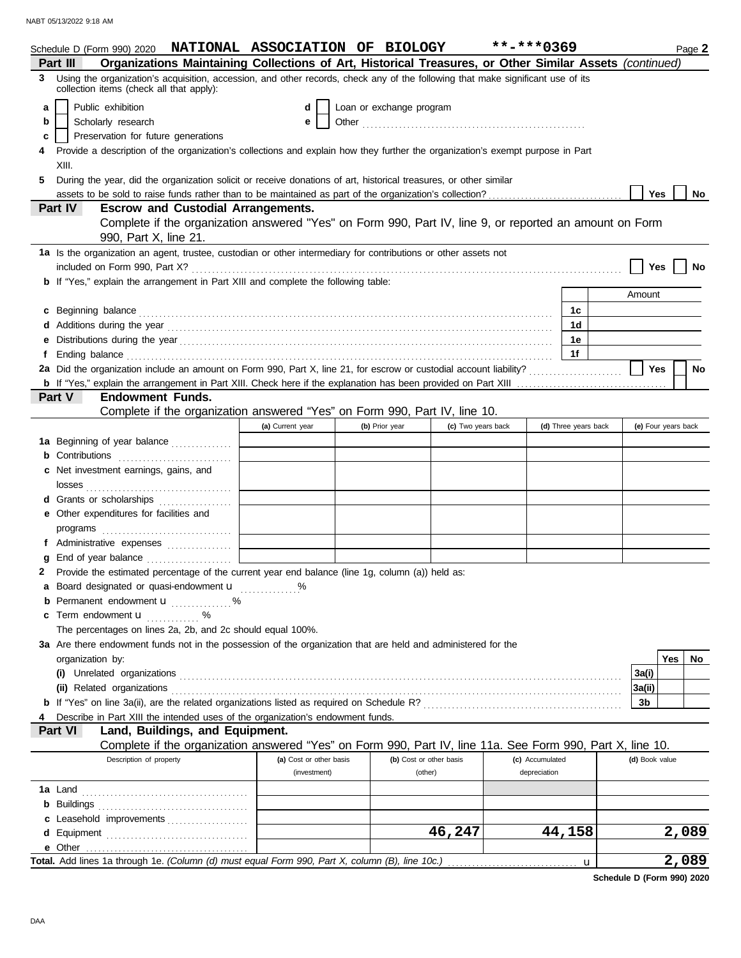|    | Schedule D (Form 990) 2020 NATIONAL ASSOCIATION OF BIOLOGY                                                                                                                                                                    |                         |                          |                         | **-***0369      |                      |                | Page 2              |
|----|-------------------------------------------------------------------------------------------------------------------------------------------------------------------------------------------------------------------------------|-------------------------|--------------------------|-------------------------|-----------------|----------------------|----------------|---------------------|
|    | Organizations Maintaining Collections of Art, Historical Treasures, or Other Similar Assets (continued)<br>Part III                                                                                                           |                         |                          |                         |                 |                      |                |                     |
| 3. | Using the organization's acquisition, accession, and other records, check any of the following that make significant use of its<br>collection items (check all that apply):                                                   |                         |                          |                         |                 |                      |                |                     |
| a  | Public exhibition                                                                                                                                                                                                             | d                       | Loan or exchange program |                         |                 |                      |                |                     |
| b  | Scholarly research                                                                                                                                                                                                            | е                       |                          |                         |                 |                      |                |                     |
| c  | Preservation for future generations                                                                                                                                                                                           |                         |                          |                         |                 |                      |                |                     |
|    | Provide a description of the organization's collections and explain how they further the organization's exempt purpose in Part                                                                                                |                         |                          |                         |                 |                      |                |                     |
|    | XIII.                                                                                                                                                                                                                         |                         |                          |                         |                 |                      |                |                     |
| 5  | During the year, did the organization solicit or receive donations of art, historical treasures, or other similar                                                                                                             |                         |                          |                         |                 |                      |                |                     |
|    |                                                                                                                                                                                                                               |                         |                          |                         |                 |                      | <b>Yes</b>     | No                  |
|    | assets to be sold to raise funds rather than to be maintained as part of the organization's collection?<br>Part IV<br><b>Escrow and Custodial Arrangements.</b>                                                               |                         |                          |                         |                 |                      |                |                     |
|    | Complete if the organization answered "Yes" on Form 990, Part IV, line 9, or reported an amount on Form                                                                                                                       |                         |                          |                         |                 |                      |                |                     |
|    | 990, Part X, line 21.                                                                                                                                                                                                         |                         |                          |                         |                 |                      |                |                     |
|    | 1a Is the organization an agent, trustee, custodian or other intermediary for contributions or other assets not                                                                                                               |                         |                          |                         |                 |                      |                |                     |
|    |                                                                                                                                                                                                                               |                         |                          |                         |                 |                      | Yes            | No                  |
|    | b If "Yes," explain the arrangement in Part XIII and complete the following table:                                                                                                                                            |                         |                          |                         |                 |                      |                |                     |
|    |                                                                                                                                                                                                                               |                         |                          |                         |                 |                      | Amount         |                     |
| c  |                                                                                                                                                                                                                               |                         |                          |                         |                 | 1c                   |                |                     |
|    |                                                                                                                                                                                                                               |                         |                          |                         |                 | 1d                   |                |                     |
| е  | Distributions during the year manufactured and contact the year manufactured and a set of the set of the set of the set of the set of the set of the set of the set of the set of the set of the set of the set of the set of |                         |                          |                         |                 | 1e                   |                |                     |
| f. |                                                                                                                                                                                                                               |                         |                          |                         |                 | 1f                   |                |                     |
|    | 2a Did the organization include an amount on Form 990, Part X, line 21, for escrow or custodial account liability?                                                                                                            |                         |                          |                         |                 |                      | Yes            | No                  |
|    |                                                                                                                                                                                                                               |                         |                          |                         |                 |                      |                |                     |
|    | Part V<br><b>Endowment Funds.</b>                                                                                                                                                                                             |                         |                          |                         |                 |                      |                |                     |
|    | Complete if the organization answered "Yes" on Form 990, Part IV, line 10.                                                                                                                                                    |                         |                          |                         |                 |                      |                |                     |
|    |                                                                                                                                                                                                                               | (a) Current year        | (b) Prior year           | (c) Two years back      |                 | (d) Three years back |                | (e) Four years back |
|    | 1a Beginning of year balance                                                                                                                                                                                                  |                         |                          |                         |                 |                      |                |                     |
|    | <b>b</b> Contributions <b>contributions</b>                                                                                                                                                                                   |                         |                          |                         |                 |                      |                |                     |
|    |                                                                                                                                                                                                                               |                         |                          |                         |                 |                      |                |                     |
|    | c Net investment earnings, gains, and                                                                                                                                                                                         |                         |                          |                         |                 |                      |                |                     |
|    |                                                                                                                                                                                                                               |                         |                          |                         |                 |                      |                |                     |
|    | d Grants or scholarships                                                                                                                                                                                                      |                         |                          |                         |                 |                      |                |                     |
|    | e Other expenditures for facilities and                                                                                                                                                                                       |                         |                          |                         |                 |                      |                |                     |
|    |                                                                                                                                                                                                                               |                         |                          |                         |                 |                      |                |                     |
|    | f Administrative expenses                                                                                                                                                                                                     |                         |                          |                         |                 |                      |                |                     |
|    |                                                                                                                                                                                                                               |                         |                          |                         |                 |                      |                |                     |
|    | 2 Provide the estimated percentage of the current year end balance (line 1g, column (a)) held as:                                                                                                                             |                         |                          |                         |                 |                      |                |                     |
|    | a Board designated or quasi-endowment u                                                                                                                                                                                       |                         |                          |                         |                 |                      |                |                     |
|    | <b>b</b> Permanent endowment $\mathbf{u}$ %                                                                                                                                                                                   |                         |                          |                         |                 |                      |                |                     |
|    | <b>c</b> Term endowment $\mathbf{u}$                                                                                                                                                                                          |                         |                          |                         |                 |                      |                |                     |
|    | The percentages on lines 2a, 2b, and 2c should equal 100%.                                                                                                                                                                    |                         |                          |                         |                 |                      |                |                     |
|    | 3a Are there endowment funds not in the possession of the organization that are held and administered for the                                                                                                                 |                         |                          |                         |                 |                      |                |                     |
|    | organization by:                                                                                                                                                                                                              |                         |                          |                         |                 |                      |                | Yes<br>No.          |
|    |                                                                                                                                                                                                                               |                         |                          |                         |                 |                      | 3a(i)          |                     |
|    |                                                                                                                                                                                                                               |                         |                          |                         |                 |                      | 3a(ii)         |                     |
|    |                                                                                                                                                                                                                               |                         |                          |                         |                 |                      | 3b             |                     |
|    | Describe in Part XIII the intended uses of the organization's endowment funds.                                                                                                                                                |                         |                          |                         |                 |                      |                |                     |
|    | Land, Buildings, and Equipment.<br><b>Part VI</b>                                                                                                                                                                             |                         |                          |                         |                 |                      |                |                     |
|    | Complete if the organization answered "Yes" on Form 990, Part IV, line 11a. See Form 990, Part X, line 10.                                                                                                                    |                         |                          |                         |                 |                      |                |                     |
|    | Description of property                                                                                                                                                                                                       | (a) Cost or other basis |                          | (b) Cost or other basis | (c) Accumulated |                      | (d) Book value |                     |
|    |                                                                                                                                                                                                                               | (investment)            |                          | (other)                 | depreciation    |                      |                |                     |
|    |                                                                                                                                                                                                                               |                         |                          |                         |                 |                      |                |                     |
|    |                                                                                                                                                                                                                               |                         |                          |                         |                 |                      |                |                     |
|    | c Leasehold improvements                                                                                                                                                                                                      |                         |                          |                         |                 |                      |                |                     |
|    |                                                                                                                                                                                                                               |                         |                          | 46,247                  |                 | 44,158               |                | 2,089               |
|    | e Other                                                                                                                                                                                                                       |                         |                          |                         |                 |                      |                |                     |
|    |                                                                                                                                                                                                                               |                         |                          |                         |                 |                      |                | 2,089               |
|    |                                                                                                                                                                                                                               |                         |                          |                         |                 | u                    |                |                     |

**Schedule D (Form 990) 2020**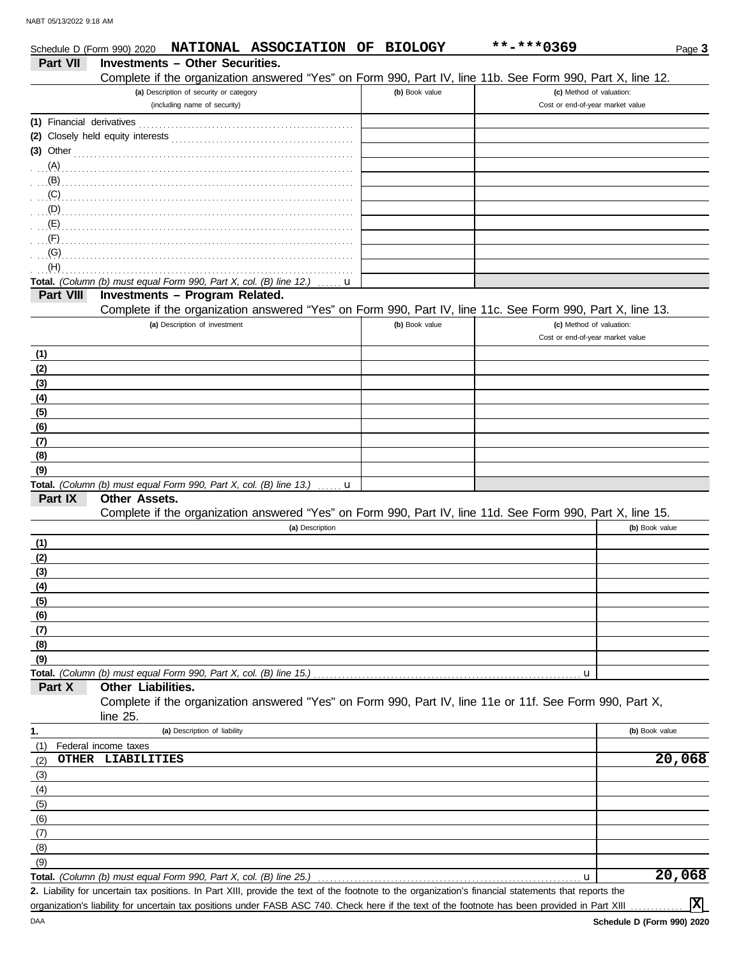| Schedule D (Form 990) 2020 | NATIONAL ASSOCIATION OF BIOLOGY                                                                            |                | **-***0369                       | Page 3         |
|----------------------------|------------------------------------------------------------------------------------------------------------|----------------|----------------------------------|----------------|
| <b>Part VII</b>            | <b>Investments - Other Securities.</b>                                                                     |                |                                  |                |
|                            | Complete if the organization answered "Yes" on Form 990, Part IV, line 11b. See Form 990, Part X, line 12. |                |                                  |                |
|                            | (a) Description of security or category                                                                    | (b) Book value | (c) Method of valuation:         |                |
|                            | (including name of security)                                                                               |                | Cost or end-of-year market value |                |
| (1) Financial derivatives  |                                                                                                            |                |                                  |                |
|                            |                                                                                                            |                |                                  |                |
| $(3)$ Other                |                                                                                                            |                |                                  |                |
| (A)                        |                                                                                                            |                |                                  |                |
| (B)                        |                                                                                                            |                |                                  |                |
| (C)                        |                                                                                                            |                |                                  |                |
| (D)                        |                                                                                                            |                |                                  |                |
| (E)                        |                                                                                                            |                |                                  |                |
| (F)                        |                                                                                                            |                |                                  |                |
| (G)                        |                                                                                                            |                |                                  |                |
| (H)                        |                                                                                                            |                |                                  |                |
|                            | Total. (Column (b) must equal Form 990, Part X, col. (B) line 12.)<br>u                                    |                |                                  |                |
| Part VIII                  | Investments - Program Related.                                                                             |                |                                  |                |
|                            | Complete if the organization answered "Yes" on Form 990, Part IV, line 11c. See Form 990, Part X, line 13. |                |                                  |                |
|                            | (a) Description of investment                                                                              | (b) Book value | (c) Method of valuation:         |                |
|                            |                                                                                                            |                | Cost or end-of-year market value |                |
| (1)                        |                                                                                                            |                |                                  |                |
| (2)                        |                                                                                                            |                |                                  |                |
| (3)                        |                                                                                                            |                |                                  |                |
| (4)                        |                                                                                                            |                |                                  |                |
| (5)                        |                                                                                                            |                |                                  |                |
| (6)                        |                                                                                                            |                |                                  |                |
| (7)                        |                                                                                                            |                |                                  |                |
| (8)                        |                                                                                                            |                |                                  |                |
| (9)                        |                                                                                                            |                |                                  |                |
|                            | Total. (Column (b) must equal Form 990, Part X, col. (B) line 13.)<br>. <b>. u</b>                         |                |                                  |                |
| Part IX                    | <b>Other Assets.</b>                                                                                       |                |                                  |                |
|                            | Complete if the organization answered "Yes" on Form 990, Part IV, line 11d. See Form 990, Part X, line 15. |                |                                  |                |
|                            | (a) Description                                                                                            |                |                                  | (b) Book value |
| (1)                        |                                                                                                            |                |                                  |                |
| (2)                        |                                                                                                            |                |                                  |                |
| (3)                        |                                                                                                            |                |                                  |                |
| (4)                        |                                                                                                            |                |                                  |                |
| (5)                        |                                                                                                            |                |                                  |                |
| (6)                        |                                                                                                            |                |                                  |                |
| (7)                        |                                                                                                            |                |                                  |                |
| (8)                        |                                                                                                            |                |                                  |                |
| (9)                        |                                                                                                            |                |                                  |                |
|                            | Total. (Column (b) must equal Form 990, Part X, col. (B) line 15.)                                         |                | u                                |                |
| Part X                     | Other Liabilities.                                                                                         |                |                                  |                |
|                            | Complete if the organization answered "Yes" on Form 990, Part IV, line 11e or 11f. See Form 990, Part X,   |                |                                  |                |
|                            | line 25.                                                                                                   |                |                                  |                |
| 1.                         | (a) Description of liability                                                                               |                |                                  | (b) Book value |
| (1)                        | Federal income taxes                                                                                       |                |                                  |                |
| (2)                        | OTHER LIABILITIES                                                                                          |                |                                  | 20,068         |
| (3)                        |                                                                                                            |                |                                  |                |
| (4)                        |                                                                                                            |                |                                  |                |
| (5)                        |                                                                                                            |                |                                  |                |
| (6)                        |                                                                                                            |                |                                  |                |
| (7)                        |                                                                                                            |                |                                  |                |
| (8)                        |                                                                                                            |                |                                  |                |
| (9)                        |                                                                                                            |                |                                  |                |
|                            | Total. (Column (b) must equal Form 990, Part X, col. (B) line 25.)                                         |                | u                                | 20,068         |

Liability for uncertain tax positions. In Part XIII, provide the text of the footnote to the organization's financial statements that reports the **2.** organization's liability for uncertain tax positions under FASB ASC 740. Check here if the text of the footnote has been provided in Part XIII

**X**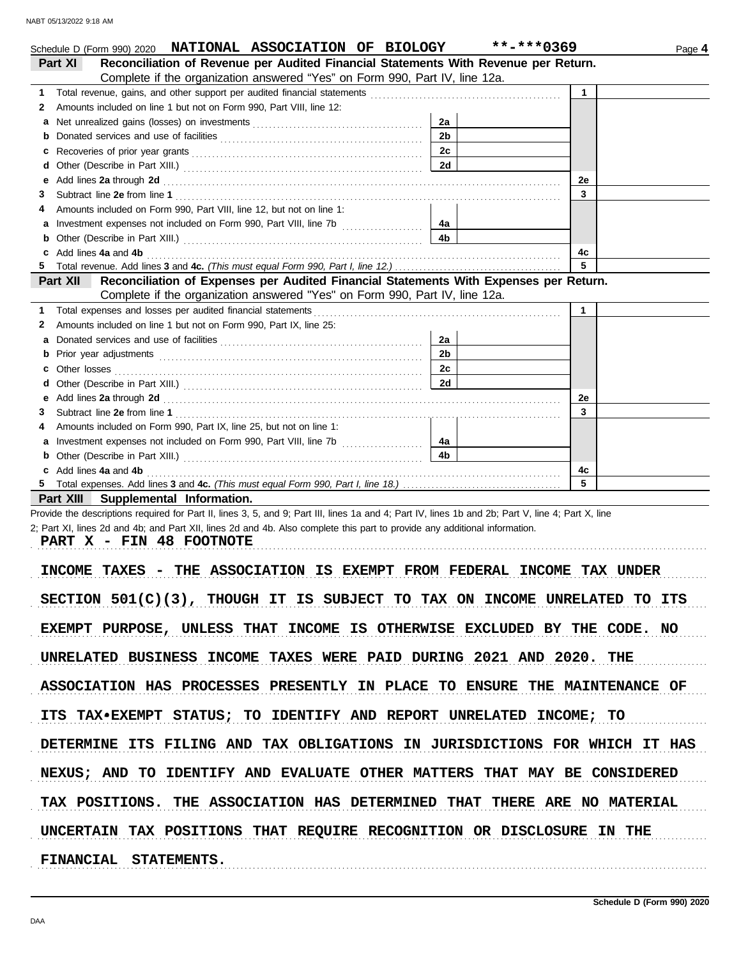| Schedule D (Form 990) 2020 <b>NATIONAL ASSOCIATION OF BIOLOGY</b>                                                                                                                                                                   |                                                                         | **-***0369<br>Page 4 |
|-------------------------------------------------------------------------------------------------------------------------------------------------------------------------------------------------------------------------------------|-------------------------------------------------------------------------|----------------------|
| Reconciliation of Revenue per Audited Financial Statements With Revenue per Return.<br>Part XI                                                                                                                                      |                                                                         |                      |
| Complete if the organization answered "Yes" on Form 990, Part IV, line 12a.                                                                                                                                                         |                                                                         |                      |
| Total revenue, gains, and other support per audited financial statements<br>1                                                                                                                                                       | <u> 1986 - Jan Berlin Berlin, mars eta inperioaren harta (h. 1986).</u> | $\mathbf{1}$         |
| Amounts included on line 1 but not on Form 990, Part VIII, line 12:<br>2                                                                                                                                                            |                                                                         |                      |
| a                                                                                                                                                                                                                                   | 2a                                                                      |                      |
| b                                                                                                                                                                                                                                   | 2 <sub>b</sub>                                                          |                      |
| c                                                                                                                                                                                                                                   | 2c                                                                      |                      |
| d                                                                                                                                                                                                                                   | 2d                                                                      |                      |
| Add lines 2a through 2d [11, 12] Add [12] Add lines 2a through 2d [12] Add lines 2a through 2d [12] Add lines 2<br>е                                                                                                                |                                                                         | 2e                   |
| 3                                                                                                                                                                                                                                   |                                                                         | 3                    |
| Amounts included on Form 990, Part VIII, line 12, but not on line 1:<br>4                                                                                                                                                           |                                                                         |                      |
| а                                                                                                                                                                                                                                   | 4a                                                                      |                      |
| b                                                                                                                                                                                                                                   | 4 <sub>b</sub>                                                          |                      |
| c Add lines 4a and 4b                                                                                                                                                                                                               |                                                                         | 4с<br>5              |
| Reconciliation of Expenses per Audited Financial Statements With Expenses per Return.<br><b>Part XII</b>                                                                                                                            |                                                                         |                      |
| Complete if the organization answered "Yes" on Form 990, Part IV, line 12a.                                                                                                                                                         |                                                                         |                      |
| Total expenses and losses per audited financial statements<br>1                                                                                                                                                                     |                                                                         | $\mathbf 1$          |
| Amounts included on line 1 but not on Form 990, Part IX, line 25:<br>2                                                                                                                                                              |                                                                         |                      |
| a                                                                                                                                                                                                                                   | 2a                                                                      |                      |
| b                                                                                                                                                                                                                                   | 2 <sub>b</sub>                                                          |                      |
| Other losses<br>c                                                                                                                                                                                                                   | 2c                                                                      |                      |
| d                                                                                                                                                                                                                                   | 2d                                                                      |                      |
| Add lines 2a through 2d [11] March 2014 [12] March 2014 [12] March 2014 [12] March 2014 [12] March 2014 [12] March 2015 [12] March 2014 [12] March 2014 [12] March 2014 [12] March 2014 [12] March 2014 [12] March 2014 [12] M<br>е |                                                                         | 2e                   |
| 3                                                                                                                                                                                                                                   |                                                                         | 3                    |
| Amounts included on Form 990, Part IX, line 25, but not on line 1:<br>4                                                                                                                                                             |                                                                         |                      |
| а                                                                                                                                                                                                                                   | 4a                                                                      |                      |
| b                                                                                                                                                                                                                                   | 4 <sub>b</sub>                                                          |                      |
| c Add lines 4a and 4b                                                                                                                                                                                                               |                                                                         | 4c                   |
|                                                                                                                                                                                                                                     |                                                                         | 5                    |
| Part XIII Supplemental Information.                                                                                                                                                                                                 |                                                                         |                      |
| Provide the descriptions required for Part II, lines 3, 5, and 9; Part III, lines 1a and 4; Part IV, lines 1b and 2b; Part V, line 4; Part X, line                                                                                  |                                                                         |                      |
| 2; Part XI, lines 2d and 4b; and Part XII, lines 2d and 4b. Also complete this part to provide any additional information.                                                                                                          |                                                                         |                      |
| PART X - FIN 48 FOOTNOTE                                                                                                                                                                                                            |                                                                         |                      |
|                                                                                                                                                                                                                                     |                                                                         |                      |
| THE ASSOCIATION IS EXEMPT FROM FEDERAL INCOME TAX UNDER<br>INCOME TAXES                                                                                                                                                             |                                                                         |                      |
| SECTION 501(C)(3), THOUGH IT IS SUBJECT TO TAX ON INCOME UNRELATED TO ITS                                                                                                                                                           |                                                                         |                      |
|                                                                                                                                                                                                                                     |                                                                         |                      |
| EXEMPT PURPOSE, UNLESS THAT INCOME IS OTHERWISE EXCLUDED BY THE CODE. NO                                                                                                                                                            |                                                                         |                      |
|                                                                                                                                                                                                                                     |                                                                         |                      |
| UNRELATED BUSINESS INCOME TAXES WERE PAID DURING 2021 AND 2020. THE                                                                                                                                                                 |                                                                         |                      |
| ASSOCIATION HAS PROCESSES PRESENTLY IN PLACE TO ENSURE THE MAINTENANCE OF                                                                                                                                                           |                                                                         |                      |
|                                                                                                                                                                                                                                     |                                                                         |                      |
| ITS TAX*EXEMPT STATUS; TO IDENTIFY AND REPORT UNRELATED INCOME; TO                                                                                                                                                                  |                                                                         |                      |

DETERMINE ITS FILING AND TAX OBLIGATIONS IN JURISDICTIONS FOR WHICH IT HAS

NEXUS; AND TO IDENTIFY AND EVALUATE OTHER MATTERS THAT MAY BE CONSIDERED

TAX POSITIONS. THE ASSOCIATION HAS DETERMINED THAT THERE ARE NO MATERIAL

UNCERTAIN TAX POSITIONS THAT REQUIRE RECOGNITION OR DISCLOSURE IN THE

**FINANCIAL STATEMENTS.**

. . . . . . . . . . . . . . . . . . . . . . . . . . . . . . . . . . . . . . . . . . . . . . . . . . . . . . . . . . . . . . . . . . . . . . . . . . . . . . . . . . . . . . . . . . . . . . . . . . . . . . . . . . . . . . . . . . . . . . . . . . . . . . . . . . . . . . . . . . . . . . . . . . . . . . . . . . . . . . . . . . . . . .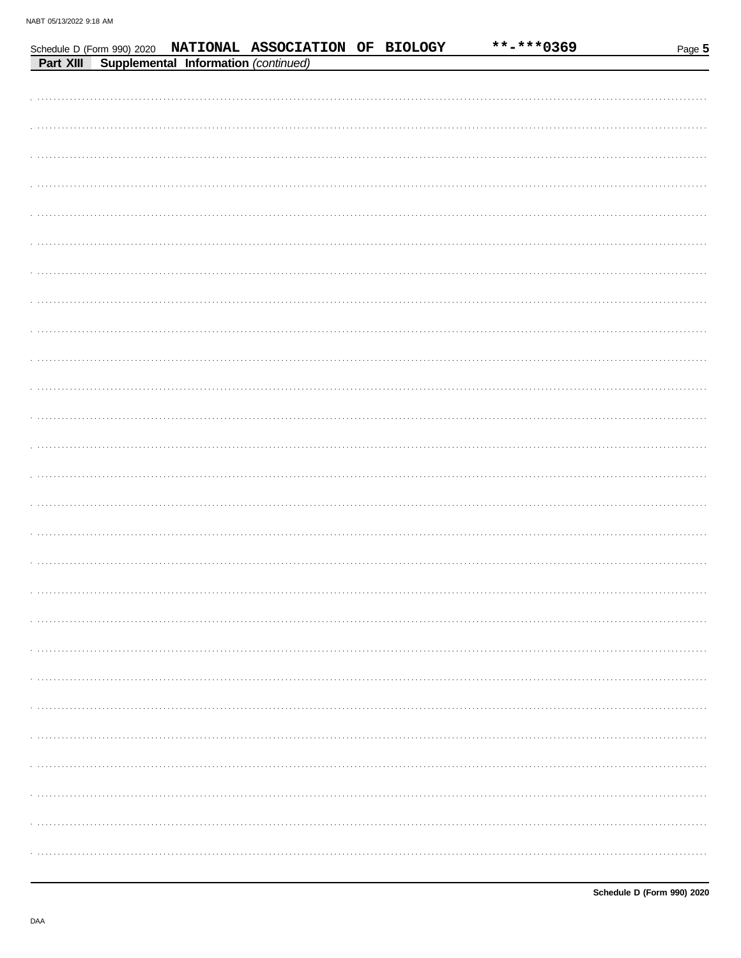|           |                                      | Schedule D (Form 990) 2020 NATIONAL ASSOCIATION OF BIOLOGY |  | **-***0369 | Page 5 |
|-----------|--------------------------------------|------------------------------------------------------------|--|------------|--------|
| Part XIII | Supplemental Information (continued) |                                                            |  |            |        |
|           |                                      |                                                            |  |            |        |
|           |                                      |                                                            |  |            |        |
|           |                                      |                                                            |  |            |        |
|           |                                      |                                                            |  |            |        |
|           |                                      |                                                            |  |            |        |
|           |                                      |                                                            |  |            |        |
|           |                                      |                                                            |  |            |        |
|           |                                      |                                                            |  |            |        |
|           |                                      |                                                            |  |            |        |
|           |                                      |                                                            |  |            |        |
|           |                                      |                                                            |  |            |        |
|           |                                      |                                                            |  |            |        |
|           |                                      |                                                            |  |            |        |
|           |                                      |                                                            |  |            |        |
|           |                                      |                                                            |  |            |        |
|           |                                      |                                                            |  |            |        |
|           |                                      |                                                            |  |            |        |
|           |                                      |                                                            |  |            |        |
|           |                                      |                                                            |  |            |        |
|           |                                      |                                                            |  |            |        |
|           |                                      |                                                            |  |            |        |
|           |                                      |                                                            |  |            |        |
|           |                                      |                                                            |  |            |        |
|           |                                      |                                                            |  |            |        |
|           |                                      |                                                            |  |            |        |
|           |                                      |                                                            |  |            |        |
|           |                                      |                                                            |  |            |        |
|           |                                      |                                                            |  |            |        |
|           |                                      |                                                            |  |            |        |
|           |                                      |                                                            |  |            |        |
|           |                                      |                                                            |  |            |        |
|           |                                      |                                                            |  |            |        |
|           |                                      |                                                            |  |            |        |
|           |                                      |                                                            |  |            |        |
|           |                                      |                                                            |  |            |        |
|           |                                      |                                                            |  |            |        |
|           |                                      |                                                            |  |            |        |
|           |                                      |                                                            |  |            |        |
|           |                                      |                                                            |  |            |        |
|           |                                      |                                                            |  |            |        |
|           |                                      |                                                            |  |            |        |
|           |                                      |                                                            |  |            |        |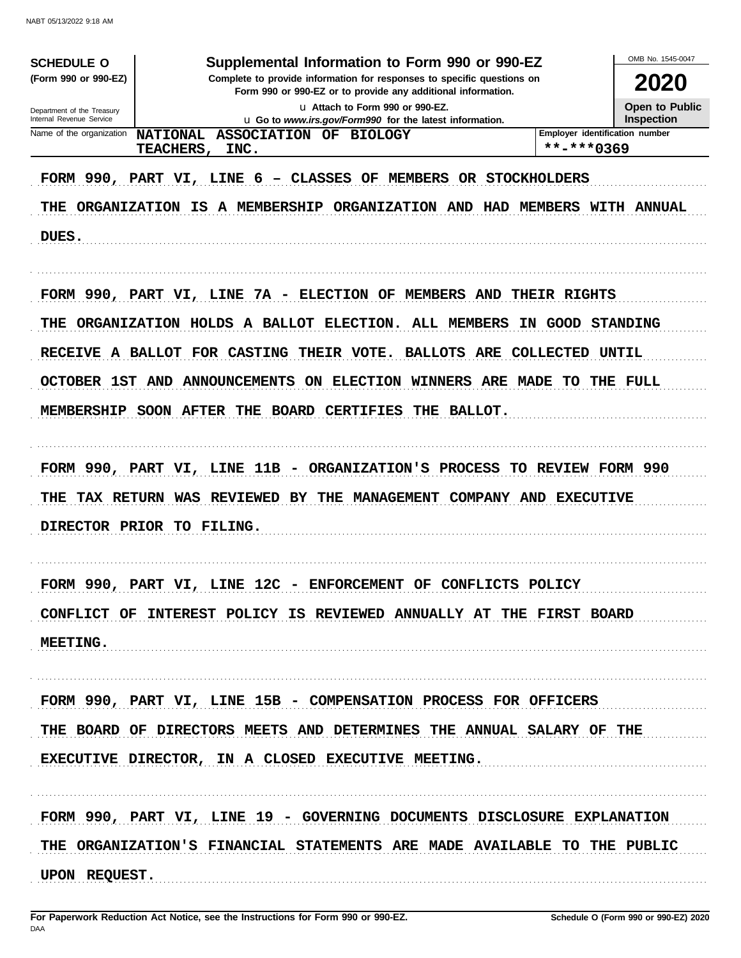| <b>SCHEDULE O</b>                                    | Supplemental Information to Form 990 or 990-EZ                                                                                                                                                                      |                                | OMB No. 1545-0047 |
|------------------------------------------------------|---------------------------------------------------------------------------------------------------------------------------------------------------------------------------------------------------------------------|--------------------------------|-------------------|
| (Form 990 or 990-EZ)                                 | Complete to provide information for responses to specific questions on<br>Form 990 or 990-EZ or to provide any additional information.                                                                              |                                | 2020              |
| Department of the Treasury                           | u Attach to Form 990 or 990-EZ.                                                                                                                                                                                     |                                | Open to Public    |
| Internal Revenue Service<br>Name of the organization | u Go to www.irs.gov/Form990 for the latest information.                                                                                                                                                             | Employer identification number | <b>Inspection</b> |
|                                                      | NATIONAL ASSOCIATION OF BIOLOGY<br><b>TEACHERS,</b><br>INC.                                                                                                                                                         | **-***0369                     |                   |
| DUES.                                                | FORM 990, PART VI, LINE 6 - CLASSES OF MEMBERS OR STOCKHOLDERS<br>THE ORGANIZATION IS A MEMBERSHIP ORGANIZATION AND HAD MEMBERS WITH ANNUAL                                                                         |                                |                   |
|                                                      | FORM 990, PART VI, LINE 7A - ELECTION OF MEMBERS AND THEIR RIGHTS<br>THE ORGANIZATION HOLDS A BALLOT ELECTION. ALL MEMBERS IN GOOD STANDING<br>RECEIVE A BALLOT FOR CASTING THEIR VOTE. BALLOTS ARE COLLECTED UNTIL |                                |                   |
|                                                      | OCTOBER 1ST AND ANNOUNCEMENTS ON ELECTION WINNERS ARE MADE TO THE FULL                                                                                                                                              |                                |                   |
|                                                      | MEMBERSHIP SOON AFTER THE BOARD CERTIFIES THE BALLOT.                                                                                                                                                               |                                |                   |
|                                                      | FORM 990, PART VI, LINE 11B - ORGANIZATION'S PROCESS TO REVIEW FORM 990                                                                                                                                             |                                |                   |
|                                                      | THE TAX RETURN WAS REVIEWED BY THE MANAGEMENT COMPANY AND EXECUTIVE                                                                                                                                                 |                                |                   |
|                                                      | DIRECTOR PRIOR TO FILING.                                                                                                                                                                                           |                                |                   |
|                                                      | FORM 990, PART VI, LINE 12C - ENFORCEMENT OF CONFLICTS POLICY                                                                                                                                                       |                                |                   |
|                                                      | CONFLICT OF INTEREST POLICY IS REVIEWED ANNUALLY AT THE FIRST BOARD                                                                                                                                                 |                                |                   |
| MEETING.                                             |                                                                                                                                                                                                                     |                                |                   |
|                                                      | FORM 990, PART VI, LINE 15B - COMPENSATION PROCESS FOR OFFICERS                                                                                                                                                     |                                |                   |
|                                                      | THE BOARD OF DIRECTORS MEETS AND DETERMINES THE ANNUAL SALARY OF THE                                                                                                                                                |                                |                   |
|                                                      | EXECUTIVE DIRECTOR, IN A CLOSED EXECUTIVE MEETING.                                                                                                                                                                  |                                |                   |
|                                                      | FORM 990, PART VI, LINE 19 - GOVERNING DOCUMENTS DISCLOSURE EXPLANATION                                                                                                                                             |                                |                   |
|                                                      | THE ORGANIZATION'S FINANCIAL STATEMENTS ARE MADE AVAILABLE TO THE PUBLIC                                                                                                                                            |                                |                   |
| UPON REQUEST.                                        |                                                                                                                                                                                                                     |                                |                   |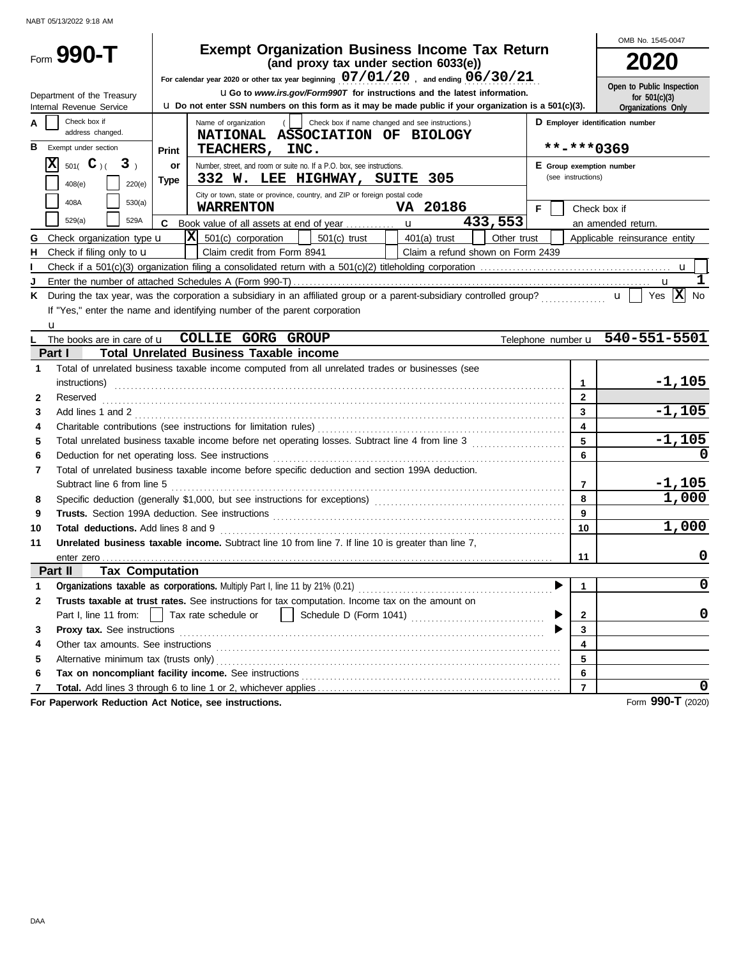|              |                                                               |             |                                                                                                                                                                                                                                |                                  | OMB No. 1545-0047                               |
|--------------|---------------------------------------------------------------|-------------|--------------------------------------------------------------------------------------------------------------------------------------------------------------------------------------------------------------------------------|----------------------------------|-------------------------------------------------|
|              | Form 990-T                                                    |             | <b>Exempt Organization Business Income Tax Return</b><br>(and proxy tax under section 6033(e))                                                                                                                                 |                                  | 2020                                            |
|              |                                                               |             | For calendar year 2020 or other tax year beginning $07/01/20$ , and ending $06/30/21$                                                                                                                                          |                                  | Open to Public Inspection                       |
|              | Department of the Treasury<br>Internal Revenue Service        |             | <b>uGo</b> to www.irs.gov/Form990T for instructions and the latest information.<br><b>u</b> Do not enter SSN numbers on this form as it may be made public if your organization is a 501(c)(3).                                |                                  | for $501(c)(3)$<br>Organizations Only           |
| А            | Check box if                                                  |             | Check box if name changed and see instructions.)<br>Name of organization<br>$($   $($                                                                                                                                          | D Employer identification number |                                                 |
|              | address changed.                                              |             | NATIONAL ASSOCIATION OF BIOLOGY                                                                                                                                                                                                |                                  |                                                 |
| в            | Exempt under section                                          | Print       | TEACHERS, INC.                                                                                                                                                                                                                 | **-***0369                       |                                                 |
|              | $\mathbf x$<br>501( $\mathbf{C}$ )(<br>3 <sub>1</sub>         | or          | Number, street, and room or suite no. If a P.O. box, see instructions.                                                                                                                                                         | E Group exemption number         |                                                 |
|              | 408(e)<br>220(e)                                              | <b>Type</b> | 332 W. LEE HIGHWAY, SUITE 305                                                                                                                                                                                                  | (see instructions)               |                                                 |
|              | 408A<br>530(a)                                                |             | City or town, state or province, country, and ZIP or foreign postal code                                                                                                                                                       |                                  |                                                 |
|              | 529(a)<br>529A                                                |             | VA 20186<br><b>WARRENTON</b>                                                                                                                                                                                                   | F.                               | Check box if                                    |
|              |                                                               | C.          | 433,553<br>$ \mathbf{X} $ 501(c) corporation<br>Other trust                                                                                                                                                                    |                                  | an amended return.                              |
| G<br>н       | Check organization type u<br>Check if filing only to <b>u</b> |             | $501(c)$ trust<br>$401(a)$ trust<br><b>Contract Contract Contract</b><br>Claim credit from Form 8941<br>Claim a refund shown on Form 2439                                                                                      |                                  | Applicable reinsurance entity                   |
|              |                                                               |             |                                                                                                                                                                                                                                |                                  |                                                 |
| J            |                                                               |             |                                                                                                                                                                                                                                |                                  | u                                               |
| Κ            |                                                               |             | During the tax year, was the corporation a subsidiary in an affiliated group or a parent-subsidiary controlled group?                                                                                                          |                                  | Yes $ \mathbf{X} $<br><b>No</b><br>$\mathbf{u}$ |
|              |                                                               |             | If "Yes," enter the name and identifying number of the parent corporation                                                                                                                                                      |                                  |                                                 |
|              | u                                                             |             |                                                                                                                                                                                                                                |                                  |                                                 |
|              |                                                               |             | The books are in care of <b>u COLLIE GORG GROUP</b>                                                                                                                                                                            |                                  | Telephone number u 540-551-5501                 |
|              | Part I                                                        |             | <b>Total Unrelated Business Taxable income</b>                                                                                                                                                                                 |                                  |                                                 |
| 1            |                                                               |             | Total of unrelated business taxable income computed from all unrelated trades or businesses (see                                                                                                                               |                                  |                                                 |
|              |                                                               |             |                                                                                                                                                                                                                                | $\mathbf{1}$                     | $-1,105$                                        |
| 2            | Reserved                                                      |             |                                                                                                                                                                                                                                | $\mathbf{2}$                     |                                                 |
| 3            |                                                               |             | Add lines 1 and 2                                                                                                                                                                                                              | 3                                | $-1,105$                                        |
| 4            |                                                               |             |                                                                                                                                                                                                                                | 4                                |                                                 |
| 5            |                                                               |             | Total unrelated business taxable income before net operating losses. Subtract line 4 from line 3                                                                                                                               | 5                                | $-1,105$                                        |
| 6            |                                                               |             | Deduction for net operating loss. See instructions [11] contained and all the contained and all the contained and all the contained and all the contained and all the contained and all the contained and all the contained an | 6                                | 0                                               |
| 7            |                                                               |             | Total of unrelated business taxable income before specific deduction and section 199A deduction.                                                                                                                               |                                  |                                                 |
|              | Subtract line 6 from line 5                                   |             |                                                                                                                                                                                                                                | 7                                | $-1,105$                                        |
| 8            |                                                               |             |                                                                                                                                                                                                                                | 8                                | 1,000                                           |
| 9            |                                                               |             |                                                                                                                                                                                                                                | 9                                |                                                 |
| 10           | Total deductions. Add lines 8 and 9                           |             |                                                                                                                                                                                                                                | 10                               | 1,000                                           |
| 11           |                                                               |             | <b>Unrelated business taxable income.</b> Subtract line 10 from line 7. If line 10 is greater than line 7.                                                                                                                     | 11                               | 0                                               |
|              | Part II<br><b>Tax Computation</b>                             |             |                                                                                                                                                                                                                                |                                  |                                                 |
| 1            |                                                               |             |                                                                                                                                                                                                                                | 1                                | 0                                               |
| $\mathbf{2}$ |                                                               |             | Trusts taxable at trust rates. See instructions for tax computation. Income tax on the amount on                                                                                                                               |                                  |                                                 |
|              | Part I, line 11 from:                                         |             | Tax rate schedule or<br>$\perp$                                                                                                                                                                                                | 2                                | 0                                               |
| 3            | Proxy tax. See instructions                                   |             |                                                                                                                                                                                                                                | 3                                |                                                 |
| 4            |                                                               |             | Other tax amounts. See instructions entertainment and the intervention of the intervention of the intervention of the intervention of the intervention of the intervention of the intervention of the intervention of the inte | 4                                |                                                 |
| 5            |                                                               |             |                                                                                                                                                                                                                                | 5                                |                                                 |
| 6            |                                                               |             | Tax on noncompliant facility income. See instructions                                                                                                                                                                          | 6                                |                                                 |
| 7            |                                                               |             |                                                                                                                                                                                                                                | $\overline{7}$                   |                                                 |
|              | For Paperwork Reduction Act Notice, see instructions.         |             |                                                                                                                                                                                                                                |                                  | Form 990-T (2020)                               |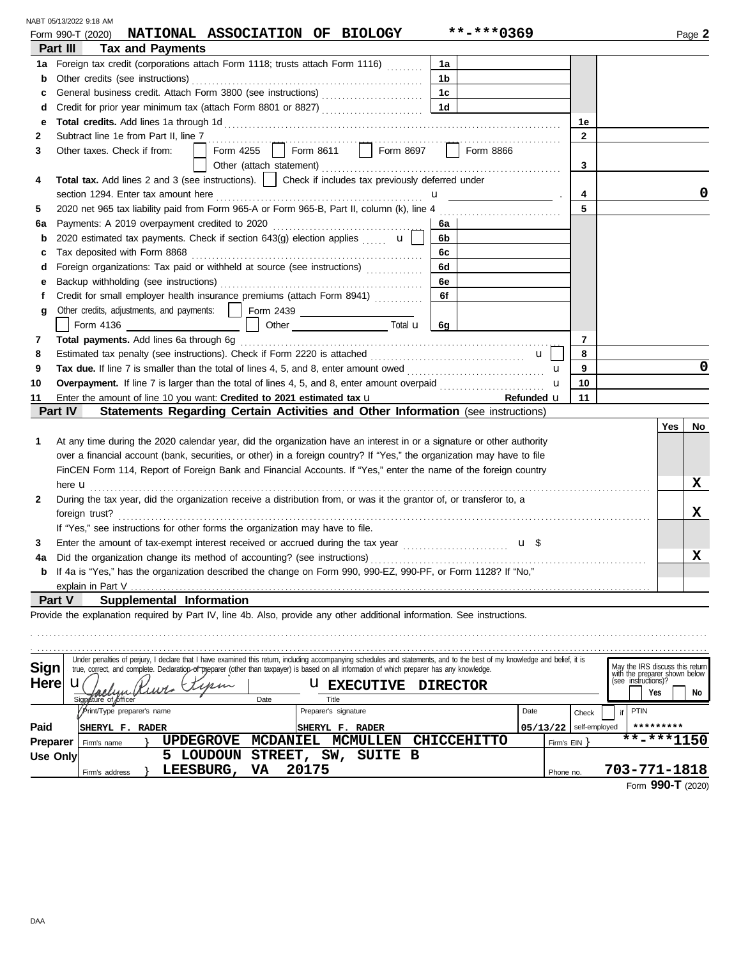|                 | NABT 05/13/2022 9:18 AM                                                                                                                                                                                                                                                                                                   |                           |                           |                                                      |
|-----------------|---------------------------------------------------------------------------------------------------------------------------------------------------------------------------------------------------------------------------------------------------------------------------------------------------------------------------|---------------------------|---------------------------|------------------------------------------------------|
|                 | NATIONAL ASSOCIATION OF BIOLOGY<br>Form 990-T (2020)                                                                                                                                                                                                                                                                      | **-***0369                |                           | Page 2                                               |
|                 | Part III<br><b>Tax and Payments</b>                                                                                                                                                                                                                                                                                       |                           |                           |                                                      |
| 1a              | Foreign tax credit (corporations attach Form 1118; trusts attach Form 1116)                                                                                                                                                                                                                                               | 1a                        |                           |                                                      |
| b               | Other credits (see instructions)                                                                                                                                                                                                                                                                                          | 1b                        |                           |                                                      |
| c               | General business credit. Attach Form 3800 (see instructions)                                                                                                                                                                                                                                                              | 1c                        |                           |                                                      |
| d               | Credit for prior year minimum tax (attach Form 8801 or 8827)                                                                                                                                                                                                                                                              | 1 <sub>d</sub>            |                           |                                                      |
| е               |                                                                                                                                                                                                                                                                                                                           |                           | 1е                        |                                                      |
| 2               | Subtract line 1e from Part II, line 7<br>Form 4255   Form 8611   Form 8697                                                                                                                                                                                                                                                |                           | $\mathbf{2}$              |                                                      |
| 3               | Other taxes. Check if from:                                                                                                                                                                                                                                                                                               | Form 8866                 |                           |                                                      |
|                 |                                                                                                                                                                                                                                                                                                                           |                           | 3                         |                                                      |
| 4               | <b>Total tax.</b> Add lines 2 and 3 (see instructions).   Check if includes tax previously deferred under                                                                                                                                                                                                                 |                           |                           |                                                      |
|                 | section 1294. Enter tax amount here                                                                                                                                                                                                                                                                                       | $\mathbf{u}$ $\mathbf{v}$ | 4<br>5                    |                                                      |
| 5               |                                                                                                                                                                                                                                                                                                                           |                           |                           |                                                      |
| 6а              | Payments: A 2019 overpayment credited to 2020                                                                                                                                                                                                                                                                             | 6a                        |                           |                                                      |
| $\mathbf b$     | 2020 estimated tax payments. Check if section 643(g) election applies $\mathbf{u}$ $\mathbf{u}$                                                                                                                                                                                                                           | 6b                        |                           |                                                      |
| c               | Tax deposited with Form 8868<br>Foreign organizations: Tax paid or withheld at source (see instructions)                                                                                                                                                                                                                  | 6с<br>6d                  |                           |                                                      |
| d               |                                                                                                                                                                                                                                                                                                                           | 6е                        |                           |                                                      |
| е<br>f          | Credit for small employer health insurance premiums (attach Form 8941)                                                                                                                                                                                                                                                    | 6f                        |                           |                                                      |
| g               | Other credits, adjustments, and payments:   Form 2439 _ _ _ _ _ _ _ _ _ _ _ _ _ _                                                                                                                                                                                                                                         |                           |                           |                                                      |
|                 |                                                                                                                                                                                                                                                                                                                           |                           |                           |                                                      |
| 7               | Total payments. Add lines 6a through 6g                                                                                                                                                                                                                                                                                   |                           | 7                         |                                                      |
| 8               |                                                                                                                                                                                                                                                                                                                           |                           | 8<br>$\mathbf{u}$         |                                                      |
| 9               | Tax due. If line 7 is smaller than the total of lines 4, 5, and 8, enter amount owed <i></i>                                                                                                                                                                                                                              |                           | 9<br>u                    | 0                                                    |
| 10              |                                                                                                                                                                                                                                                                                                                           |                           | 10<br>u                   |                                                      |
| 11              | Enter the amount of line 10 you want: Credited to 2021 estimated tax u                                                                                                                                                                                                                                                    |                           | 11<br>Refunded u          |                                                      |
|                 | Part IV<br>Statements Regarding Certain Activities and Other Information (see instructions)                                                                                                                                                                                                                               |                           |                           |                                                      |
|                 |                                                                                                                                                                                                                                                                                                                           |                           |                           | <b>Yes</b><br>No.                                    |
| 1               | At any time during the 2020 calendar year, did the organization have an interest in or a signature or other authority                                                                                                                                                                                                     |                           |                           |                                                      |
|                 | over a financial account (bank, securities, or other) in a foreign country? If "Yes," the organization may have to file                                                                                                                                                                                                   |                           |                           |                                                      |
|                 | FinCEN Form 114, Report of Foreign Bank and Financial Accounts. If "Yes," enter the name of the foreign country                                                                                                                                                                                                           |                           |                           |                                                      |
|                 | here <b>u</b>                                                                                                                                                                                                                                                                                                             |                           |                           | x                                                    |
| 2               | During the tax year, did the organization receive a distribution from, or was it the grantor of, or transferor to, a                                                                                                                                                                                                      |                           |                           |                                                      |
|                 | foreign trust?                                                                                                                                                                                                                                                                                                            |                           |                           | X                                                    |
|                 | If "Yes," see instructions for other forms the organization may have to file.                                                                                                                                                                                                                                             |                           |                           |                                                      |
| 3               |                                                                                                                                                                                                                                                                                                                           |                           | u \$                      |                                                      |
|                 | Did the organization change its method of accounting? (see instructions)                                                                                                                                                                                                                                                  |                           |                           | X                                                    |
|                 | <b>b</b> If 4a is "Yes," has the organization described the change on Form 990, 990-EZ, 990-PF, or Form 1128? If "No,"                                                                                                                                                                                                    |                           |                           |                                                      |
|                 | explain in Part V                                                                                                                                                                                                                                                                                                         |                           |                           |                                                      |
| <b>Part V</b>   | Supplemental Information                                                                                                                                                                                                                                                                                                  |                           |                           |                                                      |
|                 | Provide the explanation required by Part IV, line 4b. Also, provide any other additional information. See instructions.                                                                                                                                                                                                   |                           |                           |                                                      |
|                 |                                                                                                                                                                                                                                                                                                                           |                           |                           |                                                      |
|                 |                                                                                                                                                                                                                                                                                                                           |                           |                           |                                                      |
| Sign            | Under penalties of perjury, I declare that I have examined this return, including accompanying schedules and statements, and to the best of my knowledge and belief, it is<br>true, correct, and complete. Declaration of preparer (other than taxpayer) is based on all information of which preparer has any knowledge. |                           |                           | May the IRS discuss this return                      |
| <b>Here</b>     | u<br><b>U EXECUTIVE</b>                                                                                                                                                                                                                                                                                                   | <b>DIRECTOR</b>           |                           | with the preparer shown below<br>(see instructions)? |
|                 | Signature of officer<br>Title<br>Date                                                                                                                                                                                                                                                                                     |                           |                           | Yes<br>No                                            |
|                 | / Print/Type preparer's name<br>Preparer's signature                                                                                                                                                                                                                                                                      |                           | Date<br>Check             | PTIN<br>if.                                          |
| Paid            | <b>SHERYL F. RADER</b><br><b>SHERYL F. RADER</b>                                                                                                                                                                                                                                                                          |                           | self-employed<br>05/13/22 | *********                                            |
| <b>Preparer</b> | <b>UPDEGROVE</b><br><b>MCDANIEL</b><br><b>MCMULLEN</b><br>Firm's name                                                                                                                                                                                                                                                     | <b>CHICCEHITTO</b>        | Firm's $EIN$ }            | $******1150$                                         |
| <b>Use Only</b> | 5 LOUDOUN STREET, SW, SUITE B                                                                                                                                                                                                                                                                                             |                           |                           |                                                      |
|                 | 20175<br>LEESBURG,<br>VA<br>Firm's address                                                                                                                                                                                                                                                                                |                           | Phone no.                 | 703-771-1818                                         |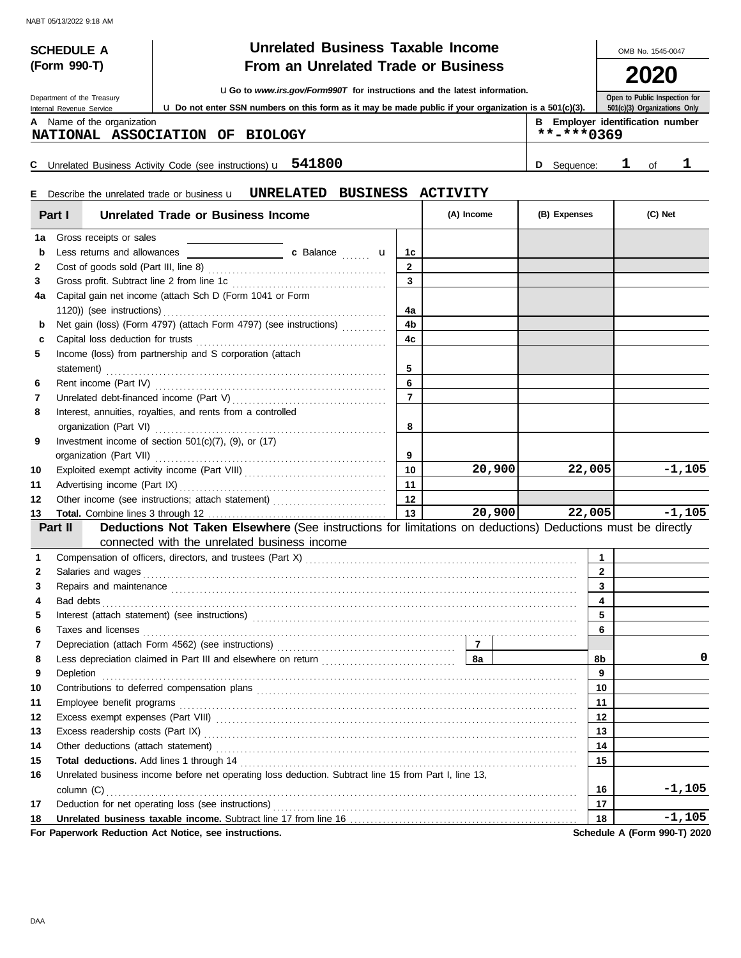**(Form 990-T)**

#### **SCHEDULE A**  $\begin{array}{|c|c|c|c|c|c|}\n\hline\n\textbf{U} & \textbf{U} & \textbf{M} & \textbf{B} & \textbf{B} & \textbf{B} & \textbf{B} & \textbf{B} & \textbf{B} & \textbf{B} & \textbf{B} & \textbf{B} & \textbf{B} & \textbf{B} & \textbf{B} & \textbf{B} & \textbf{B} & \textbf{B} & \textbf{B} & \textbf{B} & \textbf{B} & \textbf{B} & \textbf{B} & \textbf{B} & \textbf{B} & \textbf{B} & \text$ **From an Unrelated Trade or Business**

**2020**

| Department of the Treasury | <b>UGo to www.irs.gov/Form990T for instructions and the latest information.</b> |
|----------------------------|---------------------------------------------------------------------------------|
|                            |                                                                                 |

**Open to Public Inspection for 501(c)(3) Organizations Only**

| Department of the Treasury |                                                                                                        |            | ODELL TO LODILO THE RECTION TO   |  |
|----------------------------|--------------------------------------------------------------------------------------------------------|------------|----------------------------------|--|
| Internal Revenue Service   | U. Do not enter SSN numbers on this form as it may be made public if your organization is a 501(c)(3). |            | 501(c)(3) Organizations Only     |  |
| Name of the organization   |                                                                                                        |            | B Employer identification number |  |
|                            | NATIONAL ACCOCLATION OF PIOLOGY                                                                        | **_***^?40 |                                  |  |

| NATIONAL ASSOCIATION OF BIOLOGY                                           |  |   | $***$ -***0369 |  |
|---------------------------------------------------------------------------|--|---|----------------|--|
| C Unrelated Business Activity Code (see instructions) $\mathbf{u}$ 541800 |  | D | Seauence:      |  |

**b** Sequence: 1 of 1

#### Describe the unrelated trade or business u **E UNRELATED BUSINESS ACTIVITY**

|              | Part I<br>Unrelated Trade or Business Income                                                                                                                                                                                         |                | (A) Income     | (B) Expenses | (C) Net                      |
|--------------|--------------------------------------------------------------------------------------------------------------------------------------------------------------------------------------------------------------------------------------|----------------|----------------|--------------|------------------------------|
| 1a           | Gross receipts or sales                                                                                                                                                                                                              |                |                |              |                              |
| b            |                                                                                                                                                                                                                                      | 1c             |                |              |                              |
| 2            |                                                                                                                                                                                                                                      | $\mathbf{2}$   |                |              |                              |
| 3            |                                                                                                                                                                                                                                      | $\mathbf{3}$   |                |              |                              |
| 4a           | Capital gain net income (attach Sch D (Form 1041 or Form                                                                                                                                                                             |                |                |              |                              |
|              |                                                                                                                                                                                                                                      | 4a             |                |              |                              |
| b            | Net gain (loss) (Form 4797) (attach Form 4797) (see instructions)                                                                                                                                                                    | 4b             |                |              |                              |
| c            |                                                                                                                                                                                                                                      | 4c             |                |              |                              |
| 5            | Income (loss) from partnership and S corporation (attach                                                                                                                                                                             |                |                |              |                              |
|              |                                                                                                                                                                                                                                      | 5              |                |              |                              |
| 6            |                                                                                                                                                                                                                                      | 6              |                |              |                              |
| 7            |                                                                                                                                                                                                                                      | $\overline{7}$ |                |              |                              |
| 8            | Interest, annuities, royalties, and rents from a controlled                                                                                                                                                                          |                |                |              |                              |
|              |                                                                                                                                                                                                                                      | 8              |                |              |                              |
| 9            | Investment income of section $501(c)(7)$ , (9), or (17)                                                                                                                                                                              |                |                |              |                              |
|              |                                                                                                                                                                                                                                      | 9              |                |              |                              |
| 10           |                                                                                                                                                                                                                                      | 10             | 20,900         | 22,005       | $-1,105$                     |
| 11           |                                                                                                                                                                                                                                      | 11             |                |              |                              |
| 12           | Other income (see instructions; attach statement)                                                                                                                                                                                    | 12             |                |              |                              |
| 13           |                                                                                                                                                                                                                                      | 13             | 20,900         | 22,005       | $-1,105$                     |
|              | Deductions Not Taken Elsewhere (See instructions for limitations on deductions) Deductions must be directly<br>Part II                                                                                                               |                |                |              |                              |
|              | connected with the unrelated business income                                                                                                                                                                                         |                |                |              |                              |
| 1            |                                                                                                                                                                                                                                      |                |                | $\mathbf{1}$ |                              |
| $\mathbf{2}$ |                                                                                                                                                                                                                                      |                |                | $\mathbf{2}$ |                              |
| 3            | Repairs and maintenance contained and maintenance contained and maintenance contained and maintenance contained and maintenance contained and maintenance contained and maintenance contained and maintenance contained and ma       |                |                | 3            |                              |
| 4            |                                                                                                                                                                                                                                      |                |                | 4            |                              |
| 5            |                                                                                                                                                                                                                                      |                |                | 5            |                              |
| 6            | Taxes and licenses <b>contract the contract of the contract of the contract of the contract of the contract of the contract of the contract of the contract of the contract of the contract of the contract of the contract of t</b> |                |                | 6            |                              |
| 7            |                                                                                                                                                                                                                                      |                | $\overline{7}$ |              |                              |
| 8            |                                                                                                                                                                                                                                      |                | 8а             | 8b           | 0                            |
| 9            | Depletion                                                                                                                                                                                                                            |                |                | 9            |                              |
| 10           | Contributions to deferred compensation plans contracts and contributions of the contributions to deferred compensation plans                                                                                                         |                |                | 10           |                              |
| 11           |                                                                                                                                                                                                                                      |                |                | 11           |                              |
| 12           |                                                                                                                                                                                                                                      |                |                | 12           |                              |
| 13           | Excess readership costs (Part IX) Mathematical Accords and Taracan and Taracan and Taracan and Taracan and Taracan and Taracan and Taracan and Taracan and Taracan and Taracan and Taracan and Taracan and Taracan and Taracan       |                |                | 13           |                              |
| 14           | Other deductions (attach statement)                                                                                                                                                                                                  |                |                | 14           |                              |
| 15           |                                                                                                                                                                                                                                      |                |                | 15           |                              |
| 16           | Unrelated business income before net operating loss deduction. Subtract line 15 from Part I, line 13,                                                                                                                                |                |                |              |                              |
|              |                                                                                                                                                                                                                                      |                |                | 16           | $-1,105$                     |
| 17           |                                                                                                                                                                                                                                      |                |                | 17           |                              |
| 18           |                                                                                                                                                                                                                                      |                |                | 18           | -1,105                       |
|              | For Paperwork Reduction Act Notice, see instructions.                                                                                                                                                                                |                |                |              | Schedule A (Form 990-T) 2020 |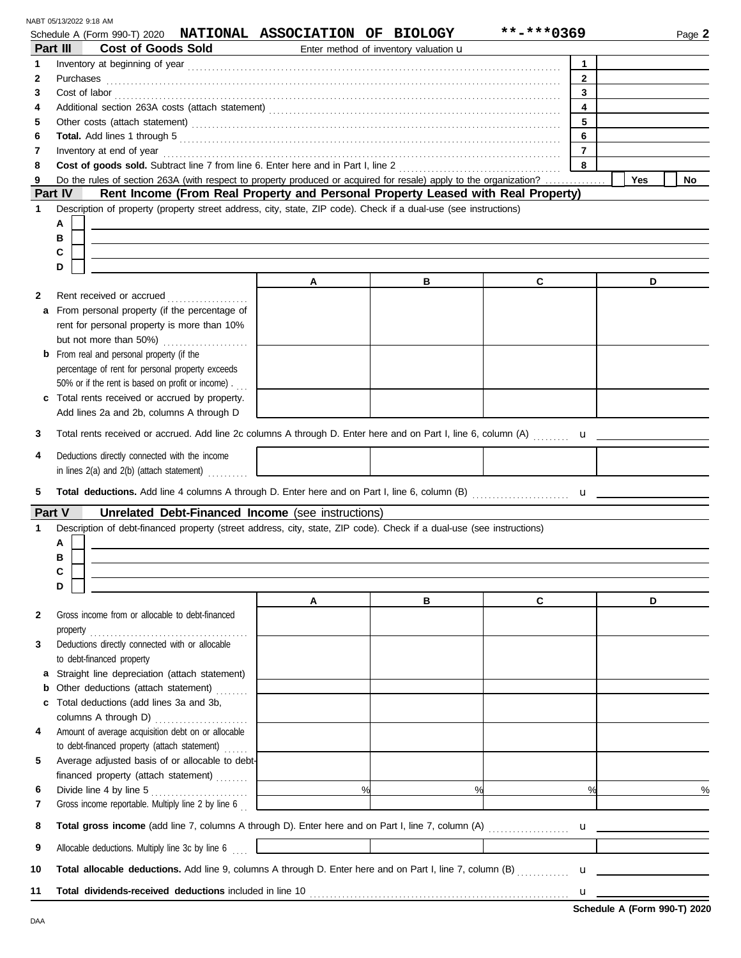|              | Schedule A (Form 990-T) 2020 NATIONAL ASSOCIATION OF BIOLOGY<br>Part III<br><b>Cost of Goods Sold</b>                                                                                           |   | Enter method of inventory valuation u | **-***0369              | Page 2                                                                                                                                                                                                                                                                                                                          |
|--------------|-------------------------------------------------------------------------------------------------------------------------------------------------------------------------------------------------|---|---------------------------------------|-------------------------|---------------------------------------------------------------------------------------------------------------------------------------------------------------------------------------------------------------------------------------------------------------------------------------------------------------------------------|
| $\mathbf{1}$ |                                                                                                                                                                                                 |   |                                       | $\mathbf{1}$            |                                                                                                                                                                                                                                                                                                                                 |
| $\mathbf{2}$ | Purchases                                                                                                                                                                                       |   |                                       | $\overline{2}$          |                                                                                                                                                                                                                                                                                                                                 |
| 3            | Cost of labor<br><u>Example 20</u><br>Solution 2014<br>The cost of labor<br>$\frac{1}{2}$<br>$\frac{1}{2}$<br>$\frac{1}{2}$<br>$\frac{1}{2}$<br>$\frac{1}{2}$<br>$\frac{1}{2}$<br>$\frac{1}{2}$ |   |                                       | $\mathbf{3}$            |                                                                                                                                                                                                                                                                                                                                 |
| 4            |                                                                                                                                                                                                 |   |                                       | $\overline{\mathbf{4}}$ |                                                                                                                                                                                                                                                                                                                                 |
| 5            |                                                                                                                                                                                                 |   |                                       | 5                       |                                                                                                                                                                                                                                                                                                                                 |
| 6            |                                                                                                                                                                                                 |   |                                       | 6<br>$\overline{7}$     |                                                                                                                                                                                                                                                                                                                                 |
| 7<br>8       |                                                                                                                                                                                                 |   |                                       | 8                       |                                                                                                                                                                                                                                                                                                                                 |
| 9            | Do the rules of section 263A (with respect to property produced or acquired for resale) apply to the organization?                                                                              |   |                                       |                         | Yes<br>No                                                                                                                                                                                                                                                                                                                       |
|              | Part IV<br>Rent Income (From Real Property and Personal Property Leased with Real Property)                                                                                                     |   |                                       |                         |                                                                                                                                                                                                                                                                                                                                 |
| $\mathbf{1}$ | Description of property (property street address, city, state, ZIP code). Check if a dual-use (see instructions)                                                                                |   |                                       |                         |                                                                                                                                                                                                                                                                                                                                 |
|              | А                                                                                                                                                                                               |   |                                       |                         |                                                                                                                                                                                                                                                                                                                                 |
|              | в                                                                                                                                                                                               |   |                                       |                         |                                                                                                                                                                                                                                                                                                                                 |
|              | С                                                                                                                                                                                               |   |                                       |                         |                                                                                                                                                                                                                                                                                                                                 |
|              | D                                                                                                                                                                                               | A | в                                     | C                       | D                                                                                                                                                                                                                                                                                                                               |
| 2            | Rent received or accrued<br>.                                                                                                                                                                   |   |                                       |                         |                                                                                                                                                                                                                                                                                                                                 |
| a            | From personal property (if the percentage of                                                                                                                                                    |   |                                       |                         |                                                                                                                                                                                                                                                                                                                                 |
|              | rent for personal property is more than 10%                                                                                                                                                     |   |                                       |                         |                                                                                                                                                                                                                                                                                                                                 |
|              | but not more than 50%)                                                                                                                                                                          |   |                                       |                         |                                                                                                                                                                                                                                                                                                                                 |
|              | <b>b</b> From real and personal property (if the                                                                                                                                                |   |                                       |                         |                                                                                                                                                                                                                                                                                                                                 |
|              | percentage of rent for personal property exceeds                                                                                                                                                |   |                                       |                         |                                                                                                                                                                                                                                                                                                                                 |
|              | 50% or if the rent is based on profit or income).                                                                                                                                               |   |                                       |                         |                                                                                                                                                                                                                                                                                                                                 |
|              | c Total rents received or accrued by property.                                                                                                                                                  |   |                                       |                         |                                                                                                                                                                                                                                                                                                                                 |
| 3            | Add lines 2a and 2b, columns A through D<br>Total rents received or accrued. Add line 2c columns A through D. Enter here and on Part I, line 6, column (A)                                      |   |                                       |                         |                                                                                                                                                                                                                                                                                                                                 |
|              |                                                                                                                                                                                                 |   |                                       |                         | $\mathbf{u}$                                                                                                                                                                                                                                                                                                                    |
| 4            | Deductions directly connected with the income                                                                                                                                                   |   |                                       |                         |                                                                                                                                                                                                                                                                                                                                 |
|              | in lines 2(a) and 2(b) (attach statement)                                                                                                                                                       |   |                                       |                         |                                                                                                                                                                                                                                                                                                                                 |
| 5            |                                                                                                                                                                                                 |   |                                       |                         |                                                                                                                                                                                                                                                                                                                                 |
|              | Unrelated Debt-Financed Income (see instructions)<br>Part V                                                                                                                                     |   |                                       |                         |                                                                                                                                                                                                                                                                                                                                 |
| 1            | Description of debt-financed property (street address, city, state, ZIP code). Check if a dual-use (see instructions)                                                                           |   |                                       |                         |                                                                                                                                                                                                                                                                                                                                 |
|              | А                                                                                                                                                                                               |   |                                       |                         |                                                                                                                                                                                                                                                                                                                                 |
|              | в                                                                                                                                                                                               |   |                                       |                         |                                                                                                                                                                                                                                                                                                                                 |
|              | С<br>D                                                                                                                                                                                          |   |                                       |                         |                                                                                                                                                                                                                                                                                                                                 |
|              |                                                                                                                                                                                                 | A | в                                     | $\mathbf{C}$            | D                                                                                                                                                                                                                                                                                                                               |
| 2            | Gross income from or allocable to debt-financed                                                                                                                                                 |   |                                       |                         |                                                                                                                                                                                                                                                                                                                                 |
|              | property $\begin{array}{ccc}\n &  &  & \n\end{array}$                                                                                                                                           |   |                                       |                         |                                                                                                                                                                                                                                                                                                                                 |
| 3            | Deductions directly connected with or allocable                                                                                                                                                 |   |                                       |                         |                                                                                                                                                                                                                                                                                                                                 |
|              | to debt-financed property                                                                                                                                                                       |   |                                       |                         |                                                                                                                                                                                                                                                                                                                                 |
|              | a Straight line depreciation (attach statement)                                                                                                                                                 |   |                                       |                         |                                                                                                                                                                                                                                                                                                                                 |
|              | <b>b</b> Other deductions (attach statement)                                                                                                                                                    |   |                                       |                         |                                                                                                                                                                                                                                                                                                                                 |
| c            | Total deductions (add lines 3a and 3b,                                                                                                                                                          |   |                                       |                         |                                                                                                                                                                                                                                                                                                                                 |
| 4            | columns A through D)<br>Amount of average acquisition debt on or allocable                                                                                                                      |   |                                       |                         |                                                                                                                                                                                                                                                                                                                                 |
|              | to debt-financed property (attach statement)                                                                                                                                                    |   |                                       |                         |                                                                                                                                                                                                                                                                                                                                 |
| 5            | Average adjusted basis of or allocable to debt-                                                                                                                                                 |   |                                       |                         |                                                                                                                                                                                                                                                                                                                                 |
|              | financed property (attach statement)                                                                                                                                                            |   |                                       |                         |                                                                                                                                                                                                                                                                                                                                 |
| 6            | Divide line 4 by line 5                                                                                                                                                                         |   | %                                     | %                       | $\frac{0}{0}$                                                                                                                                                                                                                                                                                                                   |
| 7            | Gross income reportable. Multiply line 2 by line 6                                                                                                                                              |   |                                       |                         |                                                                                                                                                                                                                                                                                                                                 |
| 8            |                                                                                                                                                                                                 |   |                                       |                         |                                                                                                                                                                                                                                                                                                                                 |
| 9            | Allocable deductions. Multiply line 3c by line 6                                                                                                                                                |   |                                       |                         |                                                                                                                                                                                                                                                                                                                                 |
| 10           | Total allocable deductions. Add line 9, columns A through D. Enter here and on Part I, line 7, column (B)                                                                                       |   |                                       |                         | $\mathbf u$ and $\mathbf u$ and $\mathbf v$ and $\mathbf v$ and $\mathbf v$ and $\mathbf v$ and $\mathbf v$ and $\mathbf v$ and $\mathbf v$ and $\mathbf v$ and $\mathbf v$ and $\mathbf v$ and $\mathbf v$ and $\mathbf v$ and $\mathbf v$ and $\mathbf v$ and $\mathbf v$ and $\mathbf v$ and $\mathbf v$ and $\mathbf v$ and |
| 11           |                                                                                                                                                                                                 |   |                                       |                         | $\mathbf{u}$ and $\mathbf{u}$ and $\mathbf{u}$ and $\mathbf{u}$                                                                                                                                                                                                                                                                 |
|              |                                                                                                                                                                                                 |   |                                       |                         |                                                                                                                                                                                                                                                                                                                                 |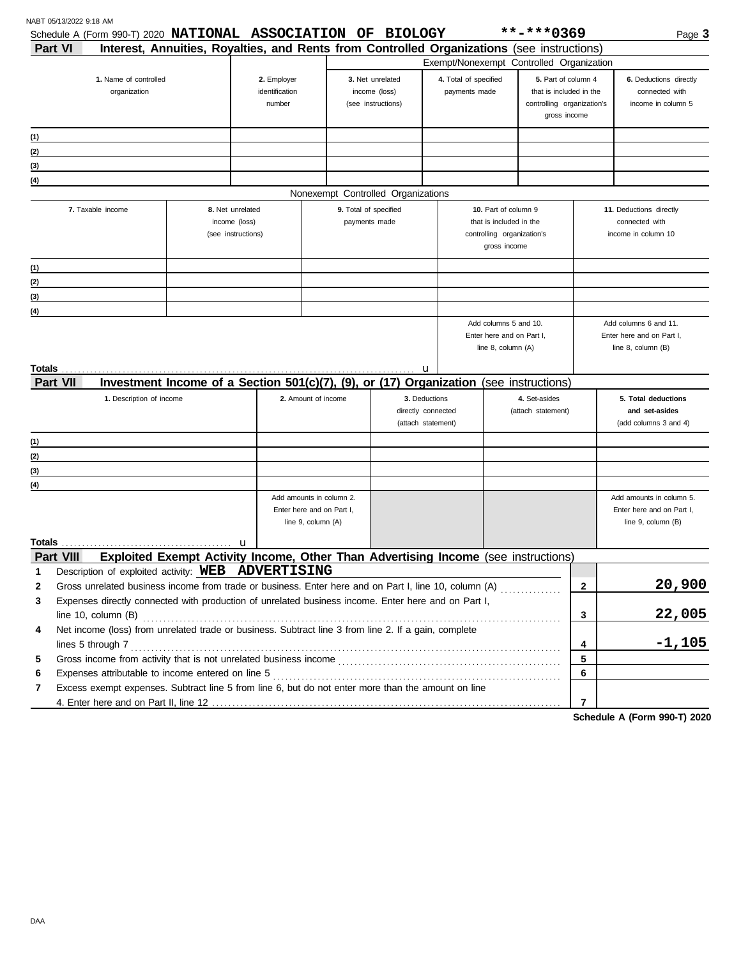|                 | Schedule A (Form 990-T) 2020 NATIONAL ASSOCIATION OF BIOLOGY                                          |  |                                                                                            |                           |                       |                                          |               |                                                    | **-***0369                                 |                | Page 3                                             |
|-----------------|-------------------------------------------------------------------------------------------------------|--|--------------------------------------------------------------------------------------------|---------------------------|-----------------------|------------------------------------------|---------------|----------------------------------------------------|--------------------------------------------|----------------|----------------------------------------------------|
| Part VI         |                                                                                                       |  | Interest, Annuities, Royalties, and Rents from Controlled Organizations (see instructions) |                           |                       |                                          |               |                                                    | Exempt/Nonexempt Controlled Organization   |                |                                                    |
|                 | 1. Name of controlled                                                                                 |  | 2. Employer                                                                                |                           |                       | 3. Net unrelated                         |               | 4. Total of specified                              | 5. Part of column 4                        |                | 6. Deductions directly                             |
|                 | organization                                                                                          |  | identification                                                                             |                           |                       | income (loss)                            |               | payments made                                      | that is included in the                    |                | connected with                                     |
|                 |                                                                                                       |  | number                                                                                     |                           |                       | (see instructions)                       |               |                                                    | controlling organization's<br>gross income |                | income in column 5                                 |
|                 |                                                                                                       |  |                                                                                            |                           |                       |                                          |               |                                                    |                                            |                |                                                    |
| (1)             |                                                                                                       |  |                                                                                            |                           |                       |                                          |               |                                                    |                                            |                |                                                    |
| (2)             |                                                                                                       |  |                                                                                            |                           |                       |                                          |               |                                                    |                                            |                |                                                    |
| (3)             |                                                                                                       |  |                                                                                            |                           |                       |                                          |               |                                                    |                                            |                |                                                    |
| (4)             |                                                                                                       |  |                                                                                            |                           |                       | Nonexempt Controlled Organizations       |               |                                                    |                                            |                |                                                    |
|                 | 7. Taxable income                                                                                     |  | 8. Net unrelated                                                                           |                           | 9. Total of specified |                                          |               | 10. Part of column 9                               |                                            |                | 11. Deductions directly                            |
|                 |                                                                                                       |  | income (loss)                                                                              |                           | payments made         |                                          |               | that is included in the                            |                                            |                | connected with                                     |
|                 |                                                                                                       |  | (see instructions)                                                                         |                           |                       |                                          |               | controlling organization's                         |                                            |                | income in column 10                                |
|                 |                                                                                                       |  |                                                                                            |                           |                       |                                          |               | gross income                                       |                                            |                |                                                    |
| (1)             |                                                                                                       |  |                                                                                            |                           |                       |                                          |               |                                                    |                                            |                |                                                    |
| (2)             |                                                                                                       |  |                                                                                            |                           |                       |                                          |               |                                                    |                                            |                |                                                    |
| (3)             |                                                                                                       |  |                                                                                            |                           |                       |                                          |               |                                                    |                                            |                |                                                    |
| (4)             |                                                                                                       |  |                                                                                            |                           |                       |                                          |               |                                                    |                                            |                |                                                    |
|                 |                                                                                                       |  |                                                                                            |                           |                       |                                          |               | Add columns 5 and 10.<br>Enter here and on Part I. |                                            |                | Add columns 6 and 11.<br>Enter here and on Part I, |
|                 |                                                                                                       |  |                                                                                            |                           |                       |                                          |               | line 8, column (A)                                 |                                            |                | line 8, column (B)                                 |
|                 |                                                                                                       |  |                                                                                            |                           |                       |                                          |               |                                                    |                                            |                |                                                    |
|                 |                                                                                                       |  |                                                                                            |                           |                       |                                          | u             |                                                    |                                            |                |                                                    |
| <b>Part VII</b> |                                                                                                       |  | Investment Income of a Section $501(c)(7)$ , (9), or (17) Organization                     |                           |                       |                                          |               |                                                    | (see instructions)                         |                |                                                    |
|                 | 1. Description of income                                                                              |  |                                                                                            | 2. Amount of income       |                       |                                          | 3. Deductions |                                                    | 4. Set-asides                              |                | 5. Total deductions                                |
|                 |                                                                                                       |  |                                                                                            |                           |                       | directly connected<br>(attach statement) |               | (attach statement)                                 |                                            |                | and set-asides<br>(add columns 3 and 4)            |
|                 |                                                                                                       |  |                                                                                            |                           |                       |                                          |               |                                                    |                                            |                |                                                    |
| (1)             |                                                                                                       |  |                                                                                            |                           |                       |                                          |               |                                                    |                                            |                |                                                    |
| (2)             |                                                                                                       |  |                                                                                            |                           |                       |                                          |               |                                                    |                                            |                |                                                    |
| (3)             | the control of the control of the control of the control of the control of the control of             |  |                                                                                            |                           |                       |                                          |               |                                                    |                                            |                |                                                    |
| (4)             |                                                                                                       |  |                                                                                            | Add amounts in column 2.  |                       |                                          |               |                                                    |                                            |                | Add amounts in column 5.                           |
|                 |                                                                                                       |  |                                                                                            | Enter here and on Part I, |                       |                                          |               |                                                    |                                            |                | Enter here and on Part I,                          |
|                 |                                                                                                       |  |                                                                                            | line 9, column (A)        |                       |                                          |               |                                                    |                                            |                | line 9, column (B)                                 |
| Totals          |                                                                                                       |  | u                                                                                          |                           |                       |                                          |               |                                                    |                                            |                |                                                    |
|                 | Part VIII                                                                                             |  | Exploited Exempt Activity Income, Other Than Advertising Income (see instructions)         |                           |                       |                                          |               |                                                    |                                            |                |                                                    |
| 1               | Description of exploited activity: WEB ADVERTISING                                                    |  |                                                                                            |                           |                       |                                          |               |                                                    |                                            |                |                                                    |
| 2               | Gross unrelated business income from trade or business. Enter here and on Part I, line 10, column (A) |  |                                                                                            |                           |                       |                                          |               |                                                    |                                            | $\mathbf{2}$   | 20,900                                             |
| 3               | Expenses directly connected with production of unrelated business income. Enter here and on Part I,   |  |                                                                                            |                           |                       |                                          |               |                                                    |                                            |                |                                                    |
|                 | line $10$ , column $(B)$                                                                              |  |                                                                                            |                           |                       |                                          |               |                                                    |                                            | 3              | 22,005                                             |
| 4               | Net income (loss) from unrelated trade or business. Subtract line 3 from line 2. If a gain, complete  |  |                                                                                            |                           |                       |                                          |               |                                                    |                                            |                |                                                    |
|                 | lines 5 through 7                                                                                     |  |                                                                                            |                           |                       |                                          |               |                                                    |                                            | 4              | $-1,105$                                           |
| 5               |                                                                                                       |  |                                                                                            |                           |                       |                                          |               |                                                    |                                            | 5              |                                                    |
| 6               |                                                                                                       |  |                                                                                            |                           |                       |                                          |               |                                                    |                                            | 6              |                                                    |
| 7               | Excess exempt expenses. Subtract line 5 from line 6, but do not enter more than the amount on line    |  |                                                                                            |                           |                       |                                          |               |                                                    |                                            |                |                                                    |
|                 |                                                                                                       |  |                                                                                            |                           |                       |                                          |               |                                                    |                                            | $\overline{7}$ |                                                    |

**Schedule A (Form 990-T) 2020**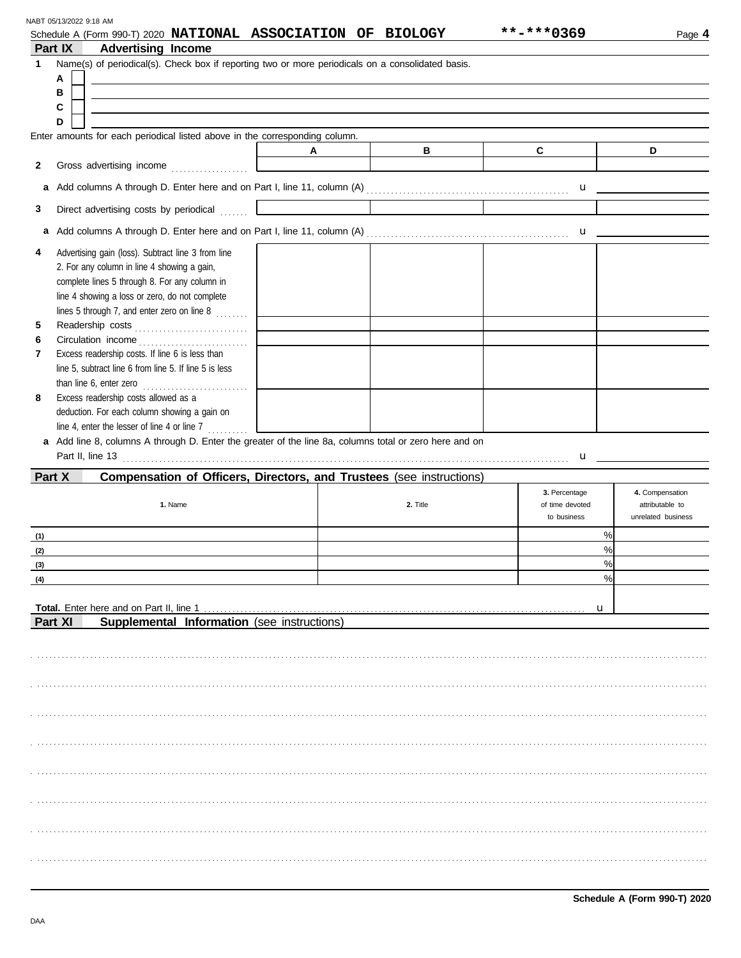| NABT 05/13/2022 9:18 AM |
|-------------------------|
|-------------------------|

|              |         | Schedule A (Form 990-T) 2020 NATIONAL ASSOCIATION OF BIOLOGY                                           |   |          | **-***0369                | Page 4             |
|--------------|---------|--------------------------------------------------------------------------------------------------------|---|----------|---------------------------|--------------------|
|              | Part IX | <b>Advertising Income</b>                                                                              |   |          |                           |                    |
| $\mathbf{1}$ |         | Name(s) of periodical(s). Check box if reporting two or more periodicals on a consolidated basis.      |   |          |                           |                    |
|              | А       |                                                                                                        |   |          |                           |                    |
|              | в       |                                                                                                        |   |          |                           |                    |
|              | С<br>D  |                                                                                                        |   |          |                           |                    |
|              |         | Enter amounts for each periodical listed above in the corresponding column.                            |   |          |                           |                    |
|              |         |                                                                                                        | A | B        | $\mathbf{C}$              | D                  |
| $\mathbf{2}$ |         |                                                                                                        |   |          |                           |                    |
|              |         |                                                                                                        |   |          |                           |                    |
|              |         |                                                                                                        |   |          |                           |                    |
| 3            |         | Direct advertising costs by periodical                                                                 |   |          |                           |                    |
| a            |         |                                                                                                        |   |          |                           |                    |
|              |         |                                                                                                        |   |          |                           |                    |
| 4            |         | Advertising gain (loss). Subtract line 3 from line<br>2. For any column in line 4 showing a gain,      |   |          |                           |                    |
|              |         | complete lines 5 through 8. For any column in                                                          |   |          |                           |                    |
|              |         | line 4 showing a loss or zero, do not complete                                                         |   |          |                           |                    |
|              |         | lines 5 through 7, and enter zero on line 8 $\ldots$                                                   |   |          |                           |                    |
| 5            |         |                                                                                                        |   |          |                           |                    |
| 6            |         |                                                                                                        |   |          |                           |                    |
| 7            |         | Excess readership costs. If line 6 is less than                                                        |   |          |                           |                    |
|              |         | line 5, subtract line 6 from line 5. If line 5 is less                                                 |   |          |                           |                    |
| 8            |         | than line $6$ , enter zero $\ldots$<br>Excess readership costs allowed as a                            |   |          |                           |                    |
|              |         | deduction. For each column showing a gain on                                                           |   |          |                           |                    |
|              |         | line 4, enter the lesser of line 4 or line 7 $\ldots$                                                  |   |          |                           |                    |
|              |         | a Add line 8, columns A through D. Enter the greater of the line 8a, columns total or zero here and on |   |          |                           |                    |
|              |         | Part II, line 13 <b>Part II</b> , line 13                                                              |   |          | $\mathbf{u}$ $\mathbf{u}$ |                    |
|              | Part X  | Compensation of Officers, Directors, and Trustees (see instructions)                                   |   |          |                           |                    |
|              |         |                                                                                                        |   |          | 3. Percentage             | 4. Compensation    |
|              |         | 1. Name                                                                                                |   | 2. Title | of time devoted           | attributable to    |
|              |         |                                                                                                        |   |          | to business               | unrelated business |
| (1)          |         |                                                                                                        |   |          | %                         |                    |
| (2)          |         |                                                                                                        |   |          | %<br>0/2                  |                    |
| (3)          |         |                                                                                                        |   |          | %                         |                    |
| (4)          |         |                                                                                                        |   |          |                           |                    |
|              |         |                                                                                                        |   |          | u                         |                    |
|              | Part XI | Supplemental Information (see instructions)                                                            |   |          |                           |                    |
|              |         |                                                                                                        |   |          |                           |                    |
|              |         |                                                                                                        |   |          |                           |                    |
|              |         |                                                                                                        |   |          |                           |                    |
|              |         |                                                                                                        |   |          |                           |                    |
|              |         |                                                                                                        |   |          |                           |                    |
|              |         |                                                                                                        |   |          |                           |                    |
|              |         |                                                                                                        |   |          |                           |                    |
|              |         |                                                                                                        |   |          |                           |                    |
|              |         |                                                                                                        |   |          |                           |                    |
|              |         |                                                                                                        |   |          |                           |                    |
|              |         |                                                                                                        |   |          |                           |                    |
|              |         |                                                                                                        |   |          |                           |                    |
|              |         |                                                                                                        |   |          |                           |                    |
|              |         |                                                                                                        |   |          |                           |                    |
|              |         |                                                                                                        |   |          |                           |                    |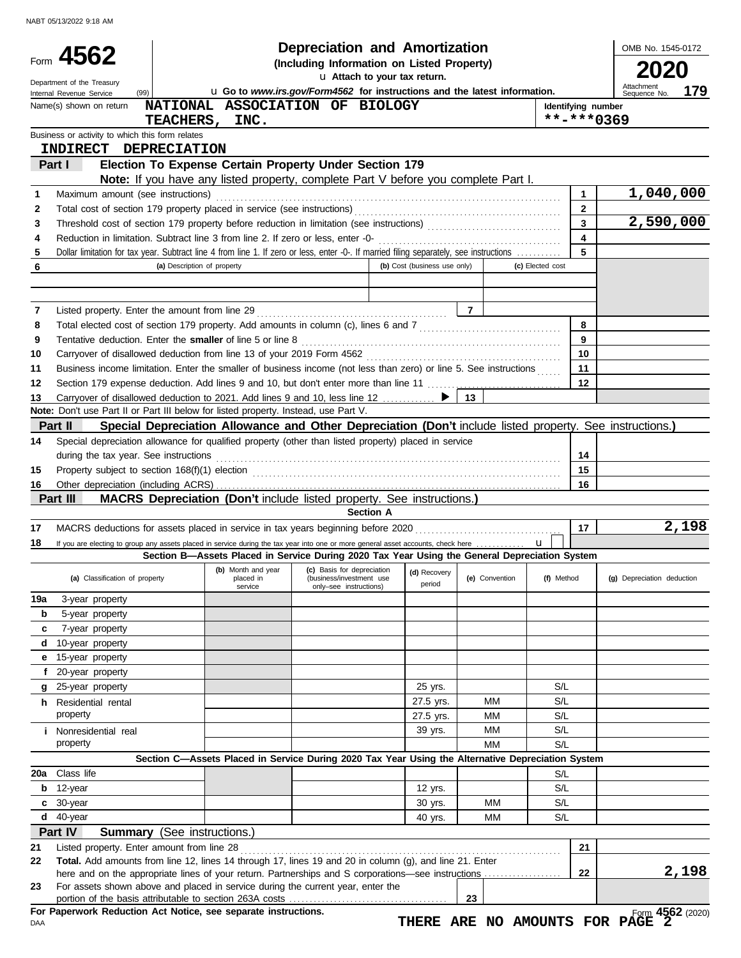|     |                                                                                     |                             |                      | <b>Depreciation and Amortization</b>                                                                                                                                                                                               |                              |                |                         | OMB No. 1545-0172                                 |
|-----|-------------------------------------------------------------------------------------|-----------------------------|----------------------|------------------------------------------------------------------------------------------------------------------------------------------------------------------------------------------------------------------------------------|------------------------------|----------------|-------------------------|---------------------------------------------------|
|     | Form 4562                                                                           |                             |                      | (Including Information on Listed Property)                                                                                                                                                                                         |                              |                |                         |                                                   |
|     | Department of the Treasury                                                          |                             |                      | u Attach to your tax return.                                                                                                                                                                                                       |                              |                |                         |                                                   |
|     | (99)<br>Internal Revenue Service                                                    |                             |                      | u Go to www.irs.gov/Form4562 for instructions and the latest information.                                                                                                                                                          |                              |                |                         | Attachment<br>179<br>Sequence No.                 |
|     | Name(s) shown on return                                                             |                             |                      | NATIONAL ASSOCIATION OF BIOLOGY                                                                                                                                                                                                    |                              |                | Identifying number      |                                                   |
|     |                                                                                     |                             | TEACHERS, INC.       |                                                                                                                                                                                                                                    |                              |                |                         | **-***0369                                        |
|     | Business or activity to which this form relates                                     |                             |                      |                                                                                                                                                                                                                                    |                              |                |                         |                                                   |
|     | INDIRECT DEPRECIATION                                                               |                             |                      |                                                                                                                                                                                                                                    |                              |                |                         |                                                   |
|     | Part I                                                                              |                             |                      | Election To Expense Certain Property Under Section 179<br>Note: If you have any listed property, complete Part V before you complete Part I.                                                                                       |                              |                |                         |                                                   |
| 1   | Maximum amount (see instructions)                                                   |                             |                      |                                                                                                                                                                                                                                    |                              |                | $\mathbf{1}$            | 1,040,000                                         |
| 2   |                                                                                     |                             |                      |                                                                                                                                                                                                                                    |                              |                | $\overline{2}$          |                                                   |
| 3   |                                                                                     |                             |                      |                                                                                                                                                                                                                                    |                              |                | $\overline{3}$          | 2,590,000                                         |
| 4   |                                                                                     |                             |                      |                                                                                                                                                                                                                                    |                              |                | $\overline{\mathbf{4}}$ |                                                   |
| 5   |                                                                                     |                             |                      | Dollar limitation for tax year. Subtract line 4 from line 1. If zero or less, enter -0-. If married filing separately, see instructions                                                                                            |                              |                | 5                       |                                                   |
| 6   |                                                                                     | (a) Description of property |                      |                                                                                                                                                                                                                                    | (b) Cost (business use only) |                | (c) Elected cost        |                                                   |
|     |                                                                                     |                             |                      |                                                                                                                                                                                                                                    |                              |                |                         |                                                   |
|     |                                                                                     |                             |                      |                                                                                                                                                                                                                                    |                              |                |                         |                                                   |
| 7   |                                                                                     |                             |                      |                                                                                                                                                                                                                                    |                              |                |                         |                                                   |
| 8   |                                                                                     |                             |                      |                                                                                                                                                                                                                                    |                              |                | 8                       |                                                   |
| 9   |                                                                                     |                             |                      | Tentative deduction. Enter the smaller of line 5 or line 8 [11] content content content of the smaller of line 5 or line 8                                                                                                         |                              |                | 9                       |                                                   |
| 10  |                                                                                     |                             |                      |                                                                                                                                                                                                                                    |                              |                | 10                      |                                                   |
| 11  |                                                                                     |                             |                      | Business income limitation. Enter the smaller of business income (not less than zero) or line 5. See instructions                                                                                                                  |                              |                | 11                      |                                                   |
| 12  |                                                                                     |                             |                      |                                                                                                                                                                                                                                    |                              |                | 12                      |                                                   |
| 13  |                                                                                     |                             |                      | Carryover of disallowed deduction to 2021. Add lines 9 and 10, less line 12  ▶                                                                                                                                                     |                              | - 13 I         |                         |                                                   |
|     | Note: Don't use Part II or Part III below for listed property. Instead, use Part V. |                             |                      |                                                                                                                                                                                                                                    |                              |                |                         |                                                   |
|     | Part II                                                                             |                             |                      | Special Depreciation Allowance and Other Depreciation (Don't include listed property. See instructions.)                                                                                                                           |                              |                |                         |                                                   |
| 14  |                                                                                     |                             |                      | Special depreciation allowance for qualified property (other than listed property) placed in service                                                                                                                               |                              |                |                         |                                                   |
|     | during the tax year. See instructions                                               |                             |                      |                                                                                                                                                                                                                                    |                              |                | 14                      |                                                   |
| 15  |                                                                                     |                             |                      | Property subject to section 168(f)(1) election <i>contained a contained a contained a contained a contained a contained a</i>                                                                                                      |                              |                | 15                      |                                                   |
| 16  |                                                                                     |                             |                      |                                                                                                                                                                                                                                    |                              |                | 16                      |                                                   |
|     |                                                                                     |                             |                      |                                                                                                                                                                                                                                    |                              |                |                         |                                                   |
|     | Part III                                                                            |                             |                      | MACRS Depreciation (Don't include listed property. See instructions.)                                                                                                                                                              |                              |                |                         |                                                   |
|     |                                                                                     |                             |                      | <b>Section A</b>                                                                                                                                                                                                                   |                              |                |                         |                                                   |
| 17  |                                                                                     |                             |                      |                                                                                                                                                                                                                                    |                              |                | 17                      | 2,198                                             |
| 18  |                                                                                     |                             |                      | If you are electing to group any assets placed in service during the tax year into one or more general asset accounts, check here<br>Section B-Assets Placed in Service During 2020 Tax Year Using the General Depreciation System |                              |                |                         |                                                   |
|     | (a) Classification of property                                                      |                             | placed in<br>service | (b) Month and year (c) Basis for depreciation (d) Recovery (c) C (c) C (d) Recovery<br>(business/investment use<br>only-see instructions)                                                                                          | period                       | (e) Convention | (f) Method              | (g) Depreciation deduction                        |
| 19a | 3-year property                                                                     |                             |                      |                                                                                                                                                                                                                                    |                              |                |                         |                                                   |
| b   | 5-year property                                                                     |                             |                      |                                                                                                                                                                                                                                    |                              |                |                         |                                                   |
| c   | 7-year property                                                                     |                             |                      |                                                                                                                                                                                                                                    |                              |                |                         |                                                   |
| d   | 10-year property                                                                    |                             |                      |                                                                                                                                                                                                                                    |                              |                |                         |                                                   |
| е   | 15-year property                                                                    |                             |                      |                                                                                                                                                                                                                                    |                              |                |                         |                                                   |
| f   | 20-year property                                                                    |                             |                      |                                                                                                                                                                                                                                    |                              |                |                         |                                                   |
| g   | 25-year property                                                                    |                             |                      |                                                                                                                                                                                                                                    | 25 yrs.                      |                | S/L                     |                                                   |
|     | <b>h</b> Residential rental                                                         |                             |                      |                                                                                                                                                                                                                                    | 27.5 yrs.                    | ΜМ             | S/L                     |                                                   |
|     | property                                                                            |                             |                      |                                                                                                                                                                                                                                    | 27.5 yrs.                    | МM             | S/L                     |                                                   |
|     | <b>i</b> Nonresidential real                                                        |                             |                      |                                                                                                                                                                                                                                    | 39 yrs.                      | МM             | S/L                     |                                                   |
|     | property                                                                            |                             |                      |                                                                                                                                                                                                                                    |                              | MM             | S/L                     |                                                   |
|     |                                                                                     |                             |                      | Section C-Assets Placed in Service During 2020 Tax Year Using the Alternative Depreciation System                                                                                                                                  |                              |                |                         |                                                   |
| 20a | Class life                                                                          |                             |                      |                                                                                                                                                                                                                                    |                              |                | S/L                     |                                                   |
| b   | 12-year                                                                             |                             |                      |                                                                                                                                                                                                                                    | 12 yrs.                      |                | S/L                     |                                                   |
| c   | 30-year                                                                             |                             |                      |                                                                                                                                                                                                                                    | 30 yrs.                      | MМ             | S/L                     |                                                   |
| d   | 40-year                                                                             |                             |                      |                                                                                                                                                                                                                                    | 40 yrs.                      | MМ             | S/L                     |                                                   |
|     | Part IV<br><b>Summary</b> (See instructions.)                                       |                             |                      |                                                                                                                                                                                                                                    |                              |                |                         |                                                   |
| 21  | Listed property. Enter amount from line 28                                          |                             |                      |                                                                                                                                                                                                                                    |                              |                | 21                      |                                                   |
| 22  |                                                                                     |                             |                      | Total. Add amounts from line 12, lines 14 through 17, lines 19 and 20 in column (g), and line 21. Enter                                                                                                                            |                              |                |                         |                                                   |
|     |                                                                                     |                             |                      |                                                                                                                                                                                                                                    |                              |                | 22                      | 2,198                                             |
| 23  |                                                                                     |                             |                      | For assets shown above and placed in service during the current year, enter the                                                                                                                                                    |                              |                |                         |                                                   |
|     | For Paperwork Reduction Act Notice, see separate instructions.                      |                             |                      |                                                                                                                                                                                                                                    |                              | 23             |                         | Form 4562 (2020)<br>THERE ARE NO AMOUNTS FOR PAGE |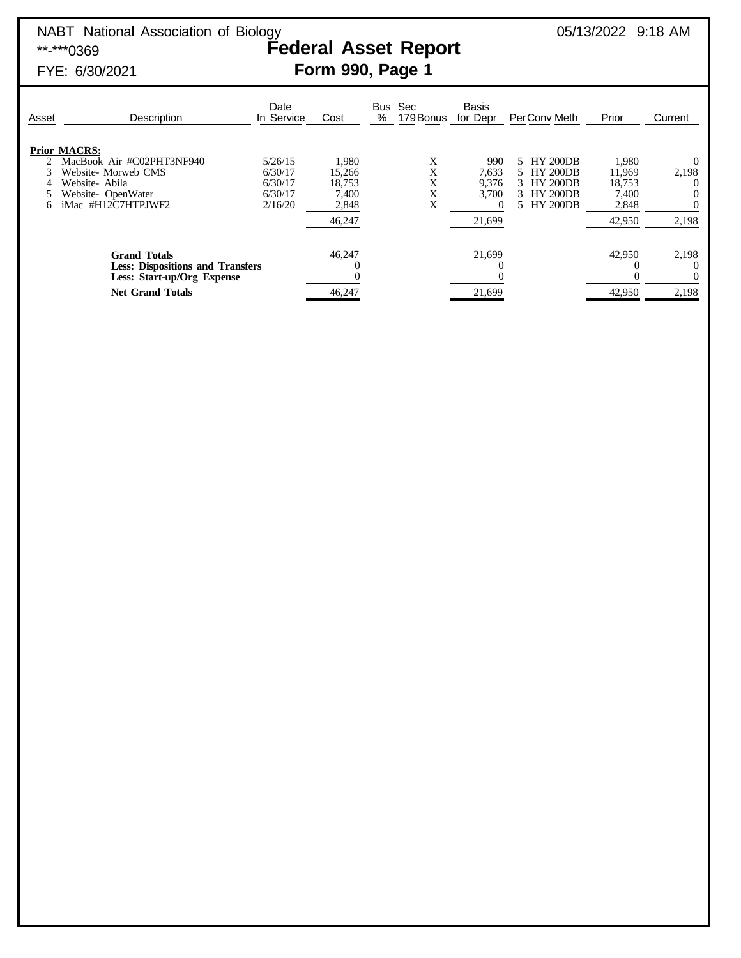### FYE: 6/30/2021 **Form 990, Page 1**

| Asset | <b>Description</b>                                                                                                                 | Date<br>In Service                                  | Cost                                                  | <b>Bus</b><br>% | Sec<br>179 Bonus      | <b>Basis</b><br>for Depr                      | PerConv Meth                                                                       | Prior                                                 | Current        |
|-------|------------------------------------------------------------------------------------------------------------------------------------|-----------------------------------------------------|-------------------------------------------------------|-----------------|-----------------------|-----------------------------------------------|------------------------------------------------------------------------------------|-------------------------------------------------------|----------------|
| 6     | <b>Prior MACRS:</b><br>MacBook Air #C02PHT3NF940<br>Website-Morweb CMS<br>Website-Abila<br>Website-OpenWater<br>iMac #H12C7HTPJWF2 | 5/26/15<br>6/30/17<br>6/30/17<br>6/30/17<br>2/16/20 | 1,980<br>15,266<br>18,753<br>7,400<br>2,848<br>46,247 |                 | Χ<br>X<br>X<br>X<br>Х | 990<br>7.633<br>9,376<br>3,700<br>0<br>21,699 | 5 HY 200DB<br>5 HY 200DB<br>3 HY 200DB<br><b>HY 200DB</b><br>3.<br><b>HY 200DB</b> | 1,980<br>11,969<br>18,753<br>7.400<br>2,848<br>42,950 | 2,198<br>2,198 |
|       | <b>Grand Totals</b><br><b>Less: Dispositions and Transfers</b><br>Less: Start-up/Org Expense<br><b>Net Grand Totals</b>            |                                                     | 46,247<br>46,247                                      |                 |                       | 21,699<br>21,699                              |                                                                                    | 42,950<br>42,950                                      | 2,198<br>2,198 |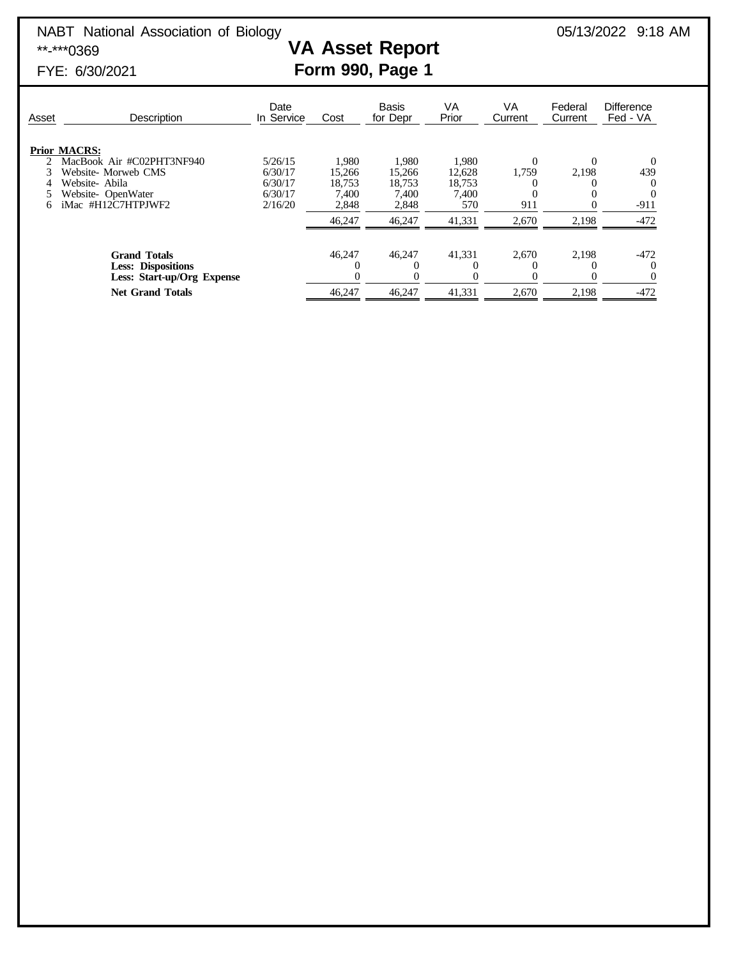# NABT National Association of Biology<br> **VA Asset Report** 05/13/2022 9:18 AM<br> **VA Asset Report**

# **VA Asset Report**

## FYE: 6/30/2021 **Form 990, Page 1**

| Asset | Description                | Date<br>In Service | Cost   | <b>Basis</b><br>for Depr | VA<br>Prior | VA<br>Current | Federal<br>Current | <b>Difference</b><br>Fed - VA |
|-------|----------------------------|--------------------|--------|--------------------------|-------------|---------------|--------------------|-------------------------------|
|       | <b>Prior MACRS:</b>        |                    |        |                          |             |               |                    |                               |
|       | MacBook Air #C02PHT3NF940  | 5/26/15            | 1,980  | 1,980                    | 1,980       |               | $\Omega$           | $\theta$                      |
|       | Website- Morweb CMS        | 6/30/17            | 15,266 | 15,266                   | 12,628      | 1,759         | 2,198              | 439                           |
|       | Website-Abila              | 6/30/17            | 18.753 | 18.753                   | 18,753      |               |                    |                               |
|       | Website-OpenWater          | 6/30/17            | 7.400  | 7.400                    | 7.400       |               |                    | $\Omega$                      |
| 6     | iMac #H12C7HTPJWF2         | 2/16/20            | 2,848  | 2,848                    | 570         | 911           |                    | $-911$                        |
|       |                            |                    | 46,247 | 46,247                   | 41,331      | 2,670         | 2,198              | $-472$                        |
|       |                            |                    |        |                          |             |               |                    |                               |
|       | <b>Grand Totals</b>        |                    | 46.247 | 46,247                   | 41,331      | 2,670         | 2.198              | $-472$                        |
|       | <b>Less: Dispositions</b>  |                    |        |                          |             |               |                    |                               |
|       | Less: Start-up/Org Expense |                    | 0      |                          |             |               | $\Omega$           |                               |
|       | <b>Net Grand Totals</b>    |                    | 46.247 | 46,247                   | 41,331      | 2,670         | 2,198              | $-472$                        |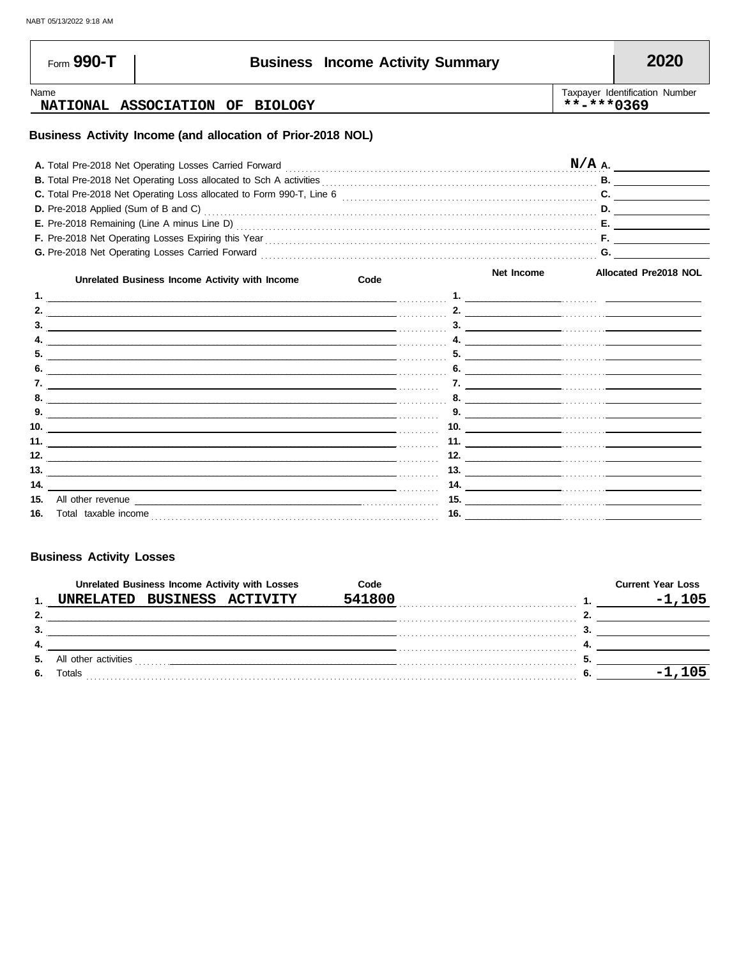| Form 990-T                           |                                                                                                                                                                                                                                      | <b>Business Income Activity Summary</b> |     |            |            | 2020                           |
|--------------------------------------|--------------------------------------------------------------------------------------------------------------------------------------------------------------------------------------------------------------------------------------|-----------------------------------------|-----|------------|------------|--------------------------------|
| Name                                 | NATIONAL ASSOCIATION OF BIOLOGY                                                                                                                                                                                                      |                                         |     |            | **-***0369 | Taxpayer Identification Number |
|                                      | Business Activity Income (and allocation of Prior-2018 NOL)                                                                                                                                                                          |                                         |     |            |            |                                |
|                                      | A. Total Pre-2018 Net Operating Losses Carried Forward                                                                                                                                                                               |                                         |     |            |            | $N/A$ A.                       |
|                                      | <b>B.</b> Total Pre-2018 Net Operating Loss allocated to Sch A activities                                                                                                                                                            |                                         |     |            |            |                                |
|                                      | C. Total Pre-2018 Net Operating Loss allocated to Form 990-T, Line 6 [11] Concentration content content content content of the Section of Anti-                                                                                      |                                         |     |            |            |                                |
| D. Pre-2018 Applied (Sum of B and C) |                                                                                                                                                                                                                                      |                                         |     |            |            | D.                             |
|                                      | E. Pre-2018 Remaining (Line A minus Line D) Matter District Contract Contract Contract Contract Contract Contract Contract Contract Contract Contract Contract Contract Contract Contract Contract Contract Contract Contract        |                                         |     |            |            |                                |
|                                      | F. Pre-2018 Net Operating Losses Expiring this Year [11] Martin Martin Martin Martin Martin Martin Martin Martin Martin Martin Martin Martin Martin Martin Martin Martin Martin Martin Martin Martin Martin Martin Martin Mart       |                                         |     |            |            |                                |
|                                      |                                                                                                                                                                                                                                      |                                         |     |            |            |                                |
|                                      | Unrelated Business Income Activity with Income                                                                                                                                                                                       | Code                                    |     | Net Income |            | <b>Allocated Pre2018 NOL</b>   |
|                                      |                                                                                                                                                                                                                                      |                                         |     |            |            |                                |
|                                      |                                                                                                                                                                                                                                      |                                         |     |            |            |                                |
|                                      |                                                                                                                                                                                                                                      |                                         |     |            |            | 3.                             |
|                                      |                                                                                                                                                                                                                                      |                                         |     |            |            | 4. $\overline{\phantom{a}}$    |
|                                      |                                                                                                                                                                                                                                      |                                         |     |            |            |                                |
|                                      |                                                                                                                                                                                                                                      |                                         |     |            |            | 6. $\overline{\phantom{a}}$    |
|                                      |                                                                                                                                                                                                                                      |                                         |     |            |            | 8.                             |
| 9.                                   | <u> 1990 - Jan James James James James James James James James James James James James James James James James J</u>                                                                                                                 |                                         |     |            |            |                                |
|                                      |                                                                                                                                                                                                                                      |                                         |     |            |            | 10. $\qquad \qquad$            |
|                                      |                                                                                                                                                                                                                                      |                                         |     |            |            |                                |
| 12.                                  | <u> 1989 - Jan James James James James James James James James James James James James James James James James J</u>                                                                                                                 |                                         |     |            |            | $\frac{12.}{\sqrt{110}}$       |
| 13.                                  | <u> Linda and a control of the control of the control of the control of the control of the control of the control of the control of the control of the control of the control of the control of the control of the control of th</u> |                                         |     |            |            |                                |
| 14.                                  | <u> 1989 - Johann Stoff, amerikansk politiker (d. 1989)</u>                                                                                                                                                                          |                                         |     |            |            |                                |
| 15.                                  | All other revenue <u>contracts and contracts are contracted</u> and contract and contract and contract and contract and contract and contract and contract and contract and contract and contract and contract and contract and con  |                                         |     |            |            | $\overline{\phantom{a}15.}$    |
| <b>16.</b> Total taxable income      |                                                                                                                                                                                                                                      |                                         | 16. |            |            |                                |

#### **Business Activity Losses**

|     |                      |                   | Unrelated Business Income Activity with Losses | Code   | <b>Current Year Loss</b> |
|-----|----------------------|-------------------|------------------------------------------------|--------|--------------------------|
|     | <b>INRELATED</b>     | BUSINESS ACTIVITY |                                                | 541800 | $-1.105$                 |
| 2.  |                      |                   |                                                |        |                          |
| 3.  |                      |                   |                                                |        |                          |
| -4. |                      |                   |                                                |        |                          |
| 5.  | All other activities | .                 |                                                |        |                          |
| 6.  | Totals               |                   |                                                |        |                          |
|     |                      |                   |                                                |        |                          |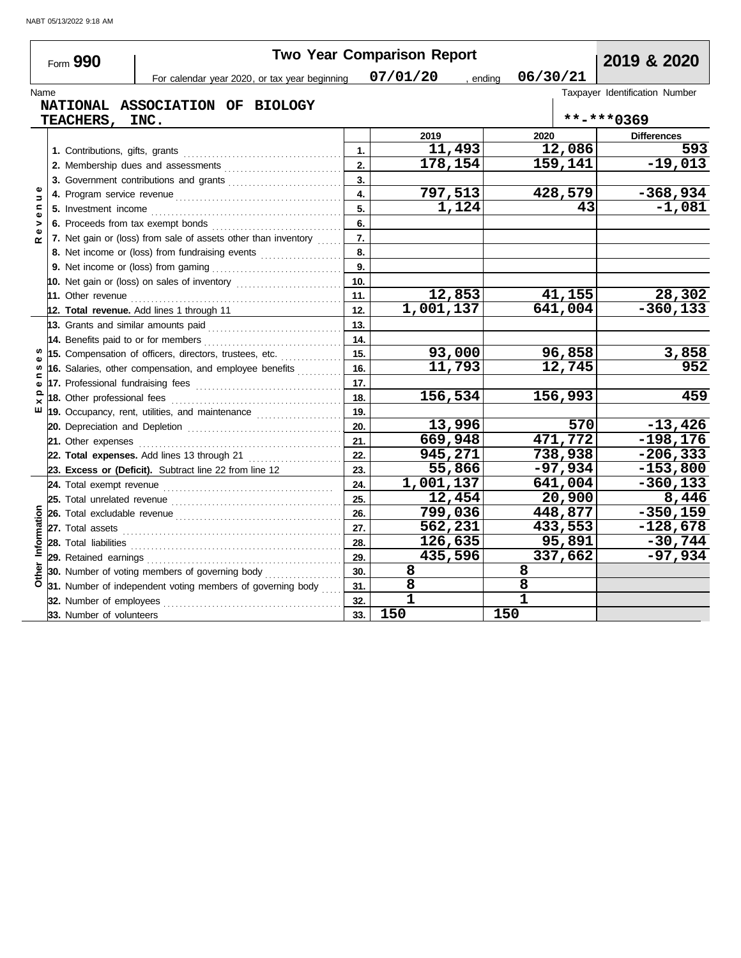|                              | Form 990                            | <b>Two Year Comparison Report</b>                                                                                                                                                                                                    | 2019 & 2020    |           |                      |                                |
|------------------------------|-------------------------------------|--------------------------------------------------------------------------------------------------------------------------------------------------------------------------------------------------------------------------------------|----------------|-----------|----------------------|--------------------------------|
|                              |                                     | For calendar year 2020, or tax year beginning                                                                                                                                                                                        |                | 07/01/20  | 06/30/21<br>, ending |                                |
| Name                         |                                     |                                                                                                                                                                                                                                      |                |           |                      | Taxpayer Identification Number |
|                              | TEACHERS,                           | NATIONAL ASSOCIATION OF BIOLOGY<br>INC.                                                                                                                                                                                              |                |           |                      | **-***0369                     |
|                              |                                     |                                                                                                                                                                                                                                      |                | 2019      | 2020                 | <b>Differences</b>             |
|                              |                                     |                                                                                                                                                                                                                                      | $\mathbf{1}$ . | 11,493    | 12,086               | 593                            |
|                              |                                     | 2. Membership dues and assessments [111] Martin Martin Martin Martin Martin Martin Martin Martin Martin Martin Martin Martin Martin Martin Martin Martin Martin Martin Martin Martin Martin Martin Martin Martin Martin Martin       | 2.             | 178,154   | 159,141              | $-19,013$                      |
|                              |                                     | 3. Government contributions and grants                                                                                                                                                                                               | 3.             |           |                      |                                |
| Φ<br>$\Rightarrow$           |                                     |                                                                                                                                                                                                                                      | 4.             | 797,513   | 428,579              | $-368,934$                     |
| $\mathbf{r}$<br>$\mathbf{Q}$ |                                     |                                                                                                                                                                                                                                      | 5.             | 1,124     | 43                   | $-1,081$                       |
| >                            |                                     |                                                                                                                                                                                                                                      | 6.             |           |                      |                                |
|                              |                                     | 7. Net gain or (loss) from sale of assets other than inventory                                                                                                                                                                       | 7.             |           |                      |                                |
|                              |                                     | 8. Net income or (loss) from fundraising events                                                                                                                                                                                      | 8.             |           |                      |                                |
|                              |                                     |                                                                                                                                                                                                                                      | 9.             |           |                      |                                |
|                              |                                     |                                                                                                                                                                                                                                      | 10.            |           |                      |                                |
|                              |                                     |                                                                                                                                                                                                                                      | 11.            | 12,853    | 41,155               | 28,302                         |
|                              |                                     | 12. Total revenue. Add lines 1 through 11                                                                                                                                                                                            | 12.            | 1,001,137 | 641,004              | $-360, 133$                    |
|                              | 13. Grants and similar amounts paid |                                                                                                                                                                                                                                      | 13.            |           |                      |                                |
|                              |                                     |                                                                                                                                                                                                                                      | 14.            |           |                      |                                |
|                              |                                     | 15. Compensation of officers, directors, trustees, etc.                                                                                                                                                                              | 15.            | 93,000    | 96,858               | 3,858                          |
|                              |                                     | 16. Salaries, other compensation, and employee benefits                                                                                                                                                                              | 16.            | 11,793    | 12,745               | 952                            |
| Φ                            |                                     |                                                                                                                                                                                                                                      | 17.            |           |                      |                                |
| ×                            | 18. Other professional fees         |                                                                                                                                                                                                                                      | 18.            | 156,534   | 156,993              | 459                            |
| ш                            |                                     |                                                                                                                                                                                                                                      | 19.            |           |                      |                                |
|                              |                                     |                                                                                                                                                                                                                                      | 20.            | 13,996    | 570                  | $-13,426$                      |
|                              |                                     |                                                                                                                                                                                                                                      | 21.            | 669,948   | 471,772              | $-198, 176$                    |
|                              |                                     | 22. Total expenses. Add lines 13 through 21                                                                                                                                                                                          | 22.            | 945,271   | 738,938              | $-206, 333$                    |
|                              |                                     | 23. Excess or (Deficit). Subtract line 22 from line 12                                                                                                                                                                               | 23.            | 55,866    | $-97,934$            | $-153,800$                     |
|                              |                                     |                                                                                                                                                                                                                                      | 24.            | 1,001,137 | 641,004              | $-360, 133$                    |
|                              | 25. Total unrelated revenue         |                                                                                                                                                                                                                                      | 25.            | 12,454    | 20,900               | 8,446                          |
|                              |                                     |                                                                                                                                                                                                                                      | 26.            | 799,036   | 448,877              | $-350,159$                     |
|                              |                                     |                                                                                                                                                                                                                                      | 27.            | 562,231   | 433,553              | $-128,678$                     |
| Information                  |                                     | 28. Total liabilities <b>constant in the set of the set of the set of the set of the set of the set of the set of the set of the set of the set of the set of the set of the set of the set of the set of the set of the set of </b> | 28.            | 126,635   | 95,891               | $-30,744$                      |
|                              |                                     |                                                                                                                                                                                                                                      | 29.            | 435,596   | 337,662              | $-97,934$                      |
|                              |                                     | 30. Number of voting members of governing body                                                                                                                                                                                       | 30.            | 8         | 8                    |                                |
|                              |                                     | 31. Number of independent voting members of governing body                                                                                                                                                                           | 31.            | 8         | 8                    |                                |
|                              | 32. Number of employees             |                                                                                                                                                                                                                                      | 32.            | 1         | $\mathbf{1}$         |                                |
|                              | 33. Number of volunteers            |                                                                                                                                                                                                                                      | 33.            | 150       | 150                  |                                |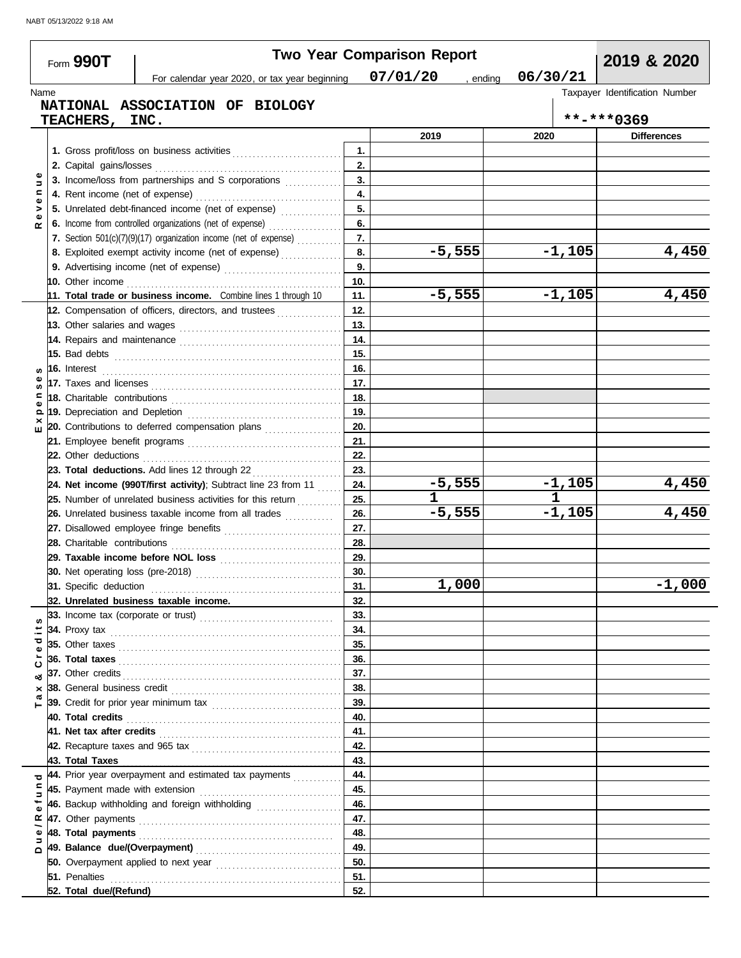| Form 990T                                            | For calendar year 2020, or tax year beginning                                                                                                                                     |            | <b>Two Year Comparison Report</b><br>07/01/20<br>, ending | 06/30/21      | 2019 & 2020                    |
|------------------------------------------------------|-----------------------------------------------------------------------------------------------------------------------------------------------------------------------------------|------------|-----------------------------------------------------------|---------------|--------------------------------|
| Name                                                 |                                                                                                                                                                                   |            |                                                           |               | Taxpayer Identification Number |
|                                                      | NATIONAL ASSOCIATION OF BIOLOGY                                                                                                                                                   |            |                                                           |               |                                |
| <b>TEACHERS ,</b>                                    | INC.                                                                                                                                                                              |            |                                                           |               | **-***0369                     |
|                                                      |                                                                                                                                                                                   |            | 2019                                                      | 2020          | <b>Differences</b>             |
|                                                      |                                                                                                                                                                                   | 1.         |                                                           |               |                                |
| 2. Capital gains/losses                              |                                                                                                                                                                                   | 2.         |                                                           |               |                                |
| Ξ                                                    | 3. Income/loss from partnerships and S corporations                                                                                                                               | 3.         |                                                           |               |                                |
| Ξ<br>4. Rent income (net of expense)<br>$\mathbf{Q}$ |                                                                                                                                                                                   | 4.         |                                                           |               |                                |
|                                                      | 5. Unrelated debt-financed income (net of expense)                                                                                                                                | 5.         |                                                           |               |                                |
|                                                      | 6. Income from controlled organizations (net of expense)                                                                                                                          | 6.         |                                                           |               |                                |
|                                                      | 7. Section 501(c)(7)(9)(17) organization income (net of expense)                                                                                                                  | 7.         |                                                           |               |                                |
|                                                      | 8. Exploited exempt activity income (net of expense)                                                                                                                              | 8.         | $-5,555$                                                  | $-1,105$      | 4,450                          |
|                                                      |                                                                                                                                                                                   | 9.         |                                                           |               |                                |
| 10. Other income                                     |                                                                                                                                                                                   | 10.        |                                                           |               |                                |
|                                                      | 11. Total trade or business income. Combine lines 1 through 10                                                                                                                    | 11.        | $-5,555$                                                  | $-1,105$      | 4,450                          |
|                                                      | 12. Compensation of officers, directors, and trustees                                                                                                                             | 12.        |                                                           |               |                                |
|                                                      |                                                                                                                                                                                   | 13.        |                                                           |               |                                |
|                                                      | 14. Repairs and maintenance <b>constant and a material constant and maintenance</b>                                                                                               | 14.        |                                                           |               |                                |
|                                                      |                                                                                                                                                                                   | 15.        |                                                           |               |                                |
| w                                                    |                                                                                                                                                                                   | 16.        |                                                           |               |                                |
|                                                      |                                                                                                                                                                                   | 17.        |                                                           |               |                                |
|                                                      |                                                                                                                                                                                   | 18.        |                                                           |               |                                |
| Q                                                    |                                                                                                                                                                                   | 19.        |                                                           |               |                                |
|                                                      | 20. Contributions to deferred compensation plans                                                                                                                                  | 20.        |                                                           |               |                                |
|                                                      |                                                                                                                                                                                   | 21.        |                                                           |               |                                |
|                                                      |                                                                                                                                                                                   | 22.        |                                                           |               |                                |
|                                                      | 23. Total deductions. Add lines 12 through 22                                                                                                                                     | 23.        |                                                           |               |                                |
|                                                      | 24. Net income (990T/first activity); Subtract line 23 from 11 $\ldots$                                                                                                           | 24.        | $-5,555$                                                  | $-1,105$<br>1 | 4,450                          |
|                                                      | 25. Number of unrelated business activities for this return<br>.                                                                                                                  | 25.        | 1                                                         | $-1,105$      |                                |
|                                                      | 26. Unrelated business taxable income from all trades <i>mimimini</i>                                                                                                             | 26.        | $-5,555$                                                  |               | 4,450                          |
|                                                      | 27. Disallowed employee fringe benefits                                                                                                                                           | 27.        |                                                           |               |                                |
|                                                      |                                                                                                                                                                                   | 28.        |                                                           |               |                                |
|                                                      | 29. Taxable income before NOL loss                                                                                                                                                | 29.<br>30. |                                                           |               |                                |
| 30. Net operating loss (pre-2018)                    |                                                                                                                                                                                   |            | 1,000                                                     |               | $-1,000$                       |
|                                                      |                                                                                                                                                                                   | 31.        |                                                           |               |                                |
|                                                      | 32. Unrelated business taxable income.                                                                                                                                            | 32.        |                                                           |               |                                |
|                                                      |                                                                                                                                                                                   | 33.<br>34. |                                                           |               |                                |
| ਹ                                                    |                                                                                                                                                                                   | 35.        |                                                           |               |                                |
|                                                      |                                                                                                                                                                                   | 36.        |                                                           |               |                                |
|                                                      |                                                                                                                                                                                   | 37.        |                                                           |               |                                |
|                                                      |                                                                                                                                                                                   | 38.        |                                                           |               |                                |
| ×                                                    |                                                                                                                                                                                   | 39.        |                                                           |               |                                |
| 40. Total credits                                    |                                                                                                                                                                                   | 40.        |                                                           |               |                                |
|                                                      |                                                                                                                                                                                   | 41.        |                                                           |               |                                |
|                                                      |                                                                                                                                                                                   | 42.        |                                                           |               |                                |
| 43. Total Taxes                                      |                                                                                                                                                                                   | 43.        |                                                           |               |                                |
| ರ                                                    | 44. Prior year overpayment and estimated tax payments <i>[[[[[[[[[[[[[[[[[[[[[[[[[[[]]]]</i>                                                                                      | 44.        |                                                           |               |                                |
|                                                      |                                                                                                                                                                                   | 45.        |                                                           |               |                                |
|                                                      | 46. Backup withholding and foreign withholding [1, 1, 1, 1, 1, 1, 1, 1, 1, 1, 1, 1                                                                                                | 46.        |                                                           |               |                                |
| ≃                                                    |                                                                                                                                                                                   | 47.        |                                                           |               |                                |
|                                                      |                                                                                                                                                                                   | 48.        |                                                           |               |                                |
|                                                      |                                                                                                                                                                                   | 49.        |                                                           |               |                                |
|                                                      |                                                                                                                                                                                   | 50.        |                                                           |               |                                |
|                                                      | <b>51.</b> Penalties <b>constants 1998 1999 1999 1999 1999 1999 1999 1999 1999 1999 1999 1999 1999 1999 1999 1999 1999 1999 1999 1999 1999 1999 1999 1999 1999 1999 1999 1999</b> | 51.        |                                                           |               |                                |
| 52. Total due/(Refund)                               |                                                                                                                                                                                   | 52.        |                                                           |               |                                |